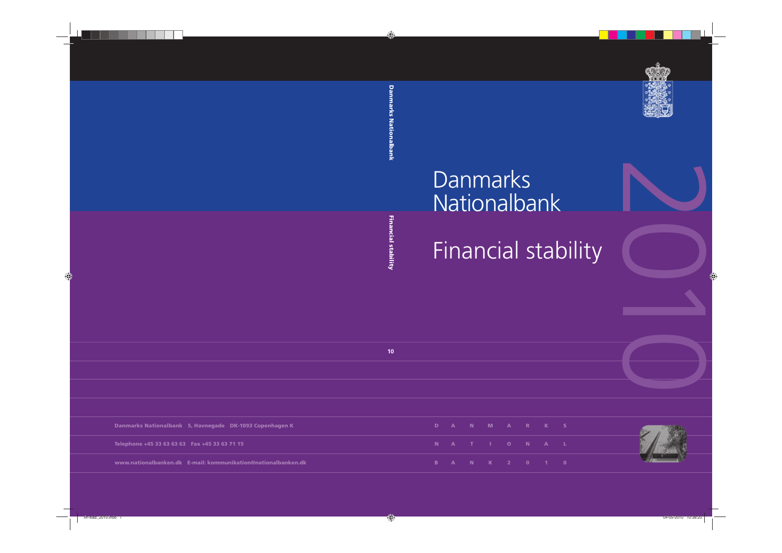

# Danmarks Nationalbank

2010 Financial stability

|                |  | D A N M A R K S |  |  |  |
|----------------|--|-----------------|--|--|--|
|                |  | N A T I O N A L |  |  |  |
| $\blacksquare$ |  | A N K 2 0 1 0   |  |  |  |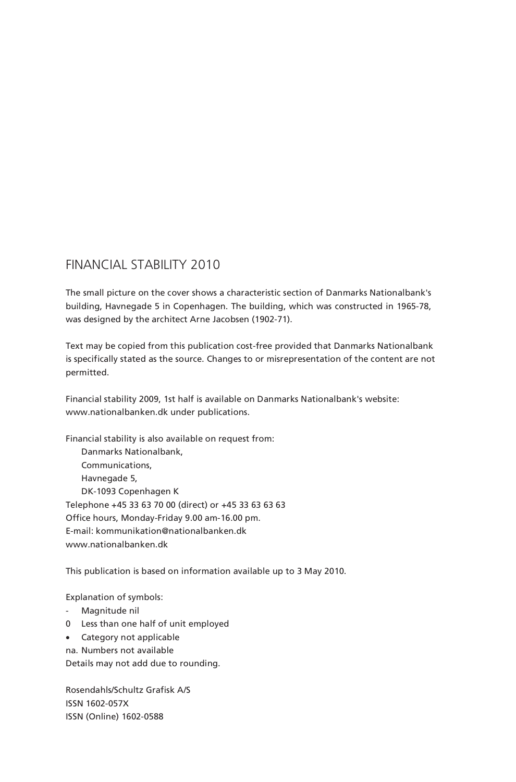# FINANCIAL STABILITY 2010

The small picture on the cover shows a characteristic section of Danmarks Nationalbank's building, Havnegade 5 in Copenhagen. The building, which was constructed in 1965-78, was designed by the architect Arne Jacobsen (1902-71).

Text may be copied from this publication cost-free provided that Danmarks Nationalbank is specifically stated as the source. Changes to or misrepresentation of the content are not permitted.

Financial stability 2009, 1st half is available on Danmarks Nationalbank's website: www.nationalbanken.dk under publications.

Financial stability is also available on request from: Danmarks Nationalbank, Communications, Havnegade 5, DK-1093 Copenhagen K Telephone +45 33 63 70 00 (direct) or +45 33 63 63 63 Office hours, Monday-Friday 9.00 am-16.00 pm. E-mail: kommunikation@nationalbanken.dk www.nationalbanken.dk

This publication is based on information available up to 3 May 2010.

Explanation of symbols:

- Magnitude nil
- 0 Less than one half of unit employed
- Category not applicable
- na. Numbers not available

Details may not add due to rounding.

Rosendahls/Schultz Grafisk A/S ISSN 1602-057X ISSN (Online) 1602-0588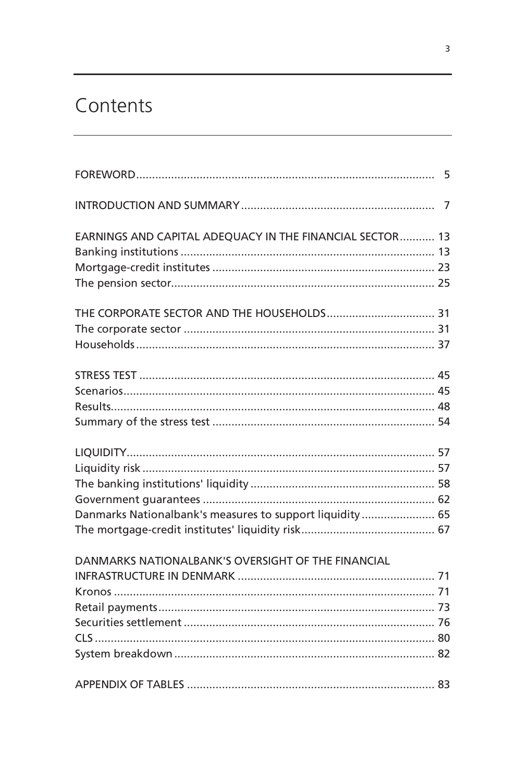# Contents

| EARNINGS AND CAPITAL ADEQUACY IN THE FINANCIAL SECTOR 13 |  |
|----------------------------------------------------------|--|
|                                                          |  |
|                                                          |  |
|                                                          |  |
|                                                          |  |
|                                                          |  |
|                                                          |  |
|                                                          |  |
|                                                          |  |
|                                                          |  |
|                                                          |  |
|                                                          |  |
|                                                          |  |
|                                                          |  |
|                                                          |  |
| Danmarks Nationalbank's measures to support liquidity 65 |  |
|                                                          |  |
| DANMARKS NATIONALBANK'S OVERSIGHT OF THE FINANCIAL       |  |
|                                                          |  |
|                                                          |  |
|                                                          |  |
|                                                          |  |
|                                                          |  |
|                                                          |  |
|                                                          |  |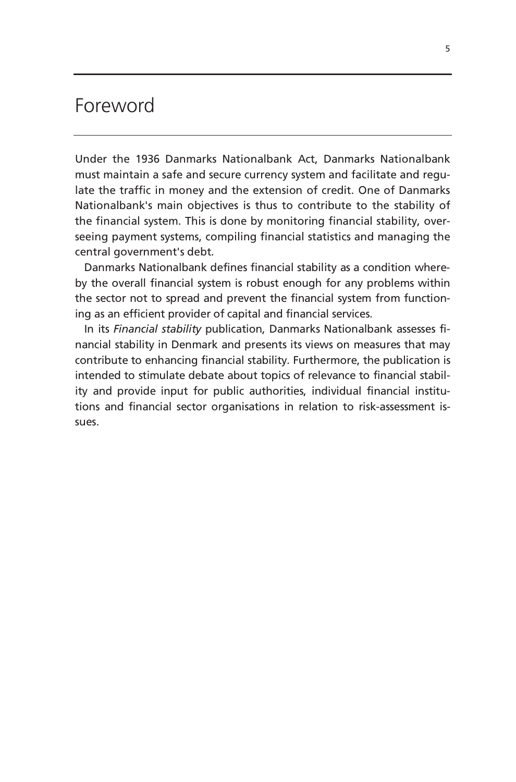# Foreword

Under the 1936 Danmarks Nationalbank Act, Danmarks Nationalbank must maintain a safe and secure currency system and facilitate and regulate the traffic in money and the extension of credit. One of Danmarks Nationalbank's main objectives is thus to contribute to the stability of the financial system. This is done by monitoring financial stability, overseeing payment systems, compiling financial statistics and managing the central government's debt.

Danmarks Nationalbank defines financial stability as a condition whereby the overall financial system is robust enough for any problems within the sector not to spread and prevent the financial system from functioning as an efficient provider of capital and financial services.

In its *Financial stability* publication, Danmarks Nationalbank assesses financial stability in Denmark and presents its views on measures that may contribute to enhancing financial stability. Furthermore, the publication is intended to stimulate debate about topics of relevance to financial stability and provide input for public authorities, individual financial institutions and financial sector organisations in relation to risk-assessment issues.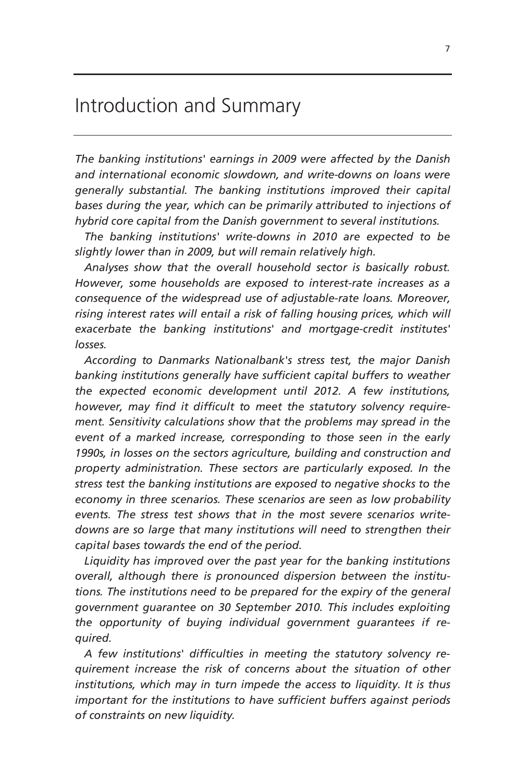# Introduction and Summary

*The banking institutions' earnings in 2009 were affected by the Danish and international economic slowdown, and write-downs on loans were generally substantial. The banking institutions improved their capital bases during the year, which can be primarily attributed to injections of hybrid core capital from the Danish government to several institutions.* 

*The banking institutions' write-downs in 2010 are expected to be slightly lower than in 2009, but will remain relatively high.* 

*Analyses show that the overall household sector is basically robust. However, some households are exposed to interest-rate increases as a consequence of the widespread use of adjustable-rate loans. Moreover,*  rising interest rates will entail a risk of falling housing prices, which will *exacerbate the banking institutions' and mortgage-credit institutes' losses.* 

*According to Danmarks Nationalbank's stress test, the major Danish banking institutions generally have sufficient capital buffers to weather the expected economic development until 2012. A few institutions, however, may find it difficult to meet the statutory solvency requirement. Sensitivity calculations show that the problems may spread in the event of a marked increase, corresponding to those seen in the early 1990s, in losses on the sectors agriculture, building and construction and property administration. These sectors are particularly exposed. In the stress test the banking institutions are exposed to negative shocks to the economy in three scenarios. These scenarios are seen as low probability events. The stress test shows that in the most severe scenarios writedowns are so large that many institutions will need to strengthen their capital bases towards the end of the period.* 

*Liquidity has improved over the past year for the banking institutions overall, although there is pronounced dispersion between the institutions. The institutions need to be prepared for the expiry of the general government guarantee on 30 September 2010. This includes exploiting the opportunity of buying individual government guarantees if required.* 

*A few institutions' difficulties in meeting the statutory solvency requirement increase the risk of concerns about the situation of other institutions, which may in turn impede the access to liquidity. It is thus important for the institutions to have sufficient buffers against periods of constraints on new liquidity.*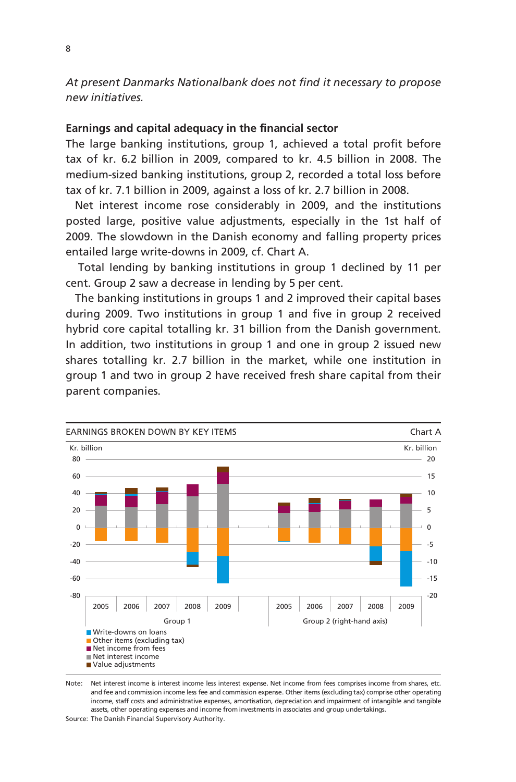*At present Danmarks Nationalbank does not find it necessary to propose new initiatives.* 

# **Earnings and capital adequacy in the financial sector**

The large banking institutions, group 1, achieved a total profit before tax of kr. 6.2 billion in 2009, compared to kr. 4.5 billion in 2008. The medium-sized banking institutions, group 2, recorded a total loss before tax of kr. 7.1 billion in 2009, against a loss of kr. 2.7 billion in 2008.

Net interest income rose considerably in 2009, and the institutions posted large, positive value adjustments, especially in the 1st half of 2009. The slowdown in the Danish economy and falling property prices entailed large write-downs in 2009, cf. Chart A.

 Total lending by banking institutions in group 1 declined by 11 per cent. Group 2 saw a decrease in lending by 5 per cent.

The banking institutions in groups 1 and 2 improved their capital bases during 2009. Two institutions in group 1 and five in group 2 received hybrid core capital totalling kr. 31 billion from the Danish government. In addition, two institutions in group 1 and one in group 2 issued new shares totalling kr. 2.7 billion in the market, while one institution in group 1 and two in group 2 have received fresh share capital from their parent companies.



Note: Net interest income is interest income less interest expense. Net income from fees comprises income from shares, etc. and fee and commission income less fee and commission expense. Other items (excluding tax) comprise other operating income, staff costs and administrative expenses, amortisation, depreciation and impairment of intangible and tangible assets, other operating expenses and income from investments in associates and group undertakings.

Source: The Danish Financial Supervisory Authority.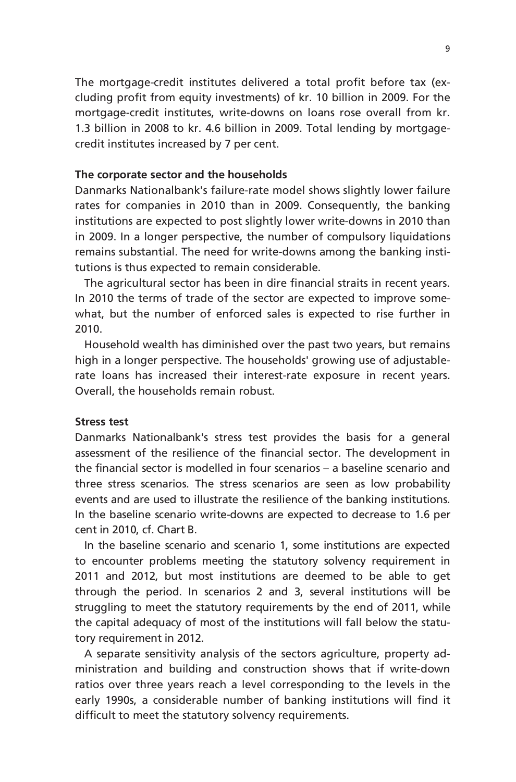The mortgage-credit institutes delivered a total profit before tax (excluding profit from equity investments) of kr. 10 billion in 2009. For the mortgage-credit institutes, write-downs on loans rose overall from kr. 1.3 billion in 2008 to kr. 4.6 billion in 2009. Total lending by mortgagecredit institutes increased by 7 per cent.

## **The corporate sector and the households**

Danmarks Nationalbank's failure-rate model shows slightly lower failure rates for companies in 2010 than in 2009. Consequently, the banking institutions are expected to post slightly lower write-downs in 2010 than in 2009. In a longer perspective, the number of compulsory liquidations remains substantial. The need for write-downs among the banking institutions is thus expected to remain considerable.

The agricultural sector has been in dire financial straits in recent years. In 2010 the terms of trade of the sector are expected to improve somewhat, but the number of enforced sales is expected to rise further in 2010.

Household wealth has diminished over the past two years, but remains high in a longer perspective. The households' growing use of adjustablerate loans has increased their interest-rate exposure in recent years. Overall, the households remain robust.

## **Stress test**

Danmarks Nationalbank's stress test provides the basis for a general assessment of the resilience of the financial sector. The development in the financial sector is modelled in four scenarios – a baseline scenario and three stress scenarios. The stress scenarios are seen as low probability events and are used to illustrate the resilience of the banking institutions. In the baseline scenario write-downs are expected to decrease to 1.6 per cent in 2010, cf. Chart B.

In the baseline scenario and scenario 1, some institutions are expected to encounter problems meeting the statutory solvency requirement in 2011 and 2012, but most institutions are deemed to be able to get through the period. In scenarios 2 and 3, several institutions will be struggling to meet the statutory requirements by the end of 2011, while the capital adequacy of most of the institutions will fall below the statutory requirement in 2012.

A separate sensitivity analysis of the sectors agriculture, property administration and building and construction shows that if write-down ratios over three years reach a level corresponding to the levels in the early 1990s, a considerable number of banking institutions will find it difficult to meet the statutory solvency requirements.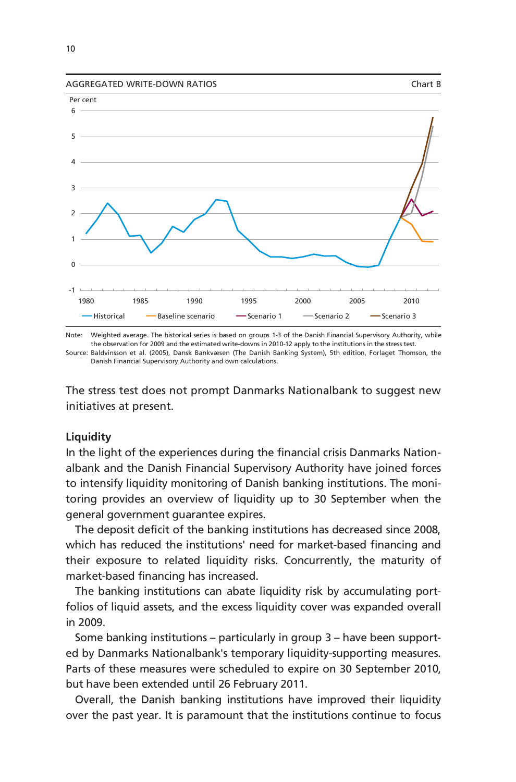



Note: Weighted average. The historical series is based on groups 1-3 of the Danish Financial Supervisory Authority, while the observation for 2009 and the estimated write-downs in 2010-12 apply to the institutions in the stress test.

Source: Baldvinsson et al. (2005), Dansk Bankvæsen (The Danish Banking System), 5th edition, Forlaget Thomson, the Danish Financial Supervisory Authority and own calculations.

The stress test does not prompt Danmarks Nationalbank to suggest new initiatives at present.

# **Liquidity**

In the light of the experiences during the financial crisis Danmarks Nationalbank and the Danish Financial Supervisory Authority have joined forces to intensify liquidity monitoring of Danish banking institutions. The monitoring provides an overview of liquidity up to 30 September when the general government guarantee expires.

The deposit deficit of the banking institutions has decreased since 2008, which has reduced the institutions' need for market-based financing and their exposure to related liquidity risks. Concurrently, the maturity of market-based financing has increased.

The banking institutions can abate liquidity risk by accumulating portfolios of liquid assets, and the excess liquidity cover was expanded overall in 2009.

Some banking institutions – particularly in group 3 – have been supported by Danmarks Nationalbank's temporary liquidity-supporting measures. Parts of these measures were scheduled to expire on 30 September 2010, but have been extended until 26 February 2011.

Overall, the Danish banking institutions have improved their liquidity over the past year. It is paramount that the institutions continue to focus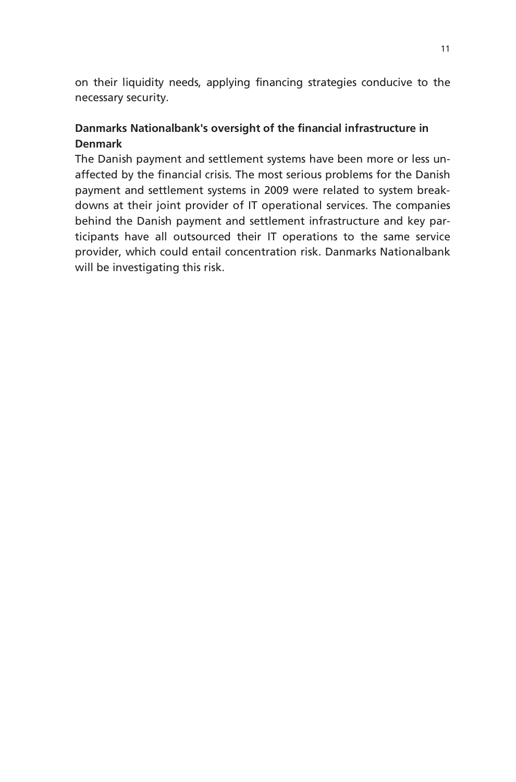on their liquidity needs, applying financing strategies conducive to the necessary security.

# **Danmarks Nationalbank's oversight of the financial infrastructure in Denmark**

The Danish payment and settlement systems have been more or less unaffected by the financial crisis. The most serious problems for the Danish payment and settlement systems in 2009 were related to system breakdowns at their joint provider of IT operational services. The companies behind the Danish payment and settlement infrastructure and key participants have all outsourced their IT operations to the same service provider, which could entail concentration risk. Danmarks Nationalbank will be investigating this risk.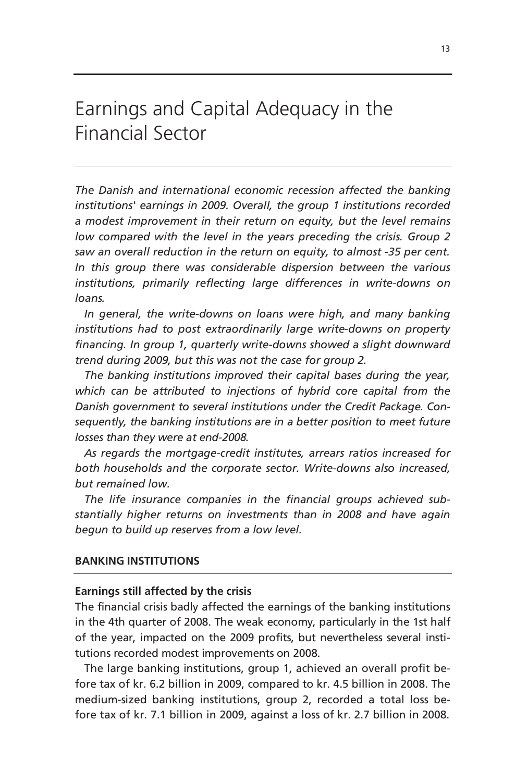# Earnings and Capital Adequacy in the Financial Sector

*The Danish and international economic recession affected the banking institutions' earnings in 2009. Overall, the group 1 institutions recorded a modest improvement in their return on equity, but the level remains low compared with the level in the years preceding the crisis. Group 2 saw an overall reduction in the return on equity, to almost -35 per cent. In this group there was considerable dispersion between the various institutions, primarily reflecting large differences in write-downs on loans.* 

In general, the write-downs on loans were high, and many banking *institutions had to post extraordinarily large write-downs on property financing. In group 1, quarterly write-downs showed a slight downward trend during 2009, but this was not the case for group 2.* 

*The banking institutions improved their capital bases during the year, which can be attributed to injections of hybrid core capital from the Danish government to several institutions under the Credit Package. Consequently, the banking institutions are in a better position to meet future losses than they were at end-2008.* 

*As regards the mortgage-credit institutes, arrears ratios increased for both households and the corporate sector. Write-downs also increased, but remained low.* 

*The life insurance companies in the financial groups achieved substantially higher returns on investments than in 2008 and have again begun to build up reserves from a low level.* 

# **BANKING INSTITUTIONS**

# **Earnings still affected by the crisis**

The financial crisis badly affected the earnings of the banking institutions in the 4th quarter of 2008. The weak economy, particularly in the 1st half of the year, impacted on the 2009 profits, but nevertheless several institutions recorded modest improvements on 2008.

The large banking institutions, group 1, achieved an overall profit before tax of kr. 6.2 billion in 2009, compared to kr. 4.5 billion in 2008. The medium-sized banking institutions, group 2, recorded a total loss before tax of kr. 7.1 billion in 2009, against a loss of kr. 2.7 billion in 2008.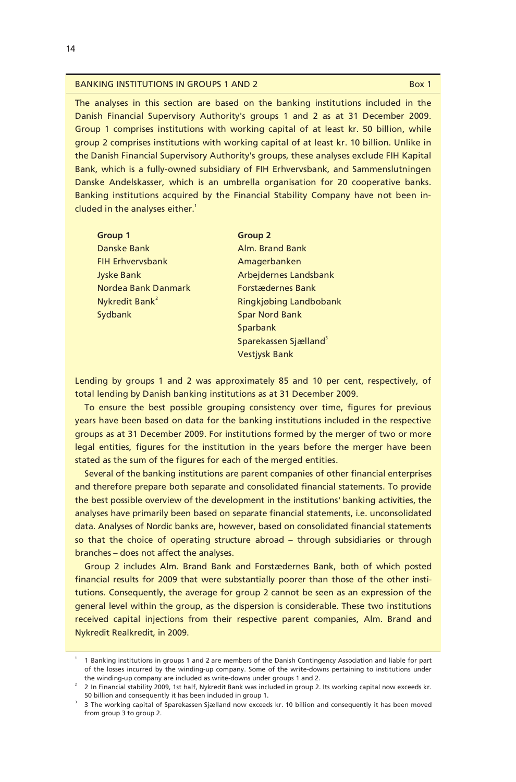#### BANKING INSTITUTIONS IN GROUPS 1 AND 2 BOX 1

The analyses in this section are based on the banking institutions included in the Danish Financial Supervisory Authority's groups 1 and 2 as at 31 December 2009. Group 1 comprises institutions with working capital of at least kr. 50 billion, while group 2 comprises institutions with working capital of at least kr. 10 billion. Unlike in the Danish Financial Supervisory Authority's groups, these analyses exclude FIH Kapital Bank, which is a fully-owned subsidiary of FIH Erhvervsbank, and Sammenslutningen Danske Andelskasser, which is an umbrella organisation for 20 cooperative banks. Banking institutions acquired by the Financial Stability Company have not been included in the analyses either. $1$ 

| <b>Group 1</b>             | <b>Group 2</b>                    |
|----------------------------|-----------------------------------|
| Danske Bank                | Alm. Brand Bank                   |
| <b>FIH Erhverysbank</b>    | Amagerbanken                      |
| <b>Jyske Bank</b>          | Arbejdernes Landsbank             |
| Nordea Bank Danmark        | <b>Forstædernes Bank</b>          |
| Nykredit Bank <sup>2</sup> | Ringkjøbing Landbobank            |
| Sydbank                    | <b>Spar Nord Bank</b>             |
|                            | Sparbank                          |
|                            | Sparekassen Sjælland <sup>3</sup> |
|                            | <b>Vestivsk Bank</b>              |

Lending by groups 1 and 2 was approximately 85 and 10 per cent, respectively, of total lending by Danish banking institutions as at 31 December 2009.

To ensure the best possible grouping consistency over time, figures for previous years have been based on data for the banking institutions included in the respective groups as at 31 December 2009. For institutions formed by the merger of two or more legal entities, figures for the institution in the years before the merger have been stated as the sum of the figures for each of the merged entities.

Several of the banking institutions are parent companies of other financial enterprises and therefore prepare both separate and consolidated financial statements. To provide the best possible overview of the development in the institutions' banking activities, the analyses have primarily been based on separate financial statements, i.e. unconsolidated data. Analyses of Nordic banks are, however, based on consolidated financial statements so that the choice of operating structure abroad – through subsidiaries or through branches – does not affect the analyses.

Group 2 includes Alm. Brand Bank and Forstædernes Bank, both of which posted financial results for 2009 that were substantially poorer than those of the other institutions. Consequently, the average for group 2 cannot be seen as an expression of the general level within the group, as the dispersion is considerable. These two institutions received capital injections from their respective parent companies, Alm. Brand and Nykredit Realkredit, in 2009.

<sup>1</sup> 1 Banking institutions in groups 1 and 2 are members of the Danish Contingency Association and liable for part of the losses incurred by the winding-up company. Some of the write-downs pertaining to institutions under the winding-up company are included as write-downs under groups 1 and 2.

<sup>&</sup>lt;sup>2</sup> 2 In Financial stability 2009, 1st half, Nykredit Bank was included in group 2. Its working capital now exceeds kr. 50 billion and consequently it has been included in group 1.

<sup>3</sup> The working capital of Sparekassen Sjælland now exceeds kr. 10 billion and consequently it has been moved from group 3 to group 2.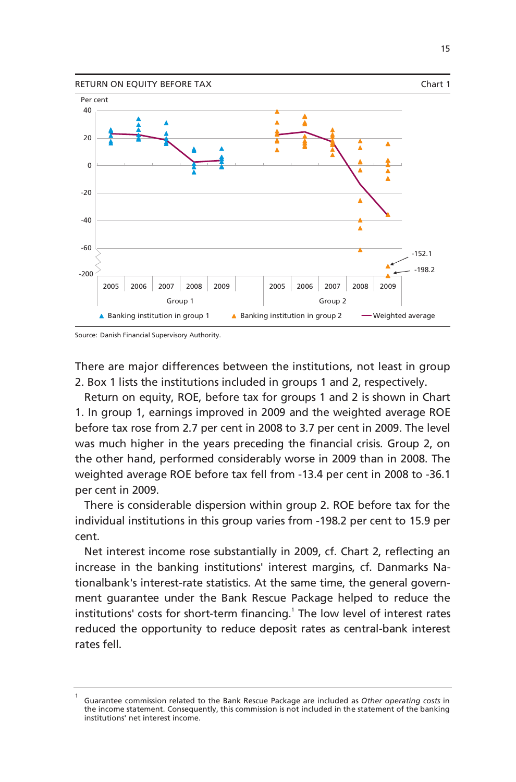

Source: Danish Financial Supervisory Authority.

There are major differences between the institutions, not least in group 2. Box 1 lists the institutions included in groups 1 and 2, respectively.

Return on equity, ROE, before tax for groups 1 and 2 is shown in Chart 1. In group 1, earnings improved in 2009 and the weighted average ROE before tax rose from 2.7 per cent in 2008 to 3.7 per cent in 2009. The level was much higher in the years preceding the financial crisis. Group 2, on the other hand, performed considerably worse in 2009 than in 2008. The weighted average ROE before tax fell from -13.4 per cent in 2008 to -36.1 per cent in 2009.

There is considerable dispersion within group 2. ROE before tax for the individual institutions in this group varies from -198.2 per cent to 15.9 per cent.

Net interest income rose substantially in 2009, cf. Chart 2, reflecting an increase in the banking institutions' interest margins, cf. Danmarks Nationalbank's interest-rate statistics. At the same time, the general government guarantee under the Bank Rescue Package helped to reduce the institutions' costs for short-term financing.<sup>1</sup> The low level of interest rates reduced the opportunity to reduce deposit rates as central-bank interest rates fell.

<sup>1</sup> Guarantee commission related to the Bank Rescue Package are included as *Other operating costs* in the income statement. Consequently, this commission is not included in the statement of the banking institutions' net interest income.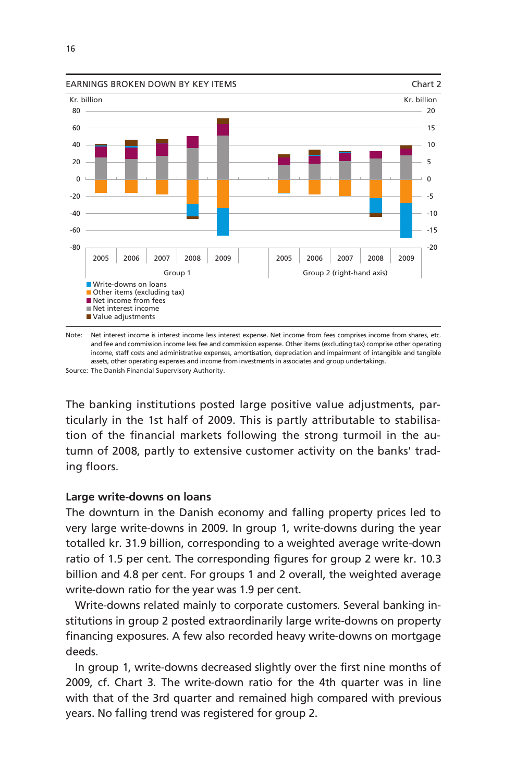



Source: The Danish Financial Supervisory Authority.

The banking institutions posted large positive value adjustments, particularly in the 1st half of 2009. This is partly attributable to stabilisation of the financial markets following the strong turmoil in the autumn of 2008, partly to extensive customer activity on the banks' trading floors.

# **Large write-downs on loans**

The downturn in the Danish economy and falling property prices led to very large write-downs in 2009. In group 1, write-downs during the year totalled kr. 31.9 billion, corresponding to a weighted average write-down ratio of 1.5 per cent. The corresponding figures for group 2 were kr. 10.3 billion and 4.8 per cent. For groups 1 and 2 overall, the weighted average write-down ratio for the year was 1.9 per cent.

Write-downs related mainly to corporate customers. Several banking institutions in group 2 posted extraordinarily large write-downs on property financing exposures. A few also recorded heavy write-downs on mortgage deeds.

In group 1, write-downs decreased slightly over the first nine months of 2009, cf. Chart 3. The write-down ratio for the 4th quarter was in line with that of the 3rd quarter and remained high compared with previous years. No falling trend was registered for group 2.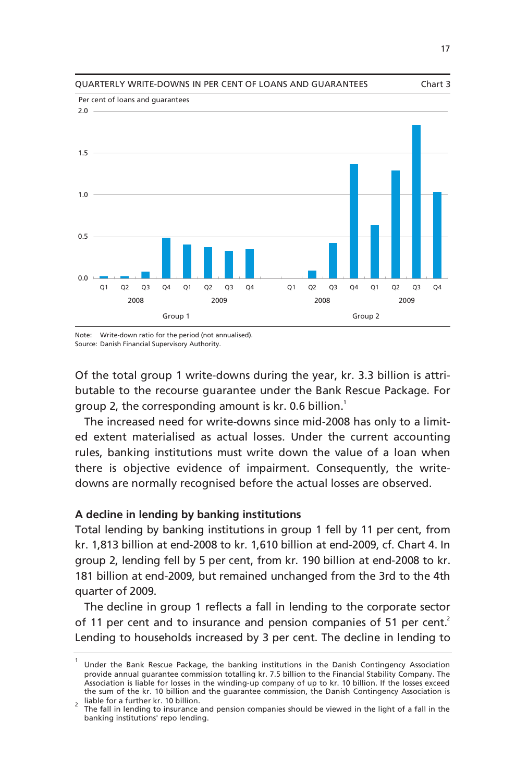

QUARTERLY WRITE-DOWNS IN PER CENT OF LOANS AND GUARANTEES Chart 3

Note: Write-down ratio for the period (not annualised). Source: Danish Financial Supervisory Authority.

Of the total group 1 write-downs during the year, kr. 3.3 billion is attributable to the recourse guarantee under the Bank Rescue Package. For group 2, the corresponding amount is kr. 0.6 billion.<sup>1</sup>

The increased need for write-downs since mid-2008 has only to a limited extent materialised as actual losses. Under the current accounting rules, banking institutions must write down the value of a loan when there is objective evidence of impairment. Consequently, the writedowns are normally recognised before the actual losses are observed.

# **A decline in lending by banking institutions**

Total lending by banking institutions in group 1 fell by 11 per cent, from kr. 1,813 billion at end-2008 to kr. 1,610 billion at end-2009, cf. Chart 4. In group 2, lending fell by 5 per cent, from kr. 190 billion at end-2008 to kr. 181 billion at end-2009, but remained unchanged from the 3rd to the 4th quarter of 2009.

The decline in group 1 reflects a fall in lending to the corporate sector of 11 per cent and to insurance and pension companies of 51 per cent.<sup>2</sup> Lending to households increased by 3 per cent. The decline in lending to

<sup>1</sup> Under the Bank Rescue Package, the banking institutions in the Danish Contingency Association provide annual guarantee commission totalling kr. 7.5 billion to the Financial Stability Company. The Association is liable for losses in the winding-up company of up to kr. 10 billion. If the losses exceed the sum of the kr. 10 billion and the guarantee commission, the Danish Contingency Association is  $_2$  liable for a further kr. 10 billion.

The fall in lending to insurance and pension companies should be viewed in the light of a fall in the banking institutions' repo lending.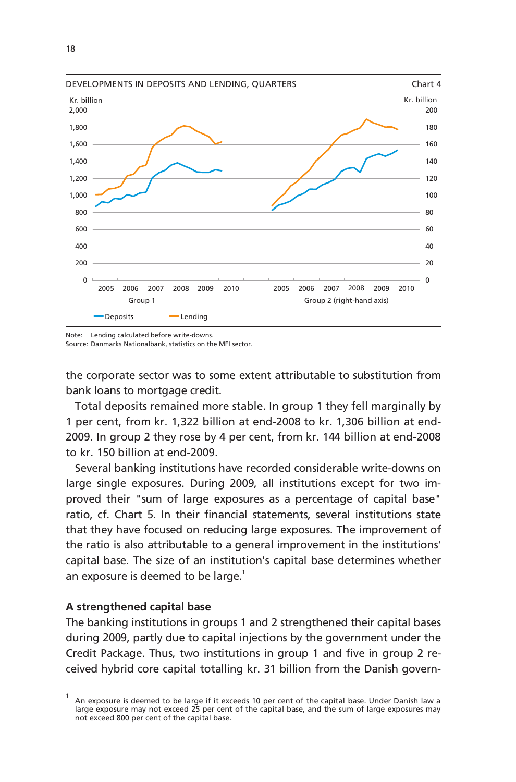

Note: Lending calculated before write-downs.

Source: Danmarks Nationalbank, statistics on the MFI sector.

the corporate sector was to some extent attributable to substitution from bank loans to mortgage credit.

Total deposits remained more stable. In group 1 they fell marginally by 1 per cent, from kr. 1,322 billion at end-2008 to kr. 1,306 billion at end-2009. In group 2 they rose by 4 per cent, from kr. 144 billion at end-2008 to kr. 150 billion at end-2009.

Several banking institutions have recorded considerable write-downs on large single exposures. During 2009, all institutions except for two improved their "sum of large exposures as a percentage of capital base" ratio, cf. Chart 5. In their financial statements, several institutions state that they have focused on reducing large exposures. The improvement of the ratio is also attributable to a general improvement in the institutions' capital base. The size of an institution's capital base determines whether an exposure is deemed to be large.<sup>1</sup>

# **A strengthened capital base**

The banking institutions in groups 1 and 2 strengthened their capital bases during 2009, partly due to capital injections by the government under the Credit Package. Thus, two institutions in group 1 and five in group 2 received hybrid core capital totalling kr. 31 billion from the Danish govern-

<sup>1</sup> An exposure is deemed to be large if it exceeds 10 per cent of the capital base. Under Danish law a large exposure may not exceed 25 per cent of the capital base, and the sum of large exposures may not exceed 800 per cent of the capital base.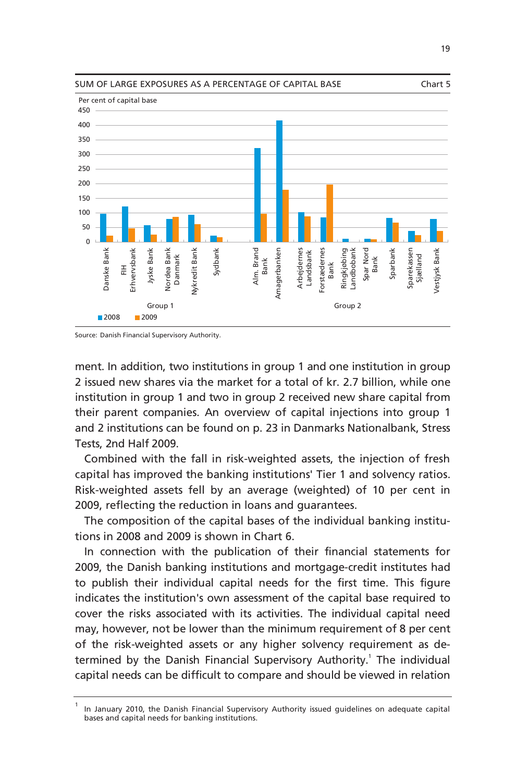



ment. In addition, two institutions in group 1 and one institution in group 2 issued new shares via the market for a total of kr. 2.7 billion, while one institution in group 1 and two in group 2 received new share capital from their parent companies. An overview of capital injections into group 1 and 2 institutions can be found on p. 23 in Danmarks Nationalbank, Stress Tests, 2nd Half 2009.

Combined with the fall in risk-weighted assets, the injection of fresh capital has improved the banking institutions' Tier 1 and solvency ratios. Risk-weighted assets fell by an average (weighted) of 10 per cent in 2009, reflecting the reduction in loans and guarantees.

The composition of the capital bases of the individual banking institutions in 2008 and 2009 is shown in Chart 6.

In connection with the publication of their financial statements for 2009, the Danish banking institutions and mortgage-credit institutes had to publish their individual capital needs for the first time. This figure indicates the institution's own assessment of the capital base required to cover the risks associated with its activities. The individual capital need may, however, not be lower than the minimum requirement of 8 per cent of the risk-weighted assets or any higher solvency requirement as determined by the Danish Financial Supervisory Authority.<sup>1</sup> The individual capital needs can be difficult to compare and should be viewed in relation

<sup>1</sup> In January 2010, the Danish Financial Supervisory Authority issued guidelines on adequate capital bases and capital needs for banking institutions.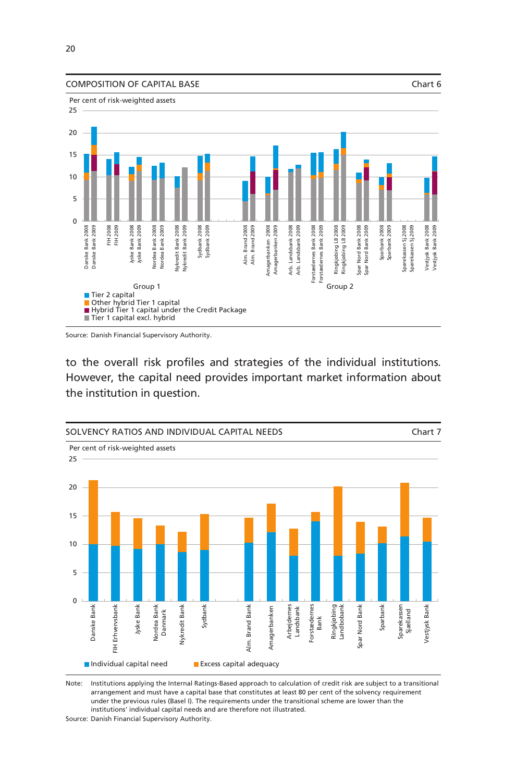

Source: Danish Financial Supervisory Authority.

to the overall risk profiles and strategies of the individual institutions. However, the capital need provides important market information about the institution in question.



Note: Institutions applying the Internal Ratings-Based approach to calculation of credit risk are subject to a transitional arrangement and must have a capital base that constitutes at least 80 per cent of the solvency requirement under the previous rules (Basel I). The requirements under the transitional scheme are lower than the institutions' individual capital needs and are therefore not illustrated.

Source: Danish Financial Supervisory Authority.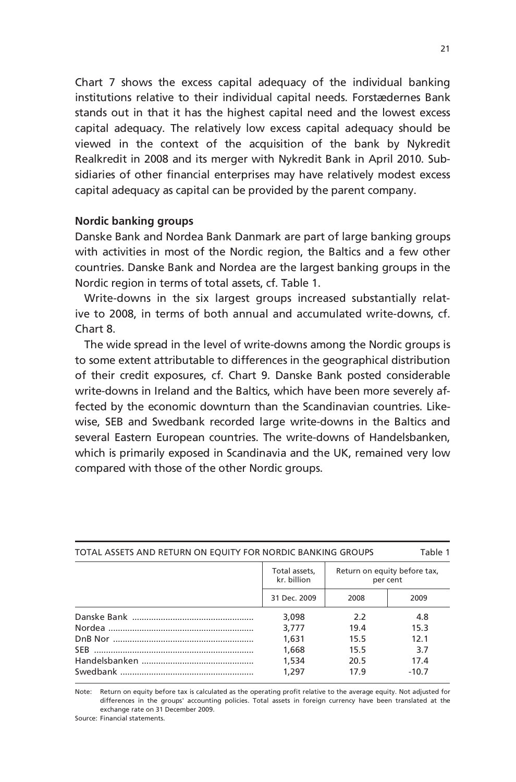Chart 7 shows the excess capital adequacy of the individual banking institutions relative to their individual capital needs. Forstædernes Bank stands out in that it has the highest capital need and the lowest excess capital adequacy. The relatively low excess capital adequacy should be viewed in the context of the acquisition of the bank by Nykredit Realkredit in 2008 and its merger with Nykredit Bank in April 2010. Subsidiaries of other financial enterprises may have relatively modest excess capital adequacy as capital can be provided by the parent company.

# **Nordic banking groups**

Danske Bank and Nordea Bank Danmark are part of large banking groups with activities in most of the Nordic region, the Baltics and a few other countries. Danske Bank and Nordea are the largest banking groups in the Nordic region in terms of total assets, cf. Table 1.

Write-downs in the six largest groups increased substantially relative to 2008, in terms of both annual and accumulated write-downs, cf. Chart 8.

The wide spread in the level of write-downs among the Nordic groups is to some extent attributable to differences in the geographical distribution of their credit exposures, cf. Chart 9. Danske Bank posted considerable write-downs in Ireland and the Baltics, which have been more severely affected by the economic downturn than the Scandinavian countries. Likewise, SEB and Swedbank recorded large write-downs in the Baltics and several Eastern European countries. The write-downs of Handelsbanken, which is primarily exposed in Scandinavia and the UK, remained very low compared with those of the other Nordic groups.

| TOTAL ASSETS AND RETURN ON EQUITY FOR NORDIC BANKING GROUPS<br>Table 1 |                              |                                          |         |  |  |
|------------------------------------------------------------------------|------------------------------|------------------------------------------|---------|--|--|
|                                                                        | Total assets,<br>kr. billion | Return on equity before tax,<br>per cent |         |  |  |
|                                                                        | 31 Dec. 2009                 | 2008                                     | 2009    |  |  |
|                                                                        | 3,098                        | 2.2                                      | 4.8     |  |  |
|                                                                        | 3.777                        | 19.4                                     | 15.3    |  |  |
|                                                                        | 1.631                        | 15.5                                     | 12.1    |  |  |
|                                                                        | 1,668                        | 15.5                                     | 3.7     |  |  |
|                                                                        | 1,534                        | 20.5                                     | 17.4    |  |  |
|                                                                        | 1.297                        | 17.9                                     | $-10.7$ |  |  |

Note: Return on equity before tax is calculated as the operating profit relative to the average equity. Not adjusted for differences in the groups' accounting policies. Total assets in foreign currency have been translated at the exchange rate on 31 December 2009.

Source: Financial statements.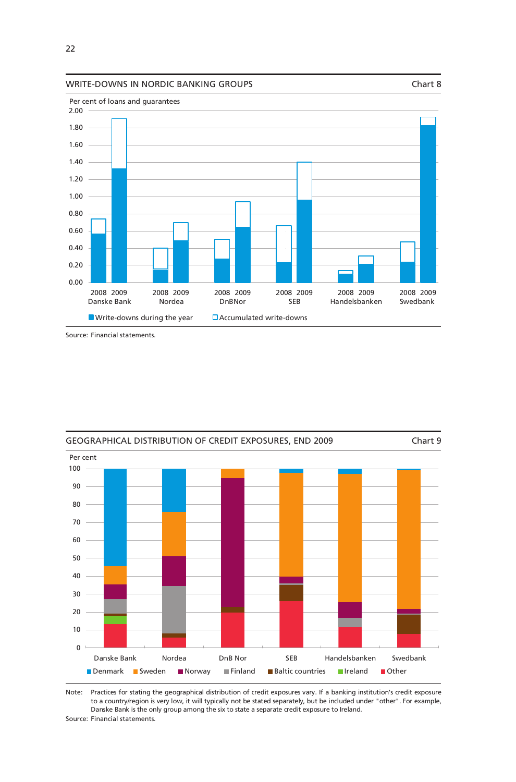#### WRITE-DOWNS IN NORDIC BANKING GROUPS THE CHARGE OF THE CHARGE Chart 8



Source: Financial statements.



Note: Practices for stating the geographical distribution of credit exposures vary. If a banking institution's credit exposure to a country/region is very low, it will typically not be stated separately, but be included under "other". For example, Danske Bank is the only group among the six to state a separate credit exposure to Ireland.

Source: Financial statements.

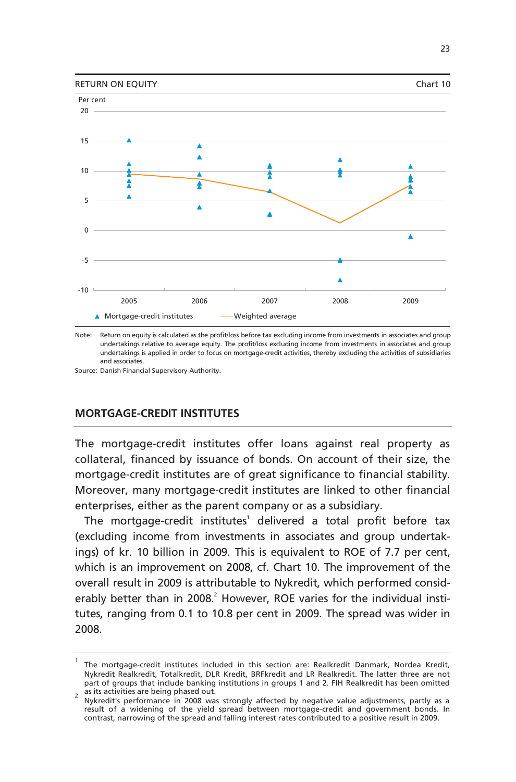

Note: Return on equity is calculated as the profit/loss before tax excluding income from investments in associates and group undertakings relative to average equity. The profit/loss excluding income from investments in associates and group undertakings is applied in order to focus on mortgage-credit activities, thereby excluding the activities of subsidiaries and associates.

Source: Danish Financial Supervisory Authority.

# **MORTGAGE-CREDIT INSTITUTES**

The mortgage-credit institutes offer loans against real property as collateral, financed by issuance of bonds. On account of their size, the mortgage-credit institutes are of great significance to financial stability. Moreover, many mortgage-credit institutes are linked to other financial enterprises, either as the parent company or as a subsidiary.

The mortgage-credit institutes<sup>1</sup> delivered a total profit before tax (excluding income from investments in associates and group undertakings) of kr. 10 billion in 2009. This is equivalent to ROE of 7.7 per cent, which is an improvement on 2008, cf. Chart 10. The improvement of the overall result in 2009 is attributable to Nykredit, which performed considerably better than in 2008.<sup>2</sup> However, ROE varies for the individual institutes, ranging from 0.1 to 10.8 per cent in 2009. The spread was wider in 2008.

<sup>1</sup> The mortgage-credit institutes included in this section are: Realkredit Danmark, Nordea Kredit, Nykredit Realkredit, Totalkredit, DLR Kredit, BRFkredit and LR Realkredit. The latter three are not part of groups that include banking institutions in groups 1 and 2. FIH Realkredit has been omitted as its activities are being phased out.

Nykredit's performance in 2008 was strongly affected by negative value adjustments, partly as a result of a widening of the yield spread between mortgage-credit and government bonds. In contrast, narrowing of the spread and falling interest rates contributed to a positive result in 2009.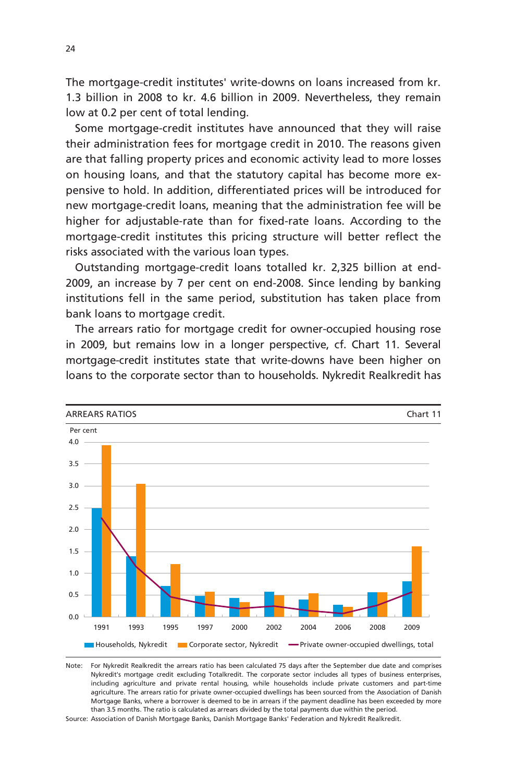The mortgage-credit institutes' write-downs on loans increased from kr. 1.3 billion in 2008 to kr. 4.6 billion in 2009. Nevertheless, they remain low at 0.2 per cent of total lending.

Some mortgage-credit institutes have announced that they will raise their administration fees for mortgage credit in 2010. The reasons given are that falling property prices and economic activity lead to more losses on housing loans, and that the statutory capital has become more expensive to hold. In addition, differentiated prices will be introduced for new mortgage-credit loans, meaning that the administration fee will be higher for adjustable-rate than for fixed-rate loans. According to the mortgage-credit institutes this pricing structure will better reflect the risks associated with the various loan types.

Outstanding mortgage-credit loans totalled kr. 2,325 billion at end-2009, an increase by 7 per cent on end-2008. Since lending by banking institutions fell in the same period, substitution has taken place from bank loans to mortgage credit.

The arrears ratio for mortgage credit for owner-occupied housing rose in 2009, but remains low in a longer perspective, cf. Chart 11. Several mortgage-credit institutes state that write-downs have been higher on loans to the corporate sector than to households. Nykredit Realkredit has



Note: For Nykredit Realkredit the arrears ratio has been calculated 75 days after the September due date and comprises Nykredit's mortgage credit excluding Totalkredit. The corporate sector includes all types of business enterprises, including agriculture and private rental housing, while households include private customers and part-time agriculture. The arrears ratio for private owner-occupied dwellings has been sourced from the Association of Danish Mortgage Banks, where a borrower is deemed to be in arrears if the payment deadline has been exceeded by more than 3.5 months. The ratio is calculated as arrears divided by the total payments due within the period.

Source: Association of Danish Mortgage Banks, Danish Mortgage Banks' Federation and Nykredit Realkredit.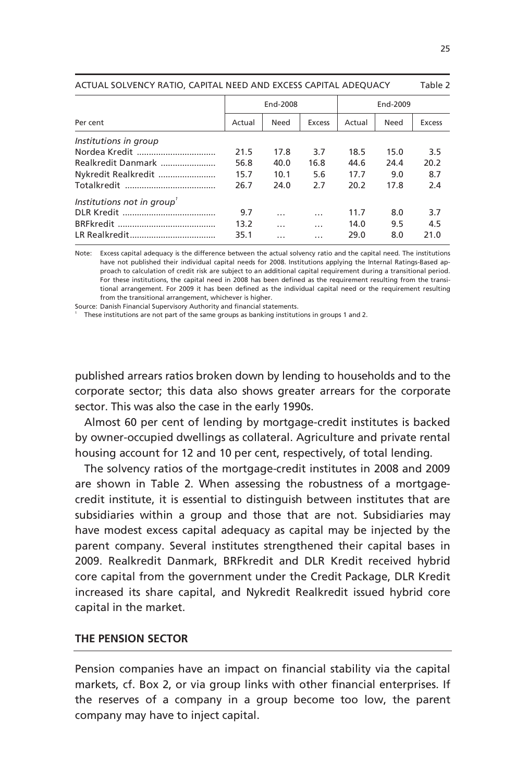| ACTUAL SULVENCT INTIID, CALITAL NEED AND EACLSS CALITAL ADLOUACT<br>Tault 4 |        |          |               |          |      |        |
|-----------------------------------------------------------------------------|--------|----------|---------------|----------|------|--------|
|                                                                             |        | End-2008 |               | End-2009 |      |        |
| Per cent                                                                    | Actual | Need     | <b>Excess</b> | Actual   | Need | Excess |
| Institutions in group                                                       |        |          |               |          |      |        |
|                                                                             | 21.5   | 17.8     | 3.7           | 18.5     | 15.0 | 3.5    |
| Realkredit Danmark                                                          | 56.8   | 40.0     | 16.8          | 44.6     | 24.4 | 20.2   |
| Nykredit Realkredit                                                         | 15.7   | 10.1     | 5.6           | 17.7     | 9.0  | 8.7    |
|                                                                             | 26.7   | 24.0     | 2.7           | 20.2     | 17.8 | 2.4    |
| Institutions not in group'                                                  |        |          |               |          |      |        |
|                                                                             | 9.7    | .        | .             | 11.7     | 8.0  | 3.7    |
|                                                                             | 13.2   | .        | .             | 14.0     | 9.5  | 4.5    |
|                                                                             | 35.1   | .        | .             | 29.0     | 8.0  | 21.0   |

ACTUAL SOLVENCY RATIO, CAPITAL NEED AND EXCESS CAPITAL ADEQUACY Table 2

Note: Excess capital adequacy is the difference between the actual solvency ratio and the capital need. The institutions have not published their individual capital needs for 2008. Institutions applying the Internal Ratings-Based approach to calculation of credit risk are subject to an additional capital requirement during a transitional period. For these institutions, the capital need in 2008 has been defined as the requirement resulting from the transitional arrangement. For 2009 it has been defined as the individual capital need or the requirement resulting from the transitional arrangement, whichever is higher.

Source: Danish Financial Supervisory Authority and financial statements.

These institutions are not part of the same groups as banking institutions in groups 1 and 2.

published arrears ratios broken down by lending to households and to the corporate sector; this data also shows greater arrears for the corporate sector. This was also the case in the early 1990s.

Almost 60 per cent of lending by mortgage-credit institutes is backed by owner-occupied dwellings as collateral. Agriculture and private rental housing account for 12 and 10 per cent, respectively, of total lending.

The solvency ratios of the mortgage-credit institutes in 2008 and 2009 are shown in Table 2. When assessing the robustness of a mortgagecredit institute, it is essential to distinguish between institutes that are subsidiaries within a group and those that are not. Subsidiaries may have modest excess capital adequacy as capital may be injected by the parent company. Several institutes strengthened their capital bases in 2009. Realkredit Danmark, BRFkredit and DLR Kredit received hybrid core capital from the government under the Credit Package, DLR Kredit increased its share capital, and Nykredit Realkredit issued hybrid core capital in the market.

## **THE PENSION SECTOR**

Pension companies have an impact on financial stability via the capital markets, cf. Box 2, or via group links with other financial enterprises. If the reserves of a company in a group become too low, the parent company may have to inject capital.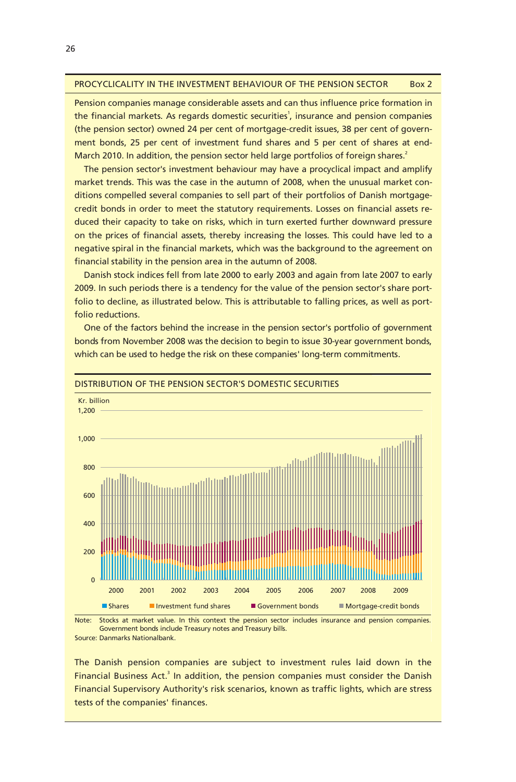#### PROCYCLICALITY IN THE INVESTMENT BEHAVIOUR OF THE PENSION SECTOR Box 2

Pension companies manage considerable assets and can thus influence price formation in the financial markets. As regards domestic securities<sup>1</sup>, insurance and pension companies (the pension sector) owned 24 per cent of mortgage-credit issues, 38 per cent of government bonds, 25 per cent of investment fund shares and 5 per cent of shares at end-March 2010. In addition, the pension sector held large portfolios of foreign shares.<sup>2</sup>

The pension sector's investment behaviour may have a procyclical impact and amplify market trends. This was the case in the autumn of 2008, when the unusual market conditions compelled several companies to sell part of their portfolios of Danish mortgagecredit bonds in order to meet the statutory requirements. Losses on financial assets reduced their capacity to take on risks, which in turn exerted further downward pressure on the prices of financial assets, thereby increasing the losses. This could have led to a negative spiral in the financial markets, which was the background to the agreement on financial stability in the pension area in the autumn of 2008.

Danish stock indices fell from late 2000 to early 2003 and again from late 2007 to early 2009. In such periods there is a tendency for the value of the pension sector's share portfolio to decline, as illustrated below. This is attributable to falling prices, as well as portfolio reductions.

One of the factors behind the increase in the pension sector's portfolio of government bonds from November 2008 was the decision to begin to issue 30-year government bonds, which can be used to hedge the risk on these companies' long-term commitments.



DISTRIBUTION OF THE PENSION SECTOR'S DOMESTIC SECURITIES

The Danish pension companies are subject to investment rules laid down in the Financial Business Act.<sup>3</sup> In addition, the pension companies must consider the Danish Financial Supervisory Authority's risk scenarios, known as traffic lights, which are stress tests of the companies' finances.

Note: Stocks at market value. In this context the pension sector includes insurance and pension companies. Source: Danmarks Nationalbank. Government bonds include Treasury notes and Treasury bills.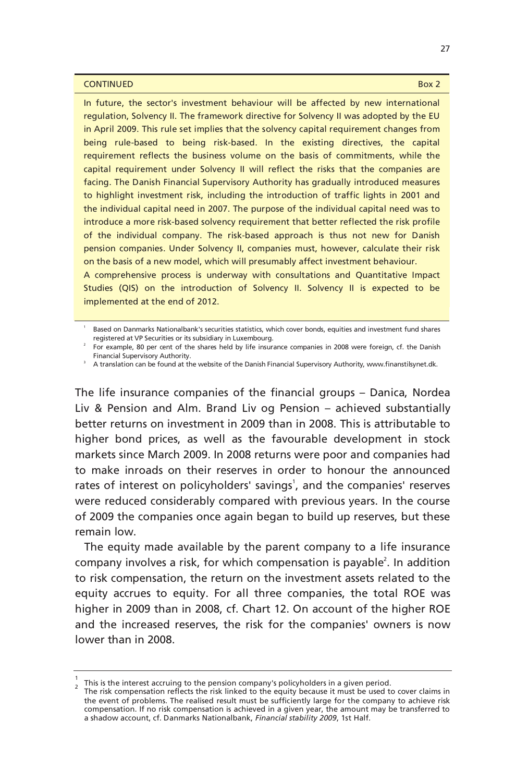#### **CONTINUED** Box 2

In future, the sector's investment behaviour will be affected by new international regulation, Solvency II. The framework directive for Solvency II was adopted by the EU in April 2009. This rule set implies that the solvency capital requirement changes from being rule-based to being risk-based. In the existing directives, the capital requirement reflects the business volume on the basis of commitments, while the capital requirement under Solvency II will reflect the risks that the companies are facing. The Danish Financial Supervisory Authority has gradually introduced measures to highlight investment risk, including the introduction of traffic lights in 2001 and the individual capital need in 2007. The purpose of the individual capital need was to introduce a more risk-based solvency requirement that better reflected the risk profile of the individual company. The risk-based approach is thus not new for Danish pension companies. Under Solvency II, companies must, however, calculate their risk on the basis of a new model, which will presumably affect investment behaviour.

A comprehensive process is underway with consultations and Quantitative Impact Studies (QIS) on the introduction of Solvency II. Solvency II is expected to be implemented at the end of 2012.

The life insurance companies of the financial groups – Danica, Nordea Liv & Pension and Alm. Brand Liv og Pension – achieved substantially better returns on investment in 2009 than in 2008. This is attributable to higher bond prices, as well as the favourable development in stock markets since March 2009. In 2008 returns were poor and companies had to make inroads on their reserves in order to honour the announced rates of interest on policyholders' savings<sup>1</sup>, and the companies' reserves were reduced considerably compared with previous years. In the course of 2009 the companies once again began to build up reserves, but these remain low.

The equity made available by the parent company to a life insurance company involves a risk, for which compensation is payable<sup>2</sup>. In addition to risk compensation, the return on the investment assets related to the equity accrues to equity. For all three companies, the total ROE was higher in 2009 than in 2008, cf. Chart 12. On account of the higher ROE and the increased reserves, the risk for the companies' owners is now lower than in 2008.

<sup>1</sup> Based on Danmarks Nationalbank's securities statistics, which cover bonds, equities and investment fund shares registered at VP Securities or its subsidiary in Luxembourg.<br>For example, 80 per cent of the shares held by life insurance companies in 2008 were foreign, cf. the Danish

Financial Supervisory Authority. 3 A translation can be found at the website of the Danish Financial Supervisory Authority, www.finanstilsynet.dk.

 $\frac{1}{2}$  This is the interest accruing to the pension company's policyholders in a given period.

<sup>&</sup>lt;sup>2</sup> This is the interest accruing to the perision company's policyholders in a given period.<br>The risk compensation reflects the risk linked to the equity because it must be used to cover claims in the event of problems. The realised result must be sufficiently large for the company to achieve risk compensation. If no risk compensation is achieved in a given year, the amount may be transferred to a shadow account, cf. Danmarks Nationalbank, *Financial stability 2009*, 1st Half.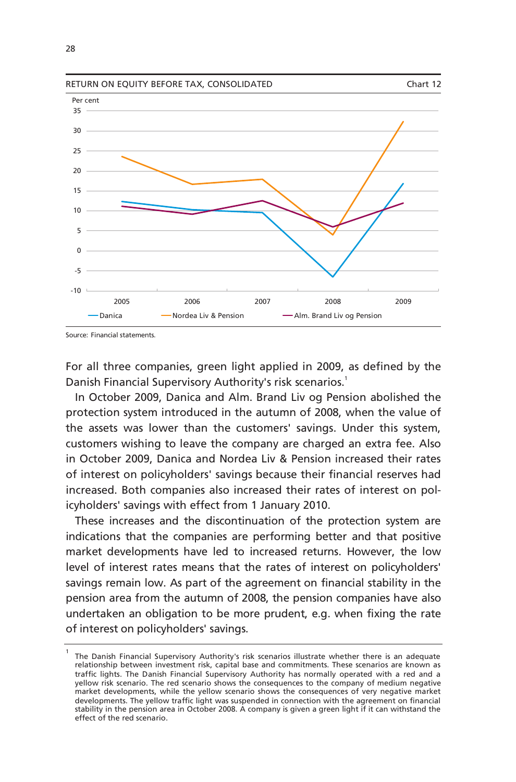

Source: Financial statements.

For all three companies, green light applied in 2009, as defined by the Danish Financial Supervisory Authority's risk scenarios.<sup>1</sup>

In October 2009, Danica and Alm. Brand Liv og Pension abolished the protection system introduced in the autumn of 2008, when the value of the assets was lower than the customers' savings. Under this system, customers wishing to leave the company are charged an extra fee. Also in October 2009, Danica and Nordea Liv & Pension increased their rates of interest on policyholders' savings because their financial reserves had increased. Both companies also increased their rates of interest on policyholders' savings with effect from 1 January 2010.

These increases and the discontinuation of the protection system are indications that the companies are performing better and that positive market developments have led to increased returns. However, the low level of interest rates means that the rates of interest on policyholders' savings remain low. As part of the agreement on financial stability in the pension area from the autumn of 2008, the pension companies have also undertaken an obligation to be more prudent, e.g. when fixing the rate of interest on policyholders' savings.

<sup>1</sup> The Danish Financial Supervisory Authority's risk scenarios illustrate whether there is an adequate relationship between investment risk, capital base and commitments. These scenarios are known as traffic lights. The Danish Financial Supervisory Authority has normally operated with a red and a yellow risk scenario. The red scenario shows the consequences to the company of medium negative market developments, while the yellow scenario shows the consequences of very negative market developments. The yellow traffic light was suspended in connection with the agreement on financial stability in the pension area in October 2008. A company is given a green light if it can withstand the effect of the red scenario.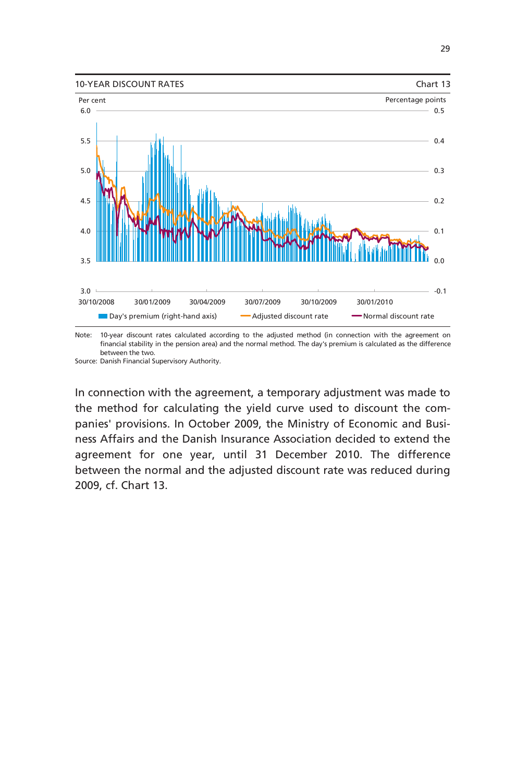

Note: 10-year discount rates calculated according to the adjusted method (in connection with the agreement on financial stability in the pension area) and the normal method. The day's premium is calculated as the difference between the two.

Source: Danish Financial Supervisory Authority.

In connection with the agreement, a temporary adjustment was made to the method for calculating the yield curve used to discount the companies' provisions. In October 2009, the Ministry of Economic and Business Affairs and the Danish Insurance Association decided to extend the agreement for one year, until 31 December 2010. The difference between the normal and the adjusted discount rate was reduced during 2009, cf. Chart 13.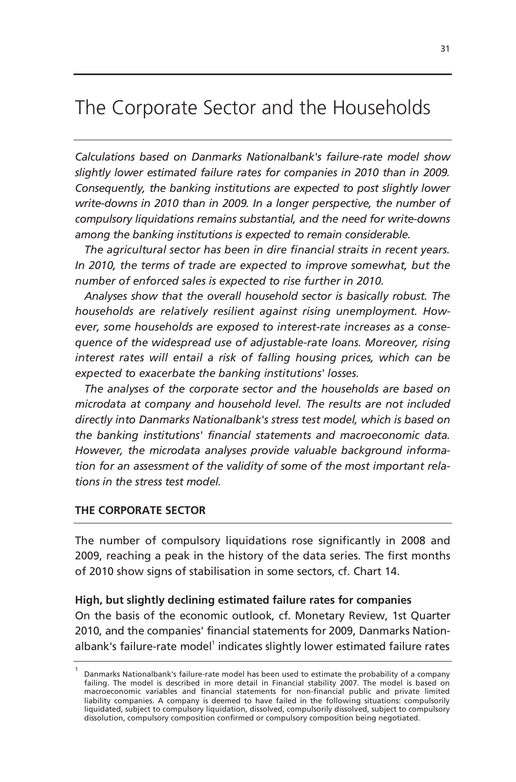# The Corporate Sector and the Households

*Calculations based on Danmarks Nationalbank's failure-rate model show slightly lower estimated failure rates for companies in 2010 than in 2009. Consequently, the banking institutions are expected to post slightly lower write-downs in 2010 than in 2009. In a longer perspective, the number of compulsory liquidations remains substantial, and the need for write-downs among the banking institutions is expected to remain considerable.* 

*The agricultural sector has been in dire financial straits in recent years. In 2010, the terms of trade are expected to improve somewhat, but the number of enforced sales is expected to rise further in 2010.* 

*Analyses show that the overall household sector is basically robust. The households are relatively resilient against rising unemployment. However, some households are exposed to interest-rate increases as a consequence of the widespread use of adjustable-rate loans. Moreover, rising interest rates will entail a risk of falling housing prices, which can be expected to exacerbate the banking institutions' losses.* 

*The analyses of the corporate sector and the households are based on microdata at company and household level. The results are not included directly into Danmarks Nationalbank's stress test model, which is based on the banking institutions' financial statements and macroeconomic data. However, the microdata analyses provide valuable background information for an assessment of the validity of some of the most important relations in the stress test model.*

# **THE CORPORATE SECTOR**

The number of compulsory liquidations rose significantly in 2008 and 2009, reaching a peak in the history of the data series. The first months of 2010 show signs of stabilisation in some sectors, cf. Chart 14.

# **High, but slightly declining estimated failure rates for companies**

On the basis of the economic outlook, cf. Monetary Review, 1st Quarter 2010, and the companies' financial statements for 2009, Danmarks Nationalbank's failure-rate model<sup>1</sup> indicates slightly lower estimated failure rates

<sup>1</sup> Danmarks Nationalbank's failure-rate model has been used to estimate the probability of a company failing. The model is described in more detail in Financial stability 2007. The model is based on macroeconomic variables and financial statements for non-financial public and private limited liability companies. A company is deemed to have failed in the following situations: compulsorily liquidated, subject to compulsory liquidation, dissolved, compulsorily dissolved, subject to compulsory dissolution, compulsory composition confirmed or compulsory composition being negotiated.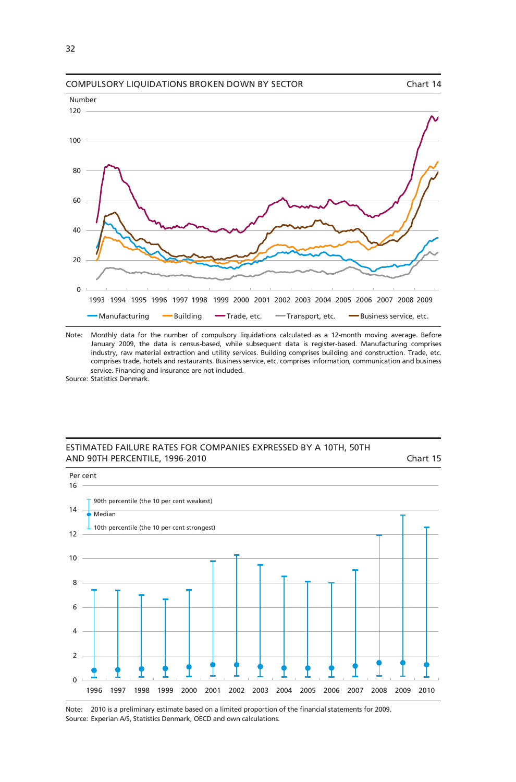

Note: Monthly data for the number of compulsory liquidations calculated as a 12-month moving average. Before January 2009, the data is census-based, while subsequent data is register-based. Manufacturing comprises industry, raw material extraction and utility services. Building comprises building and construction. Trade, etc. comprises trade, hotels and restaurants. Business service, etc. comprises information, communication and business service. Financing and insurance are not included.

Source: Statistics Denmark.

### ESTIMATED FAILURE RATES FOR COMPANIES EXPRESSED BY A 10TH, 50TH AND 90TH PERCENTILE, 1996-2010 Chart 15



Note: 2010 is a preliminary estimate based on a limited proportion of the financial statements for 2009. Source: Experian A/S, Statistics Denmark, OECD and own calculations.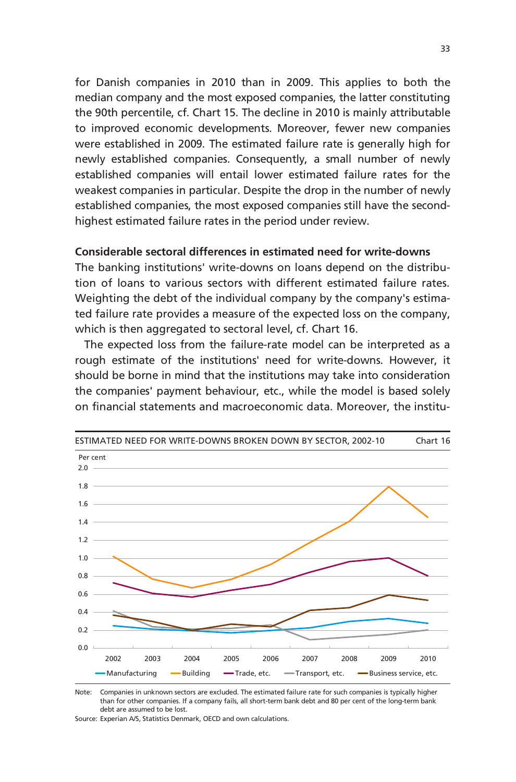for Danish companies in 2010 than in 2009. This applies to both the median company and the most exposed companies, the latter constituting the 90th percentile, cf. Chart 15. The decline in 2010 is mainly attributable to improved economic developments. Moreover, fewer new companies were established in 2009. The estimated failure rate is generally high for newly established companies. Consequently, a small number of newly established companies will entail lower estimated failure rates for the weakest companies in particular. Despite the drop in the number of newly established companies, the most exposed companies still have the secondhighest estimated failure rates in the period under review.

# **Considerable sectoral differences in estimated need for write-downs**

The banking institutions' write-downs on loans depend on the distribution of loans to various sectors with different estimated failure rates. Weighting the debt of the individual company by the company's estimated failure rate provides a measure of the expected loss on the company, which is then aggregated to sectoral level, cf. Chart 16.

The expected loss from the failure-rate model can be interpreted as a rough estimate of the institutions' need for write-downs. However, it should be borne in mind that the institutions may take into consideration the companies' payment behaviour, etc., while the model is based solely on financial statements and macroeconomic data. Moreover, the institu-



Note: Companies in unknown sectors are excluded. The estimated failure rate for such companies is typically higher than for other companies. If a company fails, all short-term bank debt and 80 per cent of the long-term bank debt are assumed to be lost.

Source: Experian A/S, Statistics Denmark, OECD and own calculations.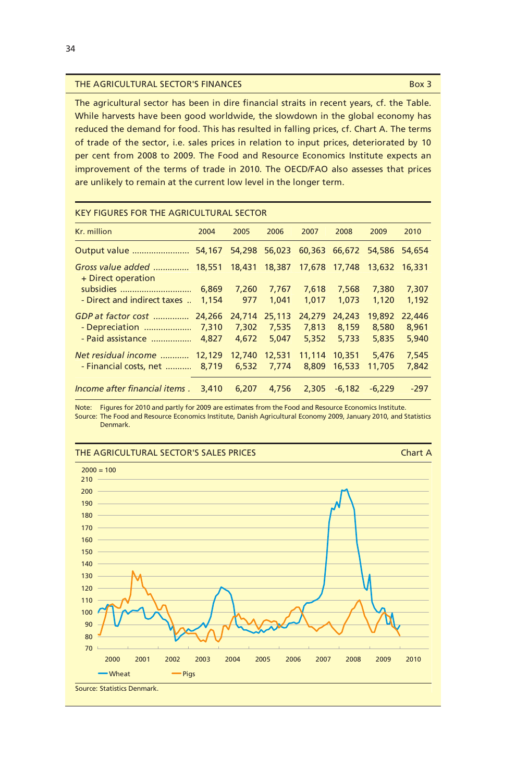#### THE AGRICULTURAL SECTOR'S FINANCES BOX 3

The agricultural sector has been in dire financial straits in recent years, cf. the Table. While harvests have been good worldwide, the slowdown in the global economy has reduced the demand for food. This has resulted in falling prices, cf. Chart A. The terms of trade of the sector, i.e. sales prices in relation to input prices, deteriorated by 10 per cent from 2008 to 2009. The Food and Resource Economics Institute expects an improvement of the terms of trade in 2010. The OECD/FAO also assesses that prices are unlikely to remain at the current low level in the longer term.

| <u>KEY FIGURES FOR THE AGRICULTURAL SECTOR</u>  |        |        |        |        |                                    |          |        |
|-------------------------------------------------|--------|--------|--------|--------|------------------------------------|----------|--------|
| Kr. million                                     | 2004   | 2005   | 2006   | 2007   | 2008                               | 2009     | 2010   |
|                                                 |        | 54,298 | 56,023 |        | 60,363 66,672                      | 54,586   | 54,654 |
| Gross value added  18,551<br>+ Direct operation |        | 18,431 |        |        | 18,387 17,678 17,748 13,632 16,331 |          |        |
| subsidies                                       | 6,869  | 7,260  | 7,767  | 7,618  | 7,568                              | 7,380    | 7,307  |
| - Direct and indirect taxes                     | 1,154  | 977    | 1,041  | 1.017  | 1,073                              | 1.120    | 1,192  |
| GDP at factor cost                              | 24,266 | 24,714 | 25,113 | 24,279 | 24,243                             | 19,892   | 22,446 |
| - Depreciation                                  | 7,310  | 7,302  | 7,535  | 7.813  | 8.159                              | 8,580    | 8,961  |
| - Paid assistance                               | 4.827  | 4.672  | 5.047  | 5.352  | 5.733                              | 5,835    | 5,940  |
| Net residual income                             | 12,129 | 12,740 | 12,531 | 11.114 | 10,351                             | 5.476    | 7.545  |
| - Financial costs, net                          | 8.719  | 6.532  | 7.774  | 8,809  | 16,533                             | 11,705   | 7,842  |
| Income after financial items.                   | 3,410  | 6.207  | 4.756  | 2.305  | $-6.182$                           | $-6.229$ | $-297$ |

# KEY FIGURES FOR THE AGRICULTURAL SECTOR

Note: Figures for 2010 and partly for 2009 are estimates from the Food and Resource Economics Institute. Source: The Food and Resource Economics Institute, Danish Agricultural Economy 2009, January 2010, and Statistics Denmark.

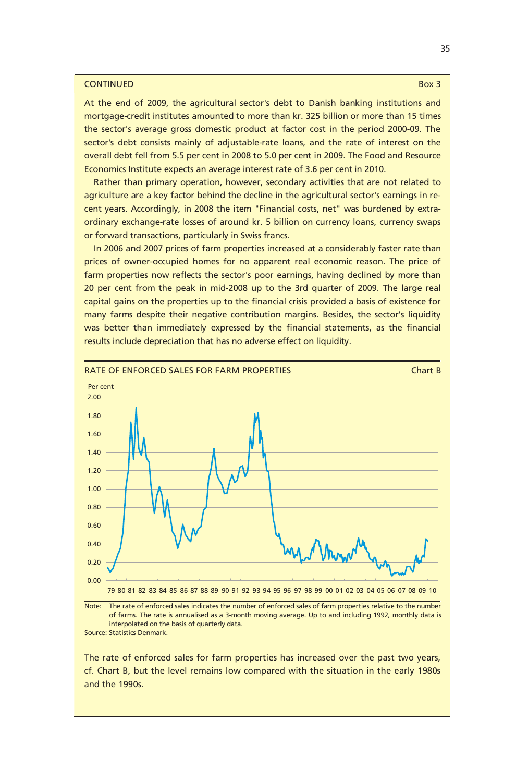#### **CONTINUED Box 3**

At the end of 2009, the agricultural sector's debt to Danish banking institutions and mortgage-credit institutes amounted to more than kr. 325 billion or more than 15 times the sector's average gross domestic product at factor cost in the period 2000-09. The sector's debt consists mainly of adjustable-rate loans, and the rate of interest on the overall debt fell from 5.5 per cent in 2008 to 5.0 per cent in 2009. The Food and Resource Economics Institute expects an average interest rate of 3.6 per cent in 2010.

Rather than primary operation, however, secondary activities that are not related to agriculture are a key factor behind the decline in the agricultural sector's earnings in recent years. Accordingly, in 2008 the item "Financial costs, net" was burdened by extraordinary exchange-rate losses of around kr. 5 billion on currency loans, currency swaps or forward transactions, particularly in Swiss francs.

In 2006 and 2007 prices of farm properties increased at a considerably faster rate than prices of owner-occupied homes for no apparent real economic reason. The price of farm properties now reflects the sector's poor earnings, having declined by more than 20 per cent from the peak in mid-2008 up to the 3rd quarter of 2009. The large real capital gains on the properties up to the financial crisis provided a basis of existence for many farms despite their negative contribution margins. Besides, the sector's liquidity was better than immediately expressed by the financial statements, as the financial results include depreciation that has no adverse effect on liquidity.





The rate of enforced sales for farm properties has increased over the past two years, cf. Chart B, but the level remains low compared with the situation in the early 1980s and the 1990s.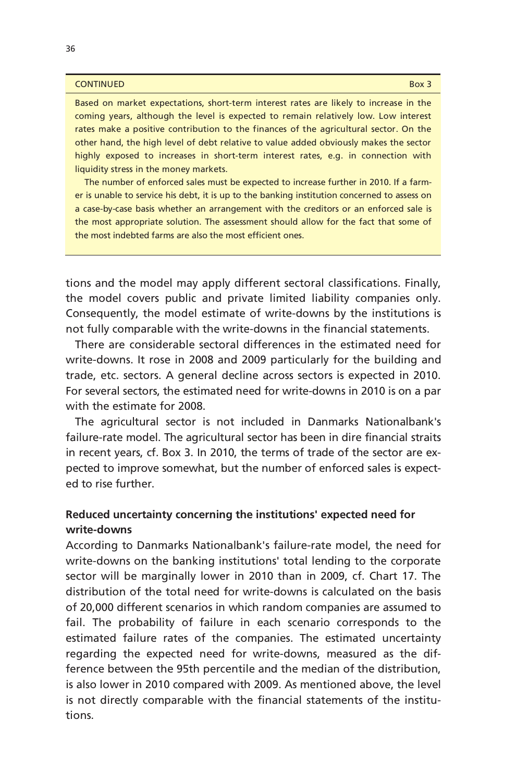#### **CONTINUED Box 3**

Based on market expectations, short-term interest rates are likely to increase in the coming years, although the level is expected to remain relatively low. Low interest rates make a positive contribution to the finances of the agricultural sector. On the other hand, the high level of debt relative to value added obviously makes the sector highly exposed to increases in short-term interest rates, e.g. in connection with liquidity stress in the money markets.

The number of enforced sales must be expected to increase further in 2010. If a farmer is unable to service his debt, it is up to the banking institution concerned to assess on a case-by-case basis whether an arrangement with the creditors or an enforced sale is the most appropriate solution. The assessment should allow for the fact that some of the most indebted farms are also the most efficient ones.

tions and the model may apply different sectoral classifications. Finally, the model covers public and private limited liability companies only. Consequently, the model estimate of write-downs by the institutions is not fully comparable with the write-downs in the financial statements.

There are considerable sectoral differences in the estimated need for write-downs. It rose in 2008 and 2009 particularly for the building and trade, etc. sectors. A general decline across sectors is expected in 2010. For several sectors, the estimated need for write-downs in 2010 is on a par with the estimate for 2008.

The agricultural sector is not included in Danmarks Nationalbank's failure-rate model. The agricultural sector has been in dire financial straits in recent years, cf. Box 3. In 2010, the terms of trade of the sector are expected to improve somewhat, but the number of enforced sales is expected to rise further.

# **Reduced uncertainty concerning the institutions' expected need for write-downs**

According to Danmarks Nationalbank's failure-rate model, the need for write-downs on the banking institutions' total lending to the corporate sector will be marginally lower in 2010 than in 2009, cf. Chart 17. The distribution of the total need for write-downs is calculated on the basis of 20,000 different scenarios in which random companies are assumed to fail. The probability of failure in each scenario corresponds to the estimated failure rates of the companies. The estimated uncertainty regarding the expected need for write-downs, measured as the difference between the 95th percentile and the median of the distribution, is also lower in 2010 compared with 2009. As mentioned above, the level is not directly comparable with the financial statements of the institutions.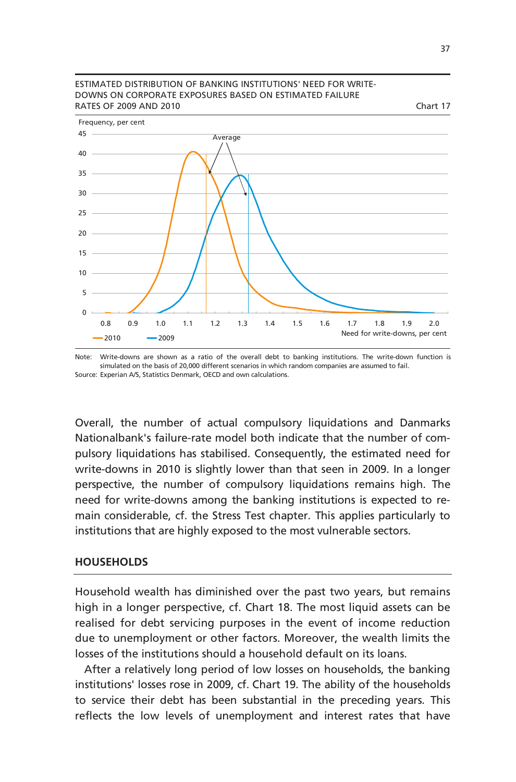

#### ESTIMATED DISTRIBUTION OF BANKING INSTITUTIONS' NEED FOR WRITE-DOWNS ON CORPORATE EXPOSURES BASED ON ESTIMATED FAILURE RATES OF 2009 AND 2010 Chart 17

Note: Write-downs are shown as a ratio of the overall debt to banking institutions. The write-down function is Source: Experian A/S, Statistics Denmark, OECD and own calculations. simulated on the basis of 20,000 different scenarios in which random companies are assumed to fail.

Overall, the number of actual compulsory liquidations and Danmarks Nationalbank's failure-rate model both indicate that the number of compulsory liquidations has stabilised. Consequently, the estimated need for write-downs in 2010 is slightly lower than that seen in 2009. In a longer perspective, the number of compulsory liquidations remains high. The need for write-downs among the banking institutions is expected to remain considerable, cf. the Stress Test chapter. This applies particularly to institutions that are highly exposed to the most vulnerable sectors.

## **HOUSEHOLDS**

Household wealth has diminished over the past two years, but remains high in a longer perspective, cf. Chart 18. The most liquid assets can be realised for debt servicing purposes in the event of income reduction due to unemployment or other factors. Moreover, the wealth limits the losses of the institutions should a household default on its loans.

After a relatively long period of low losses on households, the banking institutions' losses rose in 2009, cf. Chart 19. The ability of the households to service their debt has been substantial in the preceding years. This reflects the low levels of unemployment and interest rates that have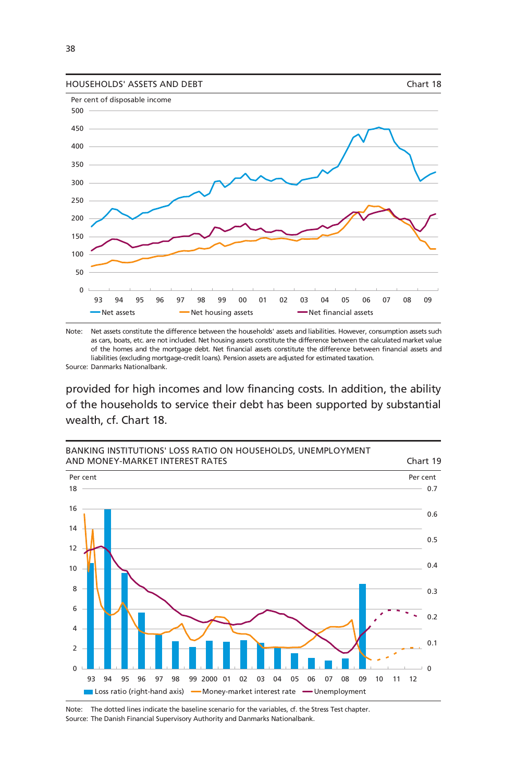



Note: Net assets constitute the difference between the households' assets and liabilities. However, consumption assets such as cars, boats, etc. are not included. Net housing assets constitute the difference between the calculated market value of the homes and the mortgage debt. Net financial assets constitute the difference between financial assets and liabilities (excluding mortgage-credit loans). Pension assets are adjusted for estimated taxation.

Source: Danmarks Nationalbank.

provided for high incomes and low financing costs. In addition, the ability of the households to service their debt has been supported by substantial wealth, cf. Chart 18.



Note: The dotted lines indicate the baseline scenario for the variables, cf. the Stress Test chapter. Source: The Danish Financial Supervisory Authority and Danmarks Nationalbank.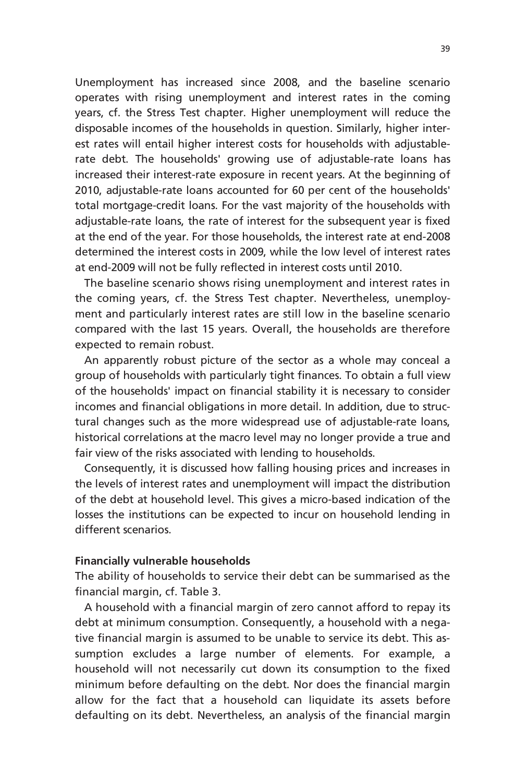Unemployment has increased since 2008, and the baseline scenario operates with rising unemployment and interest rates in the coming years, cf. the Stress Test chapter. Higher unemployment will reduce the disposable incomes of the households in question. Similarly, higher interest rates will entail higher interest costs for households with adjustablerate debt. The households' growing use of adjustable-rate loans has increased their interest-rate exposure in recent years. At the beginning of 2010, adjustable-rate loans accounted for 60 per cent of the households' total mortgage-credit loans. For the vast majority of the households with adjustable-rate loans, the rate of interest for the subsequent year is fixed at the end of the year. For those households, the interest rate at end-2008 determined the interest costs in 2009, while the low level of interest rates at end-2009 will not be fully reflected in interest costs until 2010.

The baseline scenario shows rising unemployment and interest rates in the coming years, cf. the Stress Test chapter. Nevertheless, unemployment and particularly interest rates are still low in the baseline scenario compared with the last 15 years. Overall, the households are therefore expected to remain robust.

An apparently robust picture of the sector as a whole may conceal a group of households with particularly tight finances. To obtain a full view of the households' impact on financial stability it is necessary to consider incomes and financial obligations in more detail. In addition, due to structural changes such as the more widespread use of adjustable-rate loans, historical correlations at the macro level may no longer provide a true and fair view of the risks associated with lending to households.

Consequently, it is discussed how falling housing prices and increases in the levels of interest rates and unemployment will impact the distribution of the debt at household level. This gives a micro-based indication of the losses the institutions can be expected to incur on household lending in different scenarios.

## **Financially vulnerable households**

The ability of households to service their debt can be summarised as the financial margin, cf. Table 3.

A household with a financial margin of zero cannot afford to repay its debt at minimum consumption. Consequently, a household with a negative financial margin is assumed to be unable to service its debt. This assumption excludes a large number of elements. For example, a household will not necessarily cut down its consumption to the fixed minimum before defaulting on the debt. Nor does the financial margin allow for the fact that a household can liquidate its assets before defaulting on its debt. Nevertheless, an analysis of the financial margin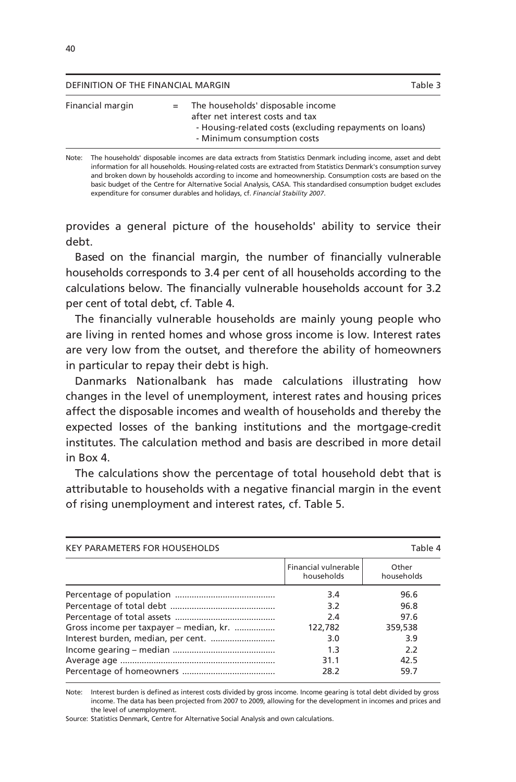| The households' disposable income<br>Financial margin<br>$=$                                                               | Table 3 |
|----------------------------------------------------------------------------------------------------------------------------|---------|
| after net interest costs and tax<br>- Housing-related costs (excluding repayments on loans)<br>- Minimum consumption costs |         |

Note: The households' disposable incomes are data extracts from Statistics Denmark including income, asset and debt information for all households. Housing-related costs are extracted from Statistics Denmark's consumption survey and broken down by households according to income and homeownership. Consumption costs are based on the basic budget of the Centre for Alternative Social Analysis, CASA. This standardised consumption budget excludes expenditure for consumer durables and holidays, cf. *Financial Stability 2007*.

provides a general picture of the households' ability to service their debt.

Based on the financial margin, the number of financially vulnerable households corresponds to 3.4 per cent of all households according to the calculations below. The financially vulnerable households account for 3.2 per cent of total debt, cf. Table 4.

The financially vulnerable households are mainly young people who are living in rented homes and whose gross income is low. Interest rates are very low from the outset, and therefore the ability of homeowners in particular to repay their debt is high.

Danmarks Nationalbank has made calculations illustrating how changes in the level of unemployment, interest rates and housing prices affect the disposable incomes and wealth of households and thereby the expected losses of the banking institutions and the mortgage-credit institutes. The calculation method and basis are described in more detail in Box 4.

The calculations show the percentage of total household debt that is attributable to households with a negative financial margin in the event of rising unemployment and interest rates, cf. Table 5.

| <b>KEY PARAMETERS FOR HOUSEHOLDS</b>    |                                    | Table 4             |
|-----------------------------------------|------------------------------------|---------------------|
|                                         | Financial vulnerable<br>households | Other<br>households |
|                                         | 3.4                                | 96.6                |
|                                         | 3.2                                | 96.8                |
|                                         | 2.4                                | 97.6                |
| Gross income per taxpayer - median, kr. | 122,782                            | 359,538             |
| Interest burden, median, per cent.      | 3.0                                | 3.9                 |
|                                         | 1.3                                | 2.2                 |
|                                         | 31.1                               | 42.5                |
|                                         | 28.2                               | 59.7                |

Note: Interest burden is defined as interest costs divided by gross income. Income gearing is total debt divided by gross income. The data has been projected from 2007 to 2009, allowing for the development in incomes and prices and the level of unemployment.

Source: Statistics Denmark, Centre for Alternative Social Analysis and own calculations.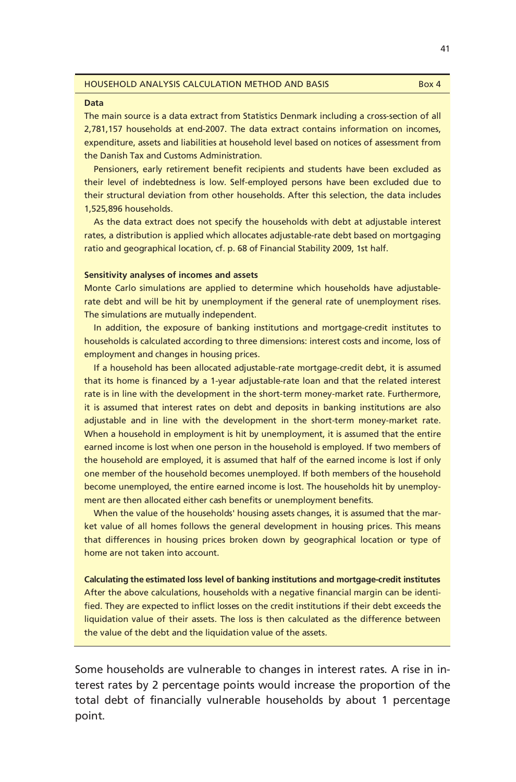#### HOUSEHOLD ANALYSIS CALCULATION METHOD AND BASIS Box 4

#### **Data**

The main source is a data extract from Statistics Denmark including a cross-section of all 2,781,157 households at end-2007. The data extract contains information on incomes, expenditure, assets and liabilities at household level based on notices of assessment from the Danish Tax and Customs Administration.

Pensioners, early retirement benefit recipients and students have been excluded as their level of indebtedness is low. Self-employed persons have been excluded due to their structural deviation from other households. After this selection, the data includes 1,525,896 households.

As the data extract does not specify the households with debt at adjustable interest rates, a distribution is applied which allocates adjustable-rate debt based on mortgaging ratio and geographical location, cf. p. 68 of Financial Stability 2009, 1st half.

### **Sensitivity analyses of incomes and assets**

Monte Carlo simulations are applied to determine which households have adjustablerate debt and will be hit by unemployment if the general rate of unemployment rises. The simulations are mutually independent.

In addition, the exposure of banking institutions and mortgage-credit institutes to households is calculated according to three dimensions: interest costs and income, loss of employment and changes in housing prices.

If a household has been allocated adjustable-rate mortgage-credit debt, it is assumed that its home is financed by a 1-year adjustable-rate loan and that the related interest rate is in line with the development in the short-term money-market rate. Furthermore, it is assumed that interest rates on debt and deposits in banking institutions are also adjustable and in line with the development in the short-term money-market rate. When a household in employment is hit by unemployment, it is assumed that the entire earned income is lost when one person in the household is employed. If two members of the household are employed, it is assumed that half of the earned income is lost if only one member of the household becomes unemployed. If both members of the household become unemployed, the entire earned income is lost. The households hit by unemployment are then allocated either cash benefits or unemployment benefits.

When the value of the households' housing assets changes, it is assumed that the market value of all homes follows the general development in housing prices. This means that differences in housing prices broken down by geographical location or type of home are not taken into account.

**Calculating the estimated loss level of banking institutions and mortgage-credit institutes**  After the above calculations, households with a negative financial margin can be identified. They are expected to inflict losses on the credit institutions if their debt exceeds the liquidation value of their assets. The loss is then calculated as the difference between the value of the debt and the liquidation value of the assets.

Some households are vulnerable to changes in interest rates. A rise in interest rates by 2 percentage points would increase the proportion of the total debt of financially vulnerable households by about 1 percentage point.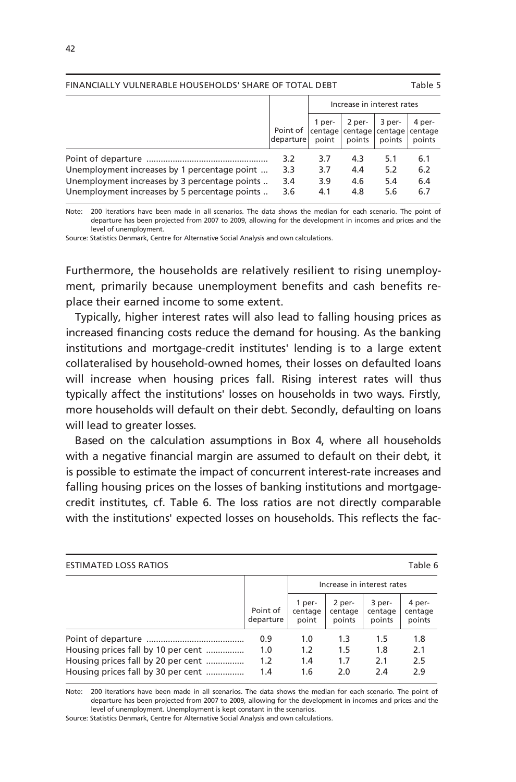| FINANCIALLY VULNERABLE HOUSEHOLDS' SHARE OF TOTAL DEBT                                                                                         |                          |                            |                          | Table 5                                     |                             |
|------------------------------------------------------------------------------------------------------------------------------------------------|--------------------------|----------------------------|--------------------------|---------------------------------------------|-----------------------------|
|                                                                                                                                                |                          | Increase in interest rates |                          |                                             |                             |
|                                                                                                                                                | Point of<br>departure    | 1 per-<br>point            | 2 per-<br>points         | 3 per-<br>centage centage centage<br>points | 4 per-<br>centage<br>points |
| Unemployment increases by 1 percentage point<br>Unemployment increases by 3 percentage points<br>Unemployment increases by 5 percentage points | 3.2<br>3.3<br>3.4<br>3.6 | 3.7<br>3.7<br>3.9<br>4.1   | 4.3<br>4.4<br>4.6<br>4.8 | 5.1<br>5.2<br>5.4<br>5.6                    | 6.1<br>6.2<br>6.4<br>6.7    |

Note: 200 iterations have been made in all scenarios. The data shows the median for each scenario. The point of departure has been projected from 2007 to 2009, allowing for the development in incomes and prices and the level of unemployment.

Source: Statistics Denmark, Centre for Alternative Social Analysis and own calculations.

Furthermore, the households are relatively resilient to rising unemployment, primarily because unemployment benefits and cash benefits replace their earned income to some extent.

Typically, higher interest rates will also lead to falling housing prices as increased financing costs reduce the demand for housing. As the banking institutions and mortgage-credit institutes' lending is to a large extent collateralised by household-owned homes, their losses on defaulted loans will increase when housing prices fall. Rising interest rates will thus typically affect the institutions' losses on households in two ways. Firstly, more households will default on their debt. Secondly, defaulting on loans will lead to greater losses.

Based on the calculation assumptions in Box 4, where all households with a negative financial margin are assumed to default on their debt, it is possible to estimate the impact of concurrent interest-rate increases and falling housing prices on the losses of banking institutions and mortgagecredit institutes, cf. Table 6. The loss ratios are not directly comparable with the institutions' expected losses on households. This reflects the fac-

| <b>ESTIMATED LOSS RATIOS</b>       |                       |                            |                             | Table 6                     |                             |
|------------------------------------|-----------------------|----------------------------|-----------------------------|-----------------------------|-----------------------------|
|                                    |                       | Increase in interest rates |                             |                             |                             |
|                                    | Point of<br>departure | 1 per-<br>centage<br>point | 2 per-<br>centage<br>points | 3 per-<br>centage<br>points | 4 per-<br>centage<br>points |
|                                    | 0.9                   | 1.0                        | 1.3                         | 1.5                         | 1.8                         |
| Housing prices fall by 10 per cent | 1.0                   | 1.2                        | 1.5                         | 1.8                         | 2.1                         |
| Housing prices fall by 20 per cent | 1.2 <sub>2</sub>      | 1.4                        | 1.7                         | 2.1                         | 2.5                         |
| Housing prices fall by 30 per cent | 1.4                   | 1.6                        | 2.0                         | 2.4                         | 2.9                         |

Note: 200 iterations have been made in all scenarios. The data shows the median for each scenario. The point of departure has been projected from 2007 to 2009, allowing for the development in incomes and prices and the level of unemployment. Unemployment is kept constant in the scenarios.

Source: Statistics Denmark, Centre for Alternative Social Analysis and own calculations.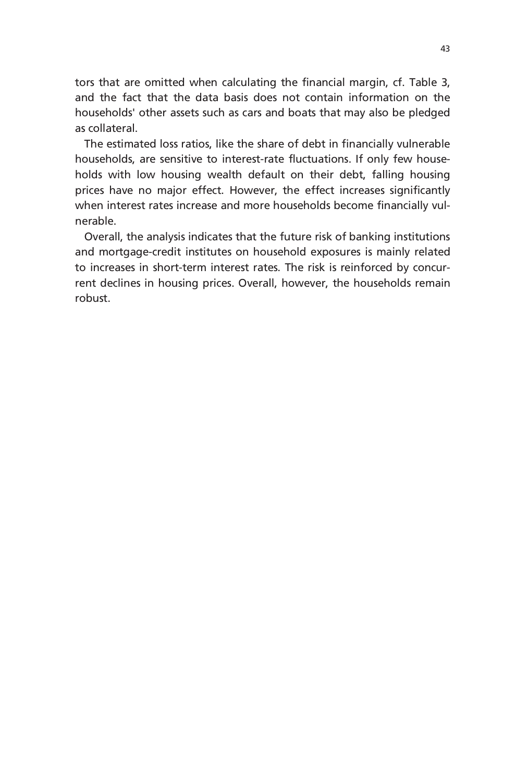tors that are omitted when calculating the financial margin, cf. Table 3, and the fact that the data basis does not contain information on the households' other assets such as cars and boats that may also be pledged as collateral.

The estimated loss ratios, like the share of debt in financially vulnerable households, are sensitive to interest-rate fluctuations. If only few households with low housing wealth default on their debt, falling housing prices have no major effect. However, the effect increases significantly when interest rates increase and more households become financially vulnerable.

Overall, the analysis indicates that the future risk of banking institutions and mortgage-credit institutes on household exposures is mainly related to increases in short-term interest rates. The risk is reinforced by concurrent declines in housing prices. Overall, however, the households remain robust.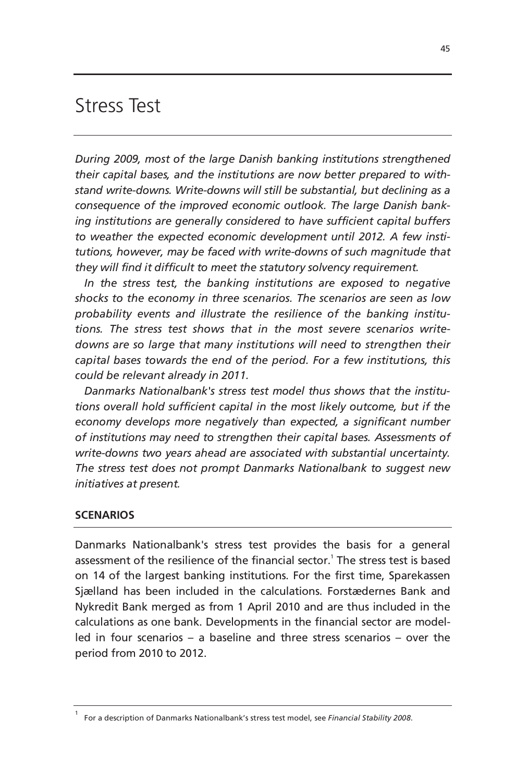# Stress Test

*During 2009, most of the large Danish banking institutions strengthened their capital bases, and the institutions are now better prepared to withstand write-downs. Write-downs will still be substantial, but declining as a consequence of the improved economic outlook. The large Danish banking institutions are generally considered to have sufficient capital buffers to weather the expected economic development until 2012. A few institutions, however, may be faced with write-downs of such magnitude that they will find it difficult to meet the statutory solvency requirement.* 

*In the stress test, the banking institutions are exposed to negative shocks to the economy in three scenarios. The scenarios are seen as low probability events and illustrate the resilience of the banking institutions. The stress test shows that in the most severe scenarios writedowns are so large that many institutions will need to strengthen their capital bases towards the end of the period. For a few institutions, this could be relevant already in 2011.* 

*Danmarks Nationalbank's stress test model thus shows that the institutions overall hold sufficient capital in the most likely outcome, but if the economy develops more negatively than expected, a significant number of institutions may need to strengthen their capital bases. Assessments of write-downs two years ahead are associated with substantial uncertainty. The stress test does not prompt Danmarks Nationalbank to suggest new initiatives at present.*

# **SCENARIOS**

Danmarks Nationalbank's stress test provides the basis for a general assessment of the resilience of the financial sector.<sup>1</sup> The stress test is based on 14 of the largest banking institutions. For the first time, Sparekassen Sjælland has been included in the calculations. Forstædernes Bank and Nykredit Bank merged as from 1 April 2010 and are thus included in the calculations as one bank. Developments in the financial sector are modelled in four scenarios – a baseline and three stress scenarios – over the period from 2010 to 2012.

<sup>1</sup> For a description of Danmarks Nationalbank's stress test model, see *Financial Stability 2008*.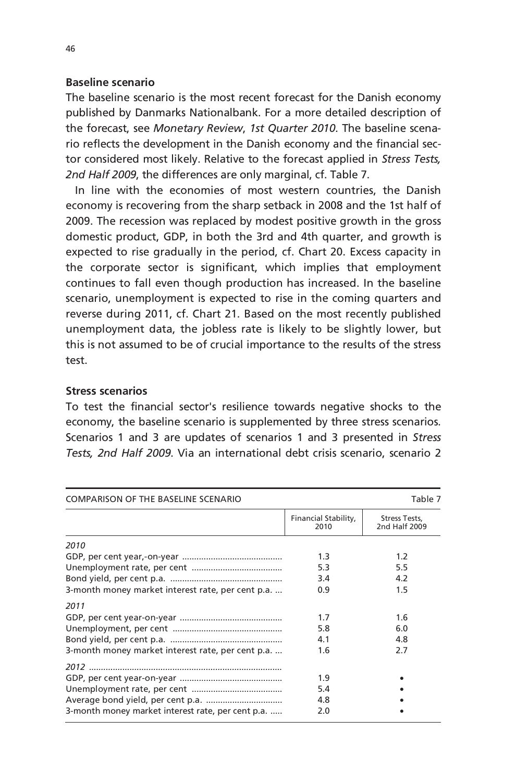# **Baseline scenario**

The baseline scenario is the most recent forecast for the Danish economy published by Danmarks Nationalbank. For a more detailed description of the forecast, see *Monetary Review*, *1st Quarter 2010*. The baseline scenario reflects the development in the Danish economy and the financial sector considered most likely. Relative to the forecast applied in *Stress Tests, 2nd Half 2009*, the differences are only marginal, cf. Table 7.

In line with the economies of most western countries, the Danish economy is recovering from the sharp setback in 2008 and the 1st half of 2009. The recession was replaced by modest positive growth in the gross domestic product, GDP, in both the 3rd and 4th quarter, and growth is expected to rise gradually in the period, cf. Chart 20. Excess capacity in the corporate sector is significant, which implies that employment continues to fall even though production has increased. In the baseline scenario, unemployment is expected to rise in the coming quarters and reverse during 2011, cf. Chart 21. Based on the most recently published unemployment data, the jobless rate is likely to be slightly lower, but this is not assumed to be of crucial importance to the results of the stress test.

# **Stress scenarios**

To test the financial sector's resilience towards negative shocks to the economy, the baseline scenario is supplemented by three stress scenarios. Scenarios 1 and 3 are updates of scenarios 1 and 3 presented in *Stress Tests, 2nd Half 2009*. Via an international debt crisis scenario, scenario 2

| <b>COMPARISON OF THE BASELINE SCENARIO</b>        |                              | Table 7                               |
|---------------------------------------------------|------------------------------|---------------------------------------|
|                                                   | Financial Stability,<br>2010 | <b>Stress Tests,</b><br>2nd Half 2009 |
| 2010                                              |                              |                                       |
|                                                   | 1.3                          | 1.2 <sub>2</sub>                      |
|                                                   | 5.3                          | 5.5                                   |
|                                                   | 3.4                          | 4.2                                   |
| 3-month money market interest rate, per cent p.a. | 0.9                          | 1.5                                   |
| 2011                                              |                              |                                       |
|                                                   | 1.7                          | 1.6                                   |
|                                                   | 5.8                          | 6.0                                   |
|                                                   | 4.1                          | 4.8                                   |
| 3-month money market interest rate, per cent p.a. | 1.6                          | 2.7                                   |
|                                                   |                              |                                       |
|                                                   | 1.9                          |                                       |
|                                                   | 5.4                          |                                       |
|                                                   | 4.8                          |                                       |
| 3-month money market interest rate, per cent p.a. | 2.0                          |                                       |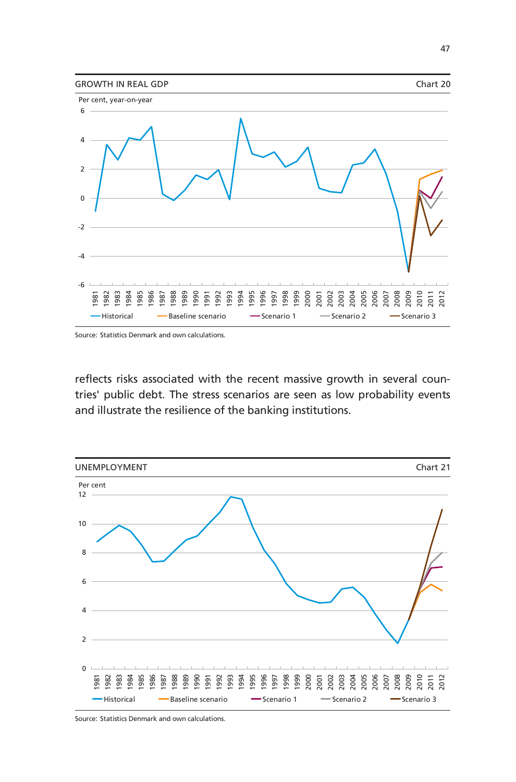

Source: Statistics Denmark and own calculations.

reflects risks associated with the recent massive growth in several countries' public debt. The stress scenarios are seen as low probability events and illustrate the resilience of the banking institutions.



Source: Statistics Denmark and own calculations.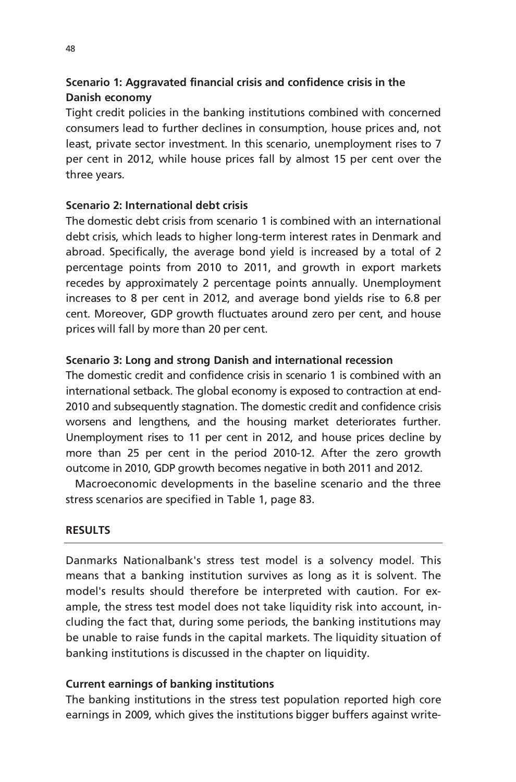# **Scenario 1: Aggravated financial crisis and confidence crisis in the Danish economy**

Tight credit policies in the banking institutions combined with concerned consumers lead to further declines in consumption, house prices and, not least, private sector investment. In this scenario, unemployment rises to 7 per cent in 2012, while house prices fall by almost 15 per cent over the three years.

# **Scenario 2: International debt crisis**

The domestic debt crisis from scenario 1 is combined with an international debt crisis, which leads to higher long-term interest rates in Denmark and abroad. Specifically, the average bond yield is increased by a total of 2 percentage points from 2010 to 2011, and growth in export markets recedes by approximately 2 percentage points annually. Unemployment increases to 8 per cent in 2012, and average bond yields rise to 6.8 per cent. Moreover, GDP growth fluctuates around zero per cent, and house prices will fall by more than 20 per cent.

# **Scenario 3: Long and strong Danish and international recession**

The domestic credit and confidence crisis in scenario 1 is combined with an international setback. The global economy is exposed to contraction at end-2010 and subsequently stagnation. The domestic credit and confidence crisis worsens and lengthens, and the housing market deteriorates further. Unemployment rises to 11 per cent in 2012, and house prices decline by more than 25 per cent in the period 2010-12. After the zero growth outcome in 2010, GDP growth becomes negative in both 2011 and 2012.

Macroeconomic developments in the baseline scenario and the three stress scenarios are specified in Table 1, page 83.

# **RESULTS**

Danmarks Nationalbank's stress test model is a solvency model. This means that a banking institution survives as long as it is solvent. The model's results should therefore be interpreted with caution. For example, the stress test model does not take liquidity risk into account, including the fact that, during some periods, the banking institutions may be unable to raise funds in the capital markets. The liquidity situation of banking institutions is discussed in the chapter on liquidity.

# **Current earnings of banking institutions**

The banking institutions in the stress test population reported high core earnings in 2009, which gives the institutions bigger buffers against write-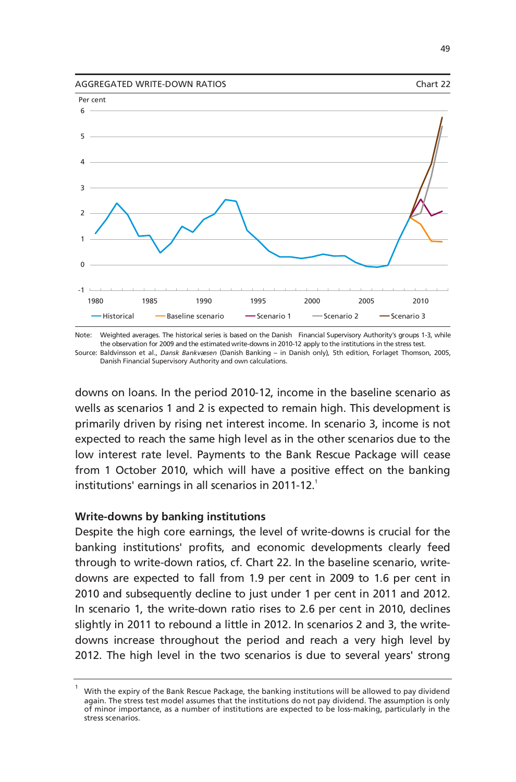



Note: Weighted averages. The historical series is based on the Danish Financial Supervisory Authority's groups 1-3, while Source: Baldvinsson et al., *Dansk Bankvæsen* (Danish Banking – in Danish only)*,* 5th edition, Forlaget Thomson, 2005, the observation for 2009 and the estimated write-downs in 2010-12 apply to the institutions in the stress test.

Danish Financial Supervisory Authority and own calculations.

downs on loans. In the period 2010-12, income in the baseline scenario as wells as scenarios 1 and 2 is expected to remain high. This development is primarily driven by rising net interest income. In scenario 3, income is not expected to reach the same high level as in the other scenarios due to the low interest rate level. Payments to the Bank Rescue Package will cease from 1 October 2010, which will have a positive effect on the banking institutions' earnings in all scenarios in 2011-12. $^1$ 

# **Write-downs by banking institutions**

Despite the high core earnings, the level of write-downs is crucial for the banking institutions' profits, and economic developments clearly feed through to write-down ratios, cf. Chart 22. In the baseline scenario, writedowns are expected to fall from 1.9 per cent in 2009 to 1.6 per cent in 2010 and subsequently decline to just under 1 per cent in 2011 and 2012. In scenario 1, the write-down ratio rises to 2.6 per cent in 2010, declines slightly in 2011 to rebound a little in 2012. In scenarios 2 and 3, the writedowns increase throughout the period and reach a very high level by 2012. The high level in the two scenarios is due to several years' strong

<sup>1</sup> With the expiry of the Bank Rescue Package, the banking institutions will be allowed to pay dividend again. The stress test model assumes that the institutions do not pay dividend. The assumption is only of minor importance, as a number of institutions are expected to be loss-making, particularly in the stress scenarios.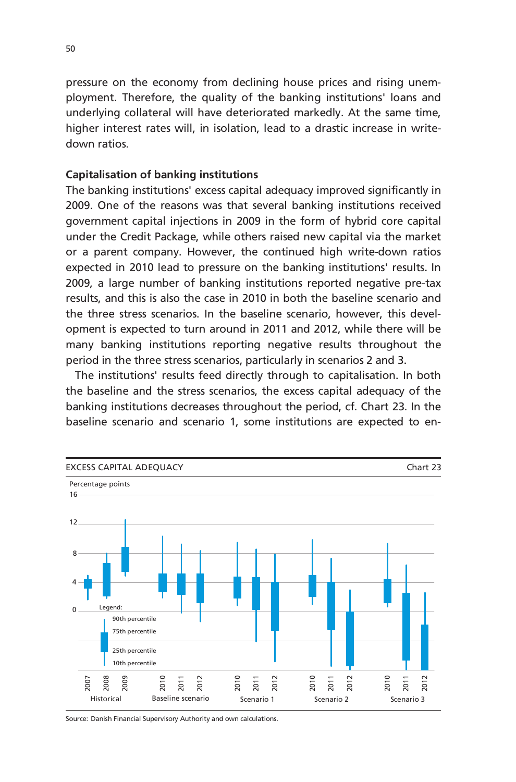pressure on the economy from declining house prices and rising unemployment. Therefore, the quality of the banking institutions' loans and underlying collateral will have deteriorated markedly. At the same time, higher interest rates will, in isolation, lead to a drastic increase in writedown ratios.

# **Capitalisation of banking institutions**

The banking institutions' excess capital adequacy improved significantly in 2009. One of the reasons was that several banking institutions received government capital injections in 2009 in the form of hybrid core capital under the Credit Package, while others raised new capital via the market or a parent company. However, the continued high write-down ratios expected in 2010 lead to pressure on the banking institutions' results. In 2009, a large number of banking institutions reported negative pre-tax results, and this is also the case in 2010 in both the baseline scenario and the three stress scenarios. In the baseline scenario, however, this development is expected to turn around in 2011 and 2012, while there will be many banking institutions reporting negative results throughout the period in the three stress scenarios, particularly in scenarios 2 and 3.

The institutions' results feed directly through to capitalisation. In both the baseline and the stress scenarios, the excess capital adequacy of the banking institutions decreases throughout the period, cf. Chart 23. In the baseline scenario and scenario 1, some institutions are expected to en-



Source: Danish Financial Supervisory Authority and own calculations.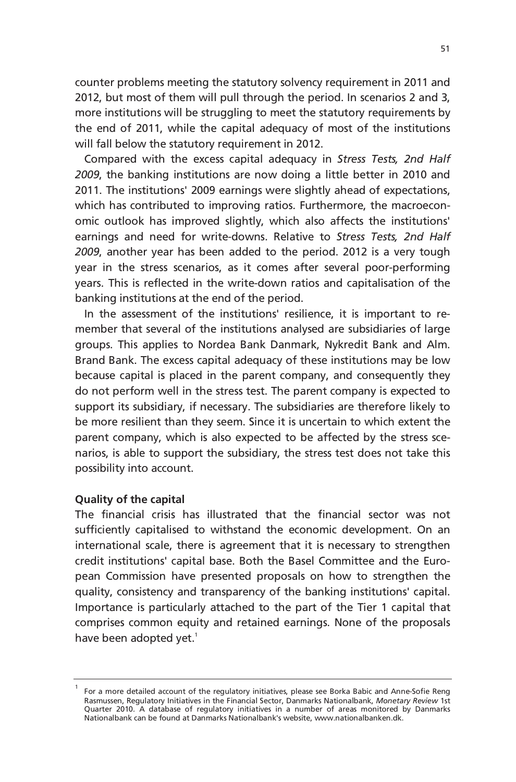counter problems meeting the statutory solvency requirement in 2011 and 2012, but most of them will pull through the period. In scenarios 2 and 3, more institutions will be struggling to meet the statutory requirements by the end of 2011, while the capital adequacy of most of the institutions will fall below the statutory requirement in 2012.

Compared with the excess capital adequacy in *Stress Tests, 2nd Half 2009*, the banking institutions are now doing a little better in 2010 and 2011. The institutions' 2009 earnings were slightly ahead of expectations, which has contributed to improving ratios. Furthermore, the macroeconomic outlook has improved slightly, which also affects the institutions' earnings and need for write-downs. Relative to *Stress Tests, 2nd Half 2009*, another year has been added to the period. 2012 is a very tough year in the stress scenarios, as it comes after several poor-performing years. This is reflected in the write-down ratios and capitalisation of the banking institutions at the end of the period.

In the assessment of the institutions' resilience, it is important to remember that several of the institutions analysed are subsidiaries of large groups. This applies to Nordea Bank Danmark, Nykredit Bank and Alm. Brand Bank. The excess capital adequacy of these institutions may be low because capital is placed in the parent company, and consequently they do not perform well in the stress test. The parent company is expected to support its subsidiary, if necessary. The subsidiaries are therefore likely to be more resilient than they seem. Since it is uncertain to which extent the parent company, which is also expected to be affected by the stress scenarios, is able to support the subsidiary, the stress test does not take this possibility into account.

# **Quality of the capital**

1

The financial crisis has illustrated that the financial sector was not sufficiently capitalised to withstand the economic development. On an international scale, there is agreement that it is necessary to strengthen credit institutions' capital base. Both the Basel Committee and the European Commission have presented proposals on how to strengthen the quality, consistency and transparency of the banking institutions' capital. Importance is particularly attached to the part of the Tier 1 capital that comprises common equity and retained earnings. None of the proposals have been adopted yet. $^1$ 

For a more detailed account of the regulatory initiatives, please see Borka Babic and Anne-Sofie Reng Rasmussen, Regulatory Initiatives in the Financial Sector, Danmarks Nationalbank, *Monetary Review* 1st Quarter 2010. A database of regulatory initiatives in a number of areas monitored by Danmarks Nationalbank can be found at Danmarks Nationalbank's website, www.nationalbanken.dk.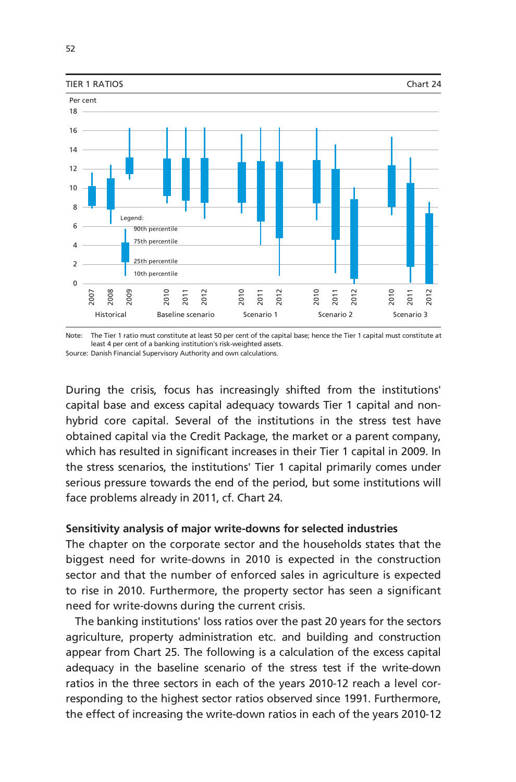

Note: The Tier 1 ratio must constitute at least 50 per cent of the capital base; hence the Tier 1 capital must constitute at Source: Danish Financial Supervisory Authority and own calculations. least 4 per cent of a banking institution's risk-weighted assets.

During the crisis, focus has increasingly shifted from the institutions' capital base and excess capital adequacy towards Tier 1 capital and nonhybrid core capital. Several of the institutions in the stress test have obtained capital via the Credit Package, the market or a parent company, which has resulted in significant increases in their Tier 1 capital in 2009. In the stress scenarios, the institutions' Tier 1 capital primarily comes under serious pressure towards the end of the period, but some institutions will face problems already in 2011, cf. Chart 24.

# **Sensitivity analysis of major write-downs for selected industries**

The chapter on the corporate sector and the households states that the biggest need for write-downs in 2010 is expected in the construction sector and that the number of enforced sales in agriculture is expected to rise in 2010. Furthermore, the property sector has seen a significant need for write-downs during the current crisis.

The banking institutions' loss ratios over the past 20 years for the sectors agriculture, property administration etc. and building and construction appear from Chart 25. The following is a calculation of the excess capital adequacy in the baseline scenario of the stress test if the write-down ratios in the three sectors in each of the years 2010-12 reach a level corresponding to the highest sector ratios observed since 1991. Furthermore, the effect of increasing the write-down ratios in each of the years 2010-12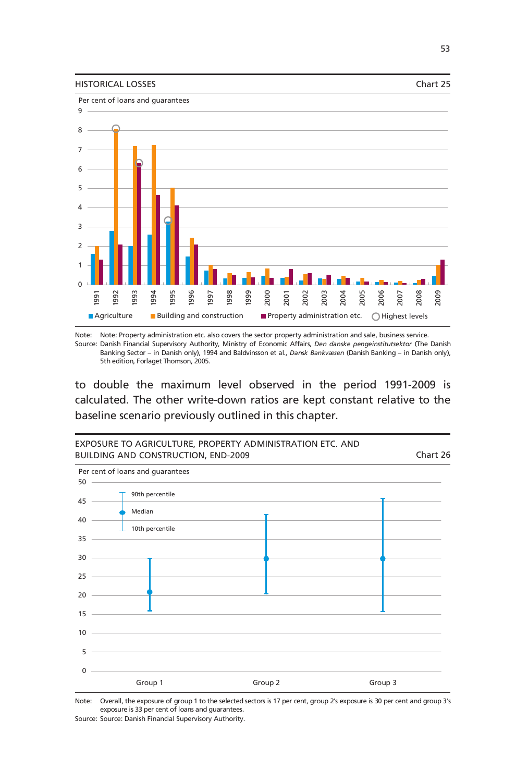



Note: Note: Property administration etc. also covers the sector property administration and sale, business service.

Source: Danish Financial Supervisory Authority, Ministry of Economic Affairs, *Den danske pengeinstitutsektor* (The Danish Banking Sector – in Danish only), 1994 and Baldvinsson et al., *Dansk Bankvæsen* (Danish Banking – in Danish only), 5th edition, Forlaget Thomson, 2005.

to double the maximum level observed in the period 1991-2009 is calculated. The other write-down ratios are kept constant relative to the baseline scenario previously outlined in this chapter.



Note: Overall, the exposure of group 1 to the selected sectors is 17 per cent, group 2's exposure is 30 per cent and group 3's exposure is 33 per cent of loans and guarantees.

Source: Source: Danish Financial Supervisory Authority.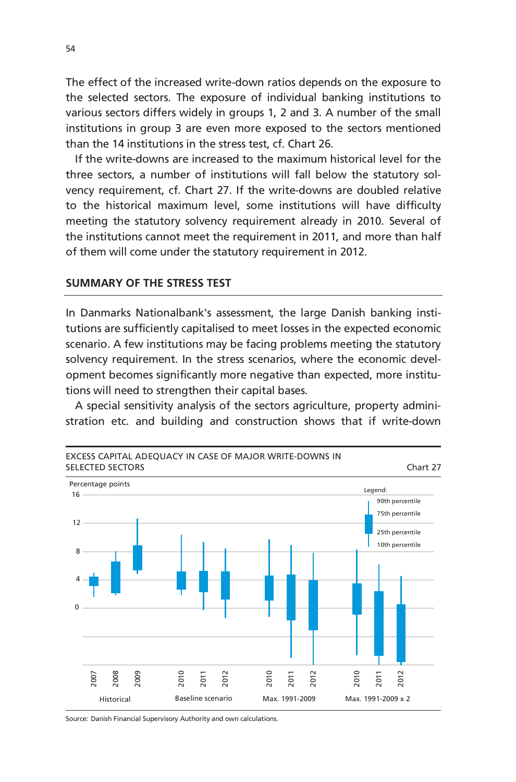The effect of the increased write-down ratios depends on the exposure to the selected sectors. The exposure of individual banking institutions to various sectors differs widely in groups 1, 2 and 3. A number of the small institutions in group 3 are even more exposed to the sectors mentioned than the 14 institutions in the stress test, cf. Chart 26.

If the write-downs are increased to the maximum historical level for the three sectors, a number of institutions will fall below the statutory solvency requirement, cf. Chart 27. If the write-downs are doubled relative to the historical maximum level, some institutions will have difficulty meeting the statutory solvency requirement already in 2010. Several of the institutions cannot meet the requirement in 2011, and more than half of them will come under the statutory requirement in 2012.

# **SUMMARY OF THE STRESS TEST**

In Danmarks Nationalbank's assessment, the large Danish banking institutions are sufficiently capitalised to meet losses in the expected economic scenario. A few institutions may be facing problems meeting the statutory solvency requirement. In the stress scenarios, where the economic development becomes significantly more negative than expected, more institutions will need to strengthen their capital bases.

A special sensitivity analysis of the sectors agriculture, property administration etc. and building and construction shows that if write-down



Source: Danish Financial Supervisory Authority and own calculations.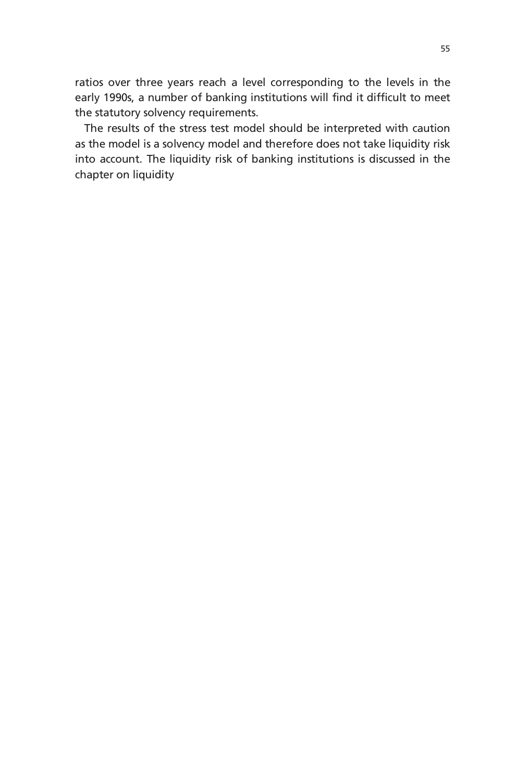ratios over three years reach a level corresponding to the levels in the early 1990s, a number of banking institutions will find it difficult to meet the statutory solvency requirements.

The results of the stress test model should be interpreted with caution as the model is a solvency model and therefore does not take liquidity risk into account. The liquidity risk of banking institutions is discussed in the chapter on liquidity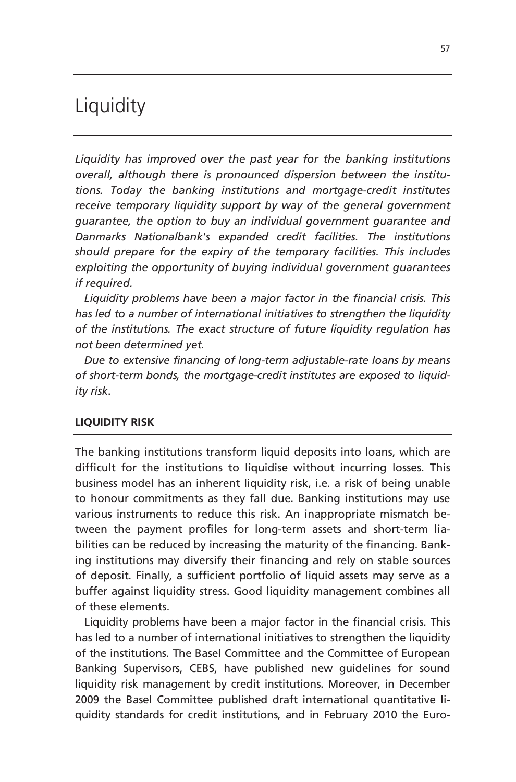# Liquidity

*Liquidity has improved over the past year for the banking institutions overall, although there is pronounced dispersion between the institutions. Today the banking institutions and mortgage-credit institutes receive temporary liquidity support by way of the general government guarantee, the option to buy an individual government guarantee and Danmarks Nationalbank's expanded credit facilities. The institutions should prepare for the expiry of the temporary facilities. This includes exploiting the opportunity of buying individual government guarantees if required.* 

*Liquidity problems have been a major factor in the financial crisis. This has led to a number of international initiatives to strengthen the liquidity of the institutions. The exact structure of future liquidity regulation has not been determined yet.* 

*Due to extensive financing of long-term adjustable-rate loans by means of short-term bonds, the mortgage-credit institutes are exposed to liquidity risk*.

# **LIQUIDITY RISK**

The banking institutions transform liquid deposits into loans, which are difficult for the institutions to liquidise without incurring losses. This business model has an inherent liquidity risk, i.e. a risk of being unable to honour commitments as they fall due. Banking institutions may use various instruments to reduce this risk. An inappropriate mismatch between the payment profiles for long-term assets and short-term liabilities can be reduced by increasing the maturity of the financing. Banking institutions may diversify their financing and rely on stable sources of deposit. Finally, a sufficient portfolio of liquid assets may serve as a buffer against liquidity stress. Good liquidity management combines all of these elements.

Liquidity problems have been a major factor in the financial crisis. This has led to a number of international initiatives to strengthen the liquidity of the institutions. The Basel Committee and the Committee of European Banking Supervisors, CEBS, have published new guidelines for sound liquidity risk management by credit institutions. Moreover, in December 2009 the Basel Committee published draft international quantitative liquidity standards for credit institutions, and in February 2010 the Euro-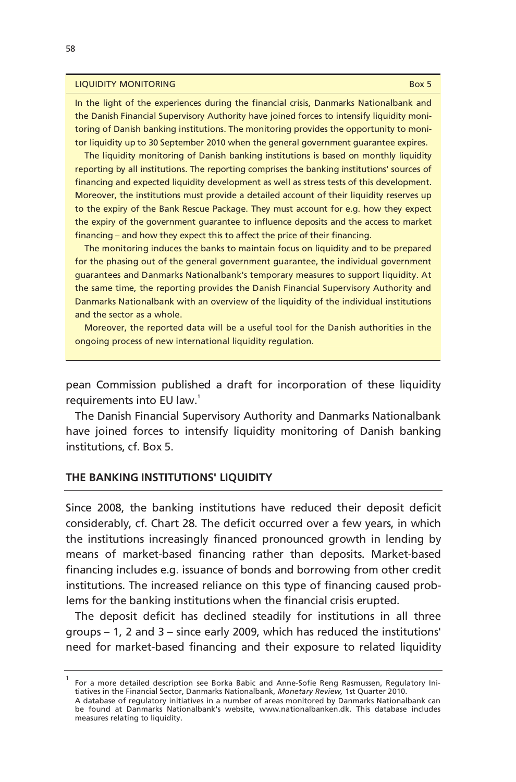#### **LIQUIDITY MONITORING** BOX 5

In the light of the experiences during the financial crisis, Danmarks Nationalbank and the Danish Financial Supervisory Authority have joined forces to intensify liquidity monitoring of Danish banking institutions. The monitoring provides the opportunity to monitor liquidity up to 30 September 2010 when the general government guarantee expires.

The liquidity monitoring of Danish banking institutions is based on monthly liquidity reporting by all institutions. The reporting comprises the banking institutions' sources of financing and expected liquidity development as well as stress tests of this development. Moreover, the institutions must provide a detailed account of their liquidity reserves up to the expiry of the Bank Rescue Package. They must account for e.g. how they expect the expiry of the government guarantee to influence deposits and the access to market financing – and how they expect this to affect the price of their financing.

The monitoring induces the banks to maintain focus on liquidity and to be prepared for the phasing out of the general government guarantee, the individual government guarantees and Danmarks Nationalbank's temporary measures to support liquidity. At the same time, the reporting provides the Danish Financial Supervisory Authority and Danmarks Nationalbank with an overview of the liquidity of the individual institutions and the sector as a whole.

Moreover, the reported data will be a useful tool for the Danish authorities in the ongoing process of new international liquidity regulation.

pean Commission published a draft for incorporation of these liquidity requirements into EU law.<sup>1</sup>

The Danish Financial Supervisory Authority and Danmarks Nationalbank have joined forces to intensify liquidity monitoring of Danish banking institutions, cf. Box 5.

## **THE BANKING INSTITUTIONS' LIQUIDITY**

Since 2008, the banking institutions have reduced their deposit deficit considerably, cf. Chart 28. The deficit occurred over a few years, in which the institutions increasingly financed pronounced growth in lending by means of market-based financing rather than deposits. Market-based financing includes e.g. issuance of bonds and borrowing from other credit institutions. The increased reliance on this type of financing caused problems for the banking institutions when the financial crisis erupted.

The deposit deficit has declined steadily for institutions in all three groups – 1, 2 and 3 – since early 2009, which has reduced the institutions' need for market-based financing and their exposure to related liquidity

<sup>1</sup> For a more detailed description see Borka Babic and Anne-Sofie Reng Rasmussen, Regulatory Initiatives in the Financial Sector, Danmarks Nationalbank, *Monetary Review,* 1st Quarter 2010. A database of regulatory initiatives in a number of areas monitored by Danmarks Nationalbank can

be found at Danmarks Nationalbank's website, www.nationalbanken.dk. This database includes measures relating to liquidity.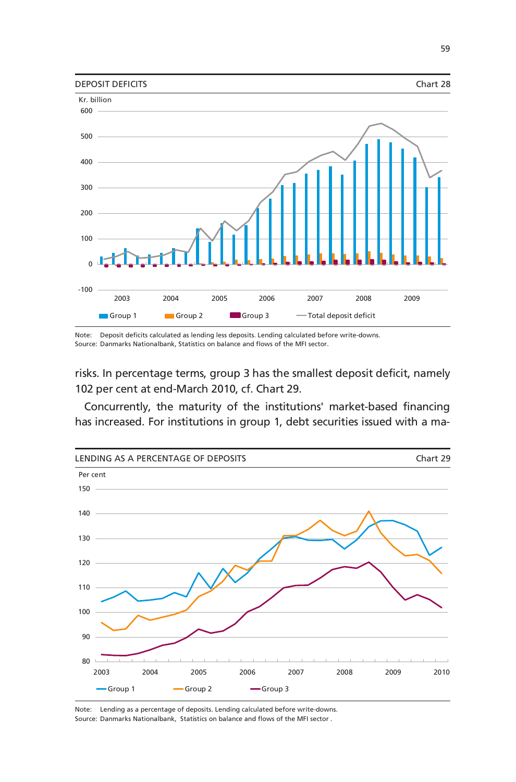

Note: Deposit deficits calculated as lending less deposits. Lending calculated before write-downs. Source: Danmarks Nationalbank, Statistics on balance and flows of the MFI sector.

risks. In percentage terms, group 3 has the smallest deposit deficit, namely 102 per cent at end-March 2010, cf. Chart 29.

Concurrently, the maturity of the institutions' market-based financing has increased. For institutions in group 1, debt securities issued with a ma-



Note: Lending as a percentage of deposits. Lending calculated before write-downs. Source: Danmarks Nationalbank, Statistics on balance and flows of the MFI sector .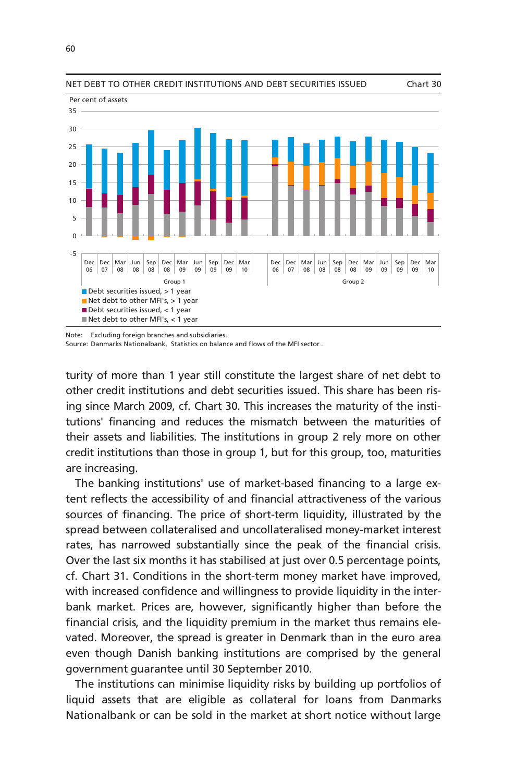

NET DEBT TO OTHER CREDIT INSTITUTIONS AND DEBT SECURITIES ISSUED Chart 30



Note: Excluding foreign branches and subsidiaries.

Source: Danmarks Nationalbank, Statistics on balance and flows of the MFI sector .

turity of more than 1 year still constitute the largest share of net debt to other credit institutions and debt securities issued. This share has been rising since March 2009, cf. Chart 30. This increases the maturity of the institutions' financing and reduces the mismatch between the maturities of their assets and liabilities. The institutions in group 2 rely more on other credit institutions than those in group 1, but for this group, too, maturities are increasing.

The banking institutions' use of market-based financing to a large extent reflects the accessibility of and financial attractiveness of the various sources of financing. The price of short-term liquidity, illustrated by the spread between collateralised and uncollateralised money-market interest rates, has narrowed substantially since the peak of the financial crisis. Over the last six months it has stabilised at just over 0.5 percentage points, cf. Chart 31. Conditions in the short-term money market have improved, with increased confidence and willingness to provide liquidity in the interbank market. Prices are, however, significantly higher than before the financial crisis, and the liquidity premium in the market thus remains elevated. Moreover, the spread is greater in Denmark than in the euro area even though Danish banking institutions are comprised by the general government guarantee until 30 September 2010.

The institutions can minimise liquidity risks by building up portfolios of liquid assets that are eligible as collateral for loans from Danmarks Nationalbank or can be sold in the market at short notice without large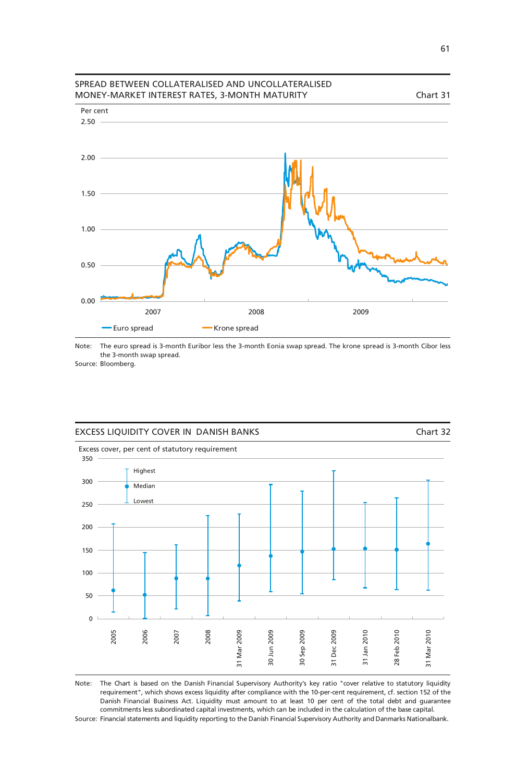

#### Note: The euro spread is 3-month Euribor less the 3-month Eonia swap spread. The krone spread is 3-month Cibor less the 3-month swap spread.

Source: Bloomberg.



Note: The Chart is based on the Danish Financial Supervisory Authority's key ratio "cover relative to statutory liquidity Source: Financial statements and liquidity reporting to the Danish Financial Supervisory Authority and Danmarks Nationalbank. requirement", which shows excess liquidity after compliance with the 10-per-cent requirement, cf. section 152 of the Danish Financial Business Act. Liquidity must amount to at least 10 per cent of the total debt and guarantee commitments less subordinated capital investments, which can be included in the calculation of the base capital.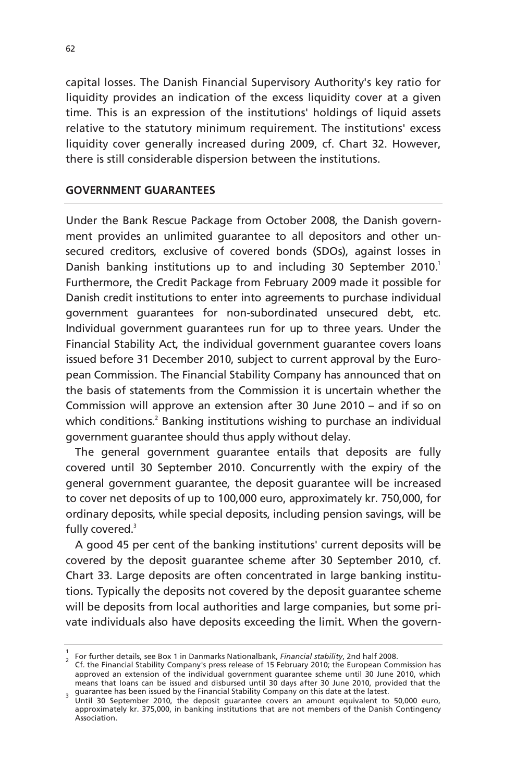capital losses. The Danish Financial Supervisory Authority's key ratio for liquidity provides an indication of the excess liquidity cover at a given time. This is an expression of the institutions' holdings of liquid assets relative to the statutory minimum requirement. The institutions' excess liquidity cover generally increased during 2009, cf. Chart 32. However, there is still considerable dispersion between the institutions.

# **GOVERNMENT GUARANTEES**

Under the Bank Rescue Package from October 2008, the Danish government provides an unlimited guarantee to all depositors and other unsecured creditors, exclusive of covered bonds (SDOs), against losses in Danish banking institutions up to and including 30 September 2010.<sup>1</sup> Furthermore, the Credit Package from February 2009 made it possible for Danish credit institutions to enter into agreements to purchase individual government guarantees for non-subordinated unsecured debt, etc. Individual government guarantees run for up to three years. Under the Financial Stability Act, the individual government guarantee covers loans issued before 31 December 2010, subject to current approval by the European Commission. The Financial Stability Company has announced that on the basis of statements from the Commission it is uncertain whether the Commission will approve an extension after 30 June 2010 – and if so on which conditions.<sup>2</sup> Banking institutions wishing to purchase an individual government guarantee should thus apply without delay.

The general government guarantee entails that deposits are fully covered until 30 September 2010. Concurrently with the expiry of the general government guarantee, the deposit guarantee will be increased to cover net deposits of up to 100,000 euro, approximately kr. 750,000, for ordinary deposits, while special deposits, including pension savings, will be fully covered.<sup>3</sup>

A good 45 per cent of the banking institutions' current deposits will be covered by the deposit guarantee scheme after 30 September 2010, cf. Chart 33. Large deposits are often concentrated in large banking institutions. Typically the deposits not covered by the deposit guarantee scheme will be deposits from local authorities and large companies, but some private individuals also have deposits exceeding the limit. When the govern-

<sup>1&</sup>lt;br>2 For further details, see Box 1 in Danmarks Nationalbank, *Financial stability*, 2nd half 2008.

Cf. the Financial Stability Company's press release of 15 February 2010; the European Commission has approved an extension of the individual government guarantee scheme until 30 June 2010, which means that loans can be issued and disbursed until 30 days after 30 June 2010, provided that the

<sup>&</sup>lt;sub>3</sub> guarantee has been issued by the Financial Stability Company on this date at the latest.<br><sup>3</sup> Until 30 September 2010, the deposit guarantee covers an amount equivalent to 50,000 euro, approximately kr. 375,000, in banking institutions that are not members of the Danish Contingency Association.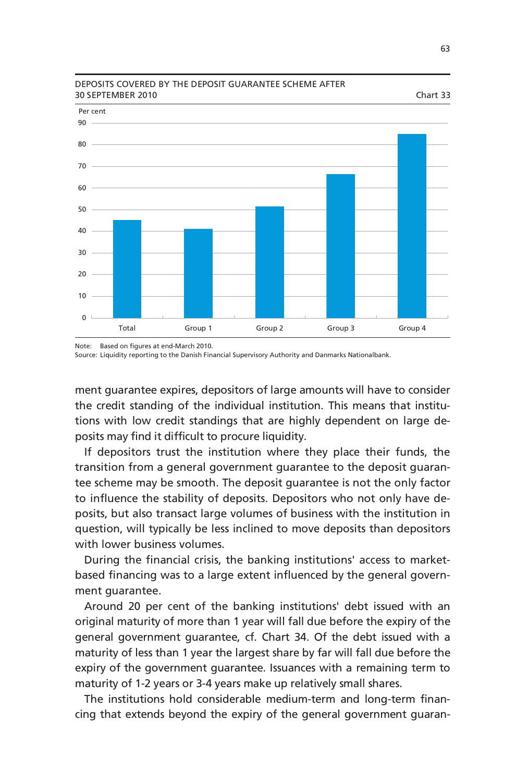

### DEPOSITS COVERED BY THE DEPOSIT GUARANTEE SCHEME AFTER 30 SEPTEMBER 2010 Chart 33

Note: Based on figures at end-March 2010.

Source: Liquidity reporting to the Danish Financial Supervisory Authority and Danmarks Nationalbank.

ment guarantee expires, depositors of large amounts will have to consider the credit standing of the individual institution. This means that institutions with low credit standings that are highly dependent on large deposits may find it difficult to procure liquidity.

If depositors trust the institution where they place their funds, the transition from a general government guarantee to the deposit guarantee scheme may be smooth. The deposit guarantee is not the only factor to influence the stability of deposits. Depositors who not only have deposits, but also transact large volumes of business with the institution in question, will typically be less inclined to move deposits than depositors with lower business volumes.

During the financial crisis, the banking institutions' access to marketbased financing was to a large extent influenced by the general government guarantee.

Around 20 per cent of the banking institutions' debt issued with an original maturity of more than 1 year will fall due before the expiry of the general government guarantee, cf. Chart 34. Of the debt issued with a maturity of less than 1 year the largest share by far will fall due before the expiry of the government guarantee. Issuances with a remaining term to maturity of 1-2 years or 3-4 years make up relatively small shares.

The institutions hold considerable medium-term and long-term financing that extends beyond the expiry of the general government guaran-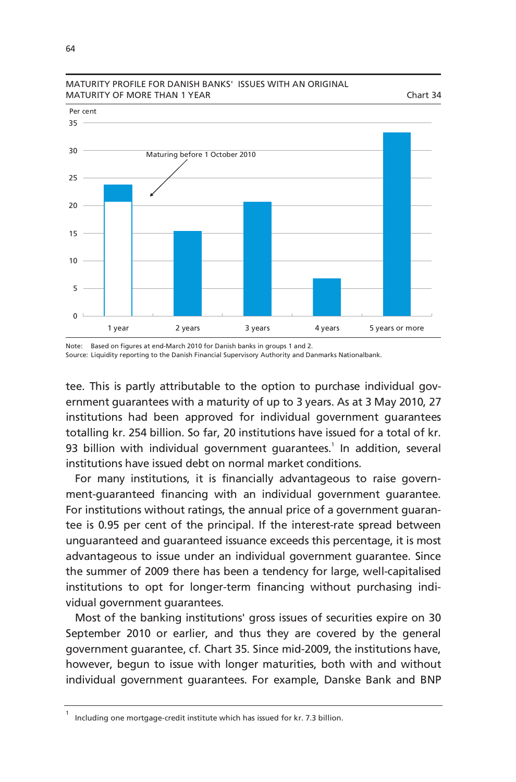

## MATURITY PROFILE FOR DANISH BANKS' ISSUES WITH AN ORIGINAL MATURITY OF MORE THAN 1 YEAR CHARGE THAN 1 YEAR

Note: Based on figures at end-March 2010 for Danish banks in groups 1 and 2. Source: Liquidity reporting to the Danish Financial Supervisory Authority and Danmarks Nationalbank.

tee. This is partly attributable to the option to purchase individual government guarantees with a maturity of up to 3 years. As at 3 May 2010, 27 institutions had been approved for individual government guarantees totalling kr. 254 billion. So far, 20 institutions have issued for a total of kr. 93 billion with individual government guarantees.<sup>1</sup> In addition, several institutions have issued debt on normal market conditions.

For many institutions, it is financially advantageous to raise government-guaranteed financing with an individual government guarantee. For institutions without ratings, the annual price of a government guarantee is 0.95 per cent of the principal. If the interest-rate spread between unguaranteed and guaranteed issuance exceeds this percentage, it is most advantageous to issue under an individual government guarantee. Since the summer of 2009 there has been a tendency for large, well-capitalised institutions to opt for longer-term financing without purchasing individual government guarantees.

Most of the banking institutions' gross issues of securities expire on 30 September 2010 or earlier, and thus they are covered by the general government guarantee, cf. Chart 35. Since mid-2009, the institutions have, however, begun to issue with longer maturities, both with and without individual government guarantees. For example, Danske Bank and BNP

<sup>1</sup> Including one mortgage-credit institute which has issued for kr. 7.3 billion.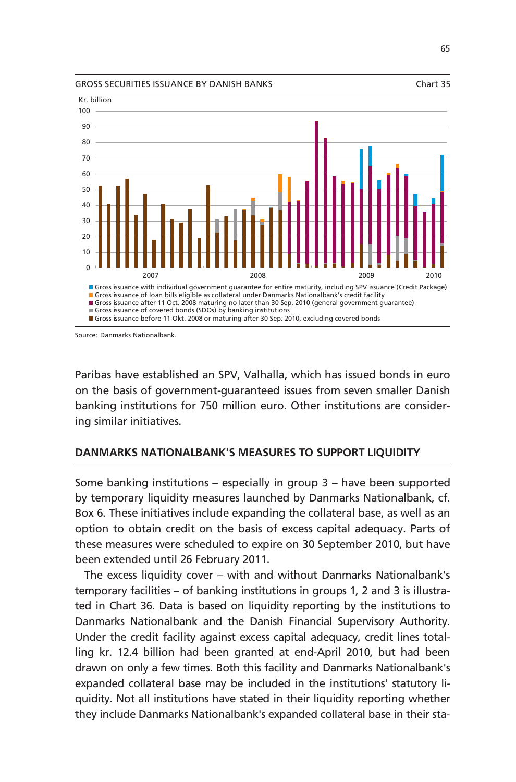

Source: Danmarks Nationalbank.

Paribas have established an SPV, Valhalla, which has issued bonds in euro on the basis of government-guaranteed issues from seven smaller Danish banking institutions for 750 million euro. Other institutions are considering similar initiatives.

## **DANMARKS NATIONALBANK'S MEASURES TO SUPPORT LIQUIDITY**

Some banking institutions – especially in group 3 – have been supported by temporary liquidity measures launched by Danmarks Nationalbank, cf. Box 6. These initiatives include expanding the collateral base, as well as an option to obtain credit on the basis of excess capital adequacy. Parts of these measures were scheduled to expire on 30 September 2010, but have been extended until 26 February 2011.

The excess liquidity cover – with and without Danmarks Nationalbank's temporary facilities – of banking institutions in groups 1, 2 and 3 is illustrated in Chart 36. Data is based on liquidity reporting by the institutions to Danmarks Nationalbank and the Danish Financial Supervisory Authority. Under the credit facility against excess capital adequacy, credit lines totalling kr. 12.4 billion had been granted at end-April 2010, but had been drawn on only a few times. Both this facility and Danmarks Nationalbank's expanded collateral base may be included in the institutions' statutory liquidity. Not all institutions have stated in their liquidity reporting whether they include Danmarks Nationalbank's expanded collateral base in their sta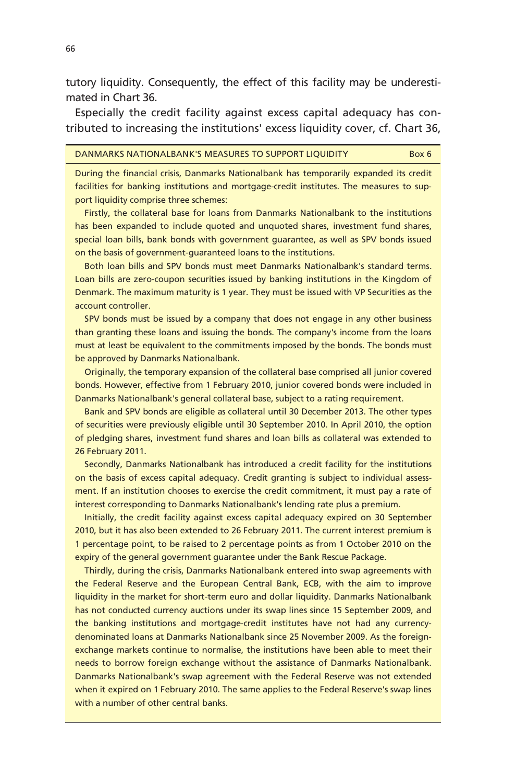tutory liquidity. Consequently, the effect of this facility may be underestimated in Chart 36.

Especially the credit facility against excess capital adequacy has contributed to increasing the institutions' excess liquidity cover, cf. Chart 36,

### DANMARKS NATIONALBANK'S MEASURES TO SUPPORT LIQUIDITY Box 6

During the financial crisis, Danmarks Nationalbank has temporarily expanded its credit facilities for banking institutions and mortgage-credit institutes. The measures to support liquidity comprise three schemes:

Firstly, the collateral base for loans from Danmarks Nationalbank to the institutions has been expanded to include quoted and unquoted shares, investment fund shares, special loan bills, bank bonds with government guarantee, as well as SPV bonds issued on the basis of government-guaranteed loans to the institutions.

Both loan bills and SPV bonds must meet Danmarks Nationalbank's standard terms. Loan bills are zero-coupon securities issued by banking institutions in the Kingdom of Denmark. The maximum maturity is 1 year. They must be issued with VP Securities as the account controller.

SPV bonds must be issued by a company that does not engage in any other business than granting these loans and issuing the bonds. The company's income from the loans must at least be equivalent to the commitments imposed by the bonds. The bonds must be approved by Danmarks Nationalbank.

Originally, the temporary expansion of the collateral base comprised all junior covered bonds. However, effective from 1 February 2010, junior covered bonds were included in Danmarks Nationalbank's general collateral base, subject to a rating requirement.

Bank and SPV bonds are eligible as collateral until 30 December 2013. The other types of securities were previously eligible until 30 September 2010. In April 2010, the option of pledging shares, investment fund shares and loan bills as collateral was extended to 26 February 2011.

Secondly, Danmarks Nationalbank has introduced a credit facility for the institutions on the basis of excess capital adequacy. Credit granting is subject to individual assessment. If an institution chooses to exercise the credit commitment, it must pay a rate of interest corresponding to Danmarks Nationalbank's lending rate plus a premium.

Initially, the credit facility against excess capital adequacy expired on 30 September 2010, but it has also been extended to 26 February 2011. The current interest premium is 1 percentage point, to be raised to 2 percentage points as from 1 October 2010 on the expiry of the general government guarantee under the Bank Rescue Package.

Thirdly, during the crisis, Danmarks Nationalbank entered into swap agreements with the Federal Reserve and the European Central Bank, ECB, with the aim to improve liquidity in the market for short-term euro and dollar liquidity. Danmarks Nationalbank has not conducted currency auctions under its swap lines since 15 September 2009, and the banking institutions and mortgage-credit institutes have not had any currencydenominated loans at Danmarks Nationalbank since 25 November 2009. As the foreignexchange markets continue to normalise, the institutions have been able to meet their needs to borrow foreign exchange without the assistance of Danmarks Nationalbank. Danmarks Nationalbank's swap agreement with the Federal Reserve was not extended when it expired on 1 February 2010. The same applies to the Federal Reserve's swap lines with a number of other central banks.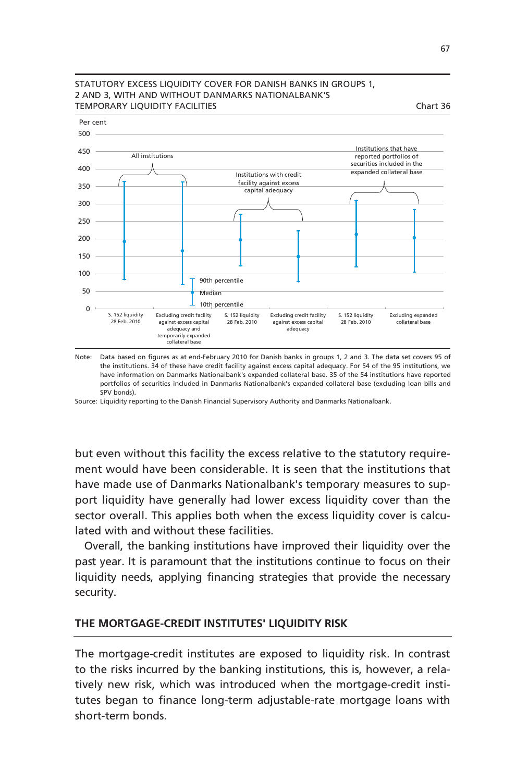

## STATUTORY EXCESS LIQUIDITY COVER FOR DANISH BANKS IN GROUPS 1, 2 AND 3, WITH AND WITHOUT DANMARKS NATIONALBANK'S TEMPORARY LIQUIDITY FACILITIES Chart 36

Note: Data based on figures as at end-February 2010 for Danish banks in groups 1, 2 and 3. The data set covers 95 of the institutions. 34 of these have credit facility against excess capital adequacy. For 54 of the 95 institutions, we have information on Danmarks Nationalbank's expanded collateral base. 35 of the 54 institutions have reported portfolios of securities included in Danmarks Nationalbank's expanded collateral base (excluding loan bills and SPV bonds).

Source: Liquidity reporting to the Danish Financial Supervisory Authority and Danmarks Nationalbank.

but even without this facility the excess relative to the statutory requirement would have been considerable. It is seen that the institutions that have made use of Danmarks Nationalbank's temporary measures to support liquidity have generally had lower excess liquidity cover than the sector overall. This applies both when the excess liquidity cover is calculated with and without these facilities.

Overall, the banking institutions have improved their liquidity over the past year. It is paramount that the institutions continue to focus on their liquidity needs, applying financing strategies that provide the necessary security.

# **THE MORTGAGE-CREDIT INSTITUTES' LIQUIDITY RISK**

The mortgage-credit institutes are exposed to liquidity risk. In contrast to the risks incurred by the banking institutions, this is, however, a relatively new risk, which was introduced when the mortgage-credit institutes began to finance long-term adjustable-rate mortgage loans with short-term bonds.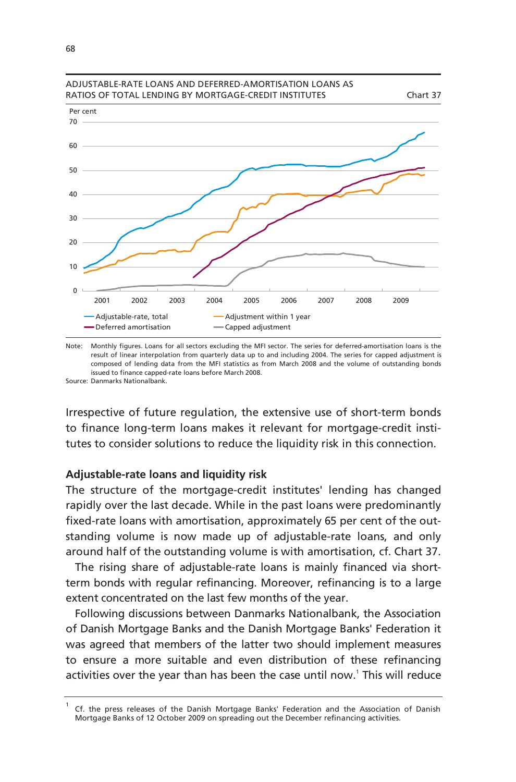

### ADJUSTABLE-RATE LOANS AND DEFERRED-AMORTISATION LOANS AS RATIOS OF TOTAL LENDING BY MORTGAGE-CREDIT INSTITUTES Chart 37

Note: Monthly figures. Loans for all sectors excluding the MFI sector. The series for deferred-amortisation loans is the Source: Danmarks Nationalbank. result of linear interpolation from quarterly data up to and including 2004. The series for capped adjustment is composed of lending data from the MFI statistics as from March 2008 and the volume of outstanding bonds issued to finance capped-rate loans before March 2008.

Irrespective of future regulation, the extensive use of short-term bonds to finance long-term loans makes it relevant for mortgage-credit institutes to consider solutions to reduce the liquidity risk in this connection.

# **Adjustable-rate loans and liquidity risk**

The structure of the mortgage-credit institutes' lending has changed rapidly over the last decade. While in the past loans were predominantly fixed-rate loans with amortisation, approximately 65 per cent of the outstanding volume is now made up of adjustable-rate loans, and only around half of the outstanding volume is with amortisation, cf. Chart 37.

The rising share of adjustable-rate loans is mainly financed via shortterm bonds with regular refinancing. Moreover, refinancing is to a large extent concentrated on the last few months of the year.

Following discussions between Danmarks Nationalbank, the Association of Danish Mortgage Banks and the Danish Mortgage Banks' Federation it was agreed that members of the latter two should implement measures to ensure a more suitable and even distribution of these refinancing activities over the year than has been the case until now.<sup>1</sup> This will reduce

<sup>1</sup> Cf. the press releases of the Danish Mortgage Banks' Federation and the Association of Danish Mortgage Banks of 12 October 2009 on spreading out the December refinancing activities.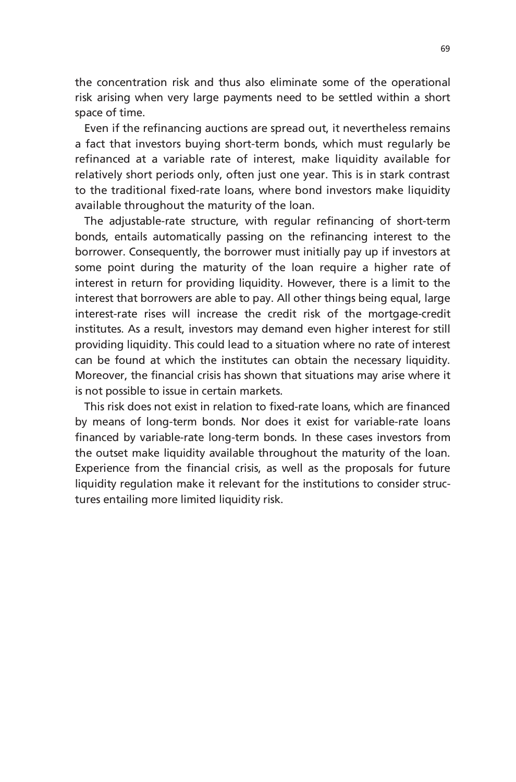the concentration risk and thus also eliminate some of the operational risk arising when very large payments need to be settled within a short space of time.

Even if the refinancing auctions are spread out, it nevertheless remains a fact that investors buying short-term bonds, which must regularly be refinanced at a variable rate of interest, make liquidity available for relatively short periods only, often just one year. This is in stark contrast to the traditional fixed-rate loans, where bond investors make liquidity available throughout the maturity of the loan.

The adjustable-rate structure, with regular refinancing of short-term bonds, entails automatically passing on the refinancing interest to the borrower. Consequently, the borrower must initially pay up if investors at some point during the maturity of the loan require a higher rate of interest in return for providing liquidity. However, there is a limit to the interest that borrowers are able to pay. All other things being equal, large interest-rate rises will increase the credit risk of the mortgage-credit institutes. As a result, investors may demand even higher interest for still providing liquidity. This could lead to a situation where no rate of interest can be found at which the institutes can obtain the necessary liquidity. Moreover, the financial crisis has shown that situations may arise where it is not possible to issue in certain markets.

This risk does not exist in relation to fixed-rate loans, which are financed by means of long-term bonds. Nor does it exist for variable-rate loans financed by variable-rate long-term bonds. In these cases investors from the outset make liquidity available throughout the maturity of the loan. Experience from the financial crisis, as well as the proposals for future liquidity regulation make it relevant for the institutions to consider structures entailing more limited liquidity risk.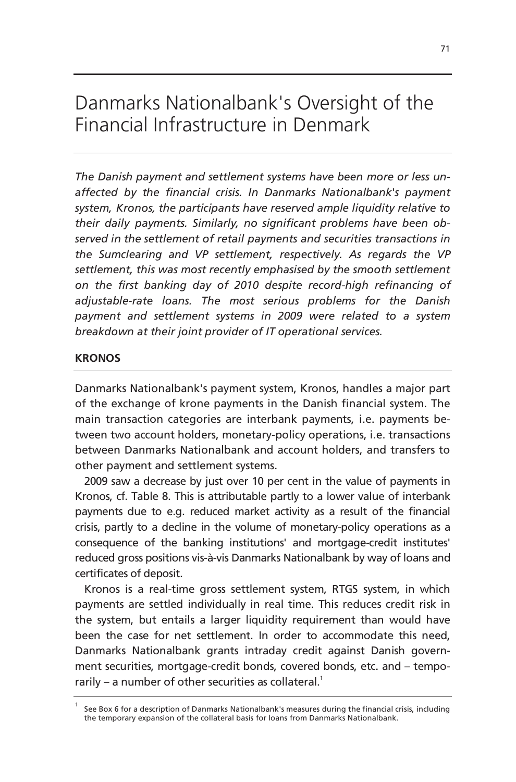# Danmarks Nationalbank's Oversight of the Financial Infrastructure in Denmark

*The Danish payment and settlement systems have been more or less unaffected by the financial crisis. In Danmarks Nationalbank's payment system, Kronos, the participants have reserved ample liquidity relative to their daily payments. Similarly, no significant problems have been observed in the settlement of retail payments and securities transactions in the Sumclearing and VP settlement, respectively. As regards the VP settlement, this was most recently emphasised by the smooth settlement on the first banking day of 2010 despite record-high refinancing of adjustable-rate loans. The most serious problems for the Danish payment and settlement systems in 2009 were related to a system breakdown at their joint provider of IT operational services.* 

# **KRONOS**

Danmarks Nationalbank's payment system, Kronos, handles a major part of the exchange of krone payments in the Danish financial system. The main transaction categories are interbank payments, i.e. payments between two account holders, monetary-policy operations, i.e. transactions between Danmarks Nationalbank and account holders, and transfers to other payment and settlement systems.

2009 saw a decrease by just over 10 per cent in the value of payments in Kronos, cf. Table 8. This is attributable partly to a lower value of interbank payments due to e.g. reduced market activity as a result of the financial crisis, partly to a decline in the volume of monetary-policy operations as a consequence of the banking institutions' and mortgage-credit institutes' reduced gross positions vis-à-vis Danmarks Nationalbank by way of loans and certificates of deposit.

Kronos is a real-time gross settlement system, RTGS system, in which payments are settled individually in real time. This reduces credit risk in the system, but entails a larger liquidity requirement than would have been the case for net settlement. In order to accommodate this need, Danmarks Nationalbank grants intraday credit against Danish government securities, mortgage-credit bonds, covered bonds, etc. and – temporarily – a number of other securities as collateral.<sup>1</sup>

<sup>1</sup> See Box 6 for a description of Danmarks Nationalbank's measures during the financial crisis, including the temporary expansion of the collateral basis for loans from Danmarks Nationalbank.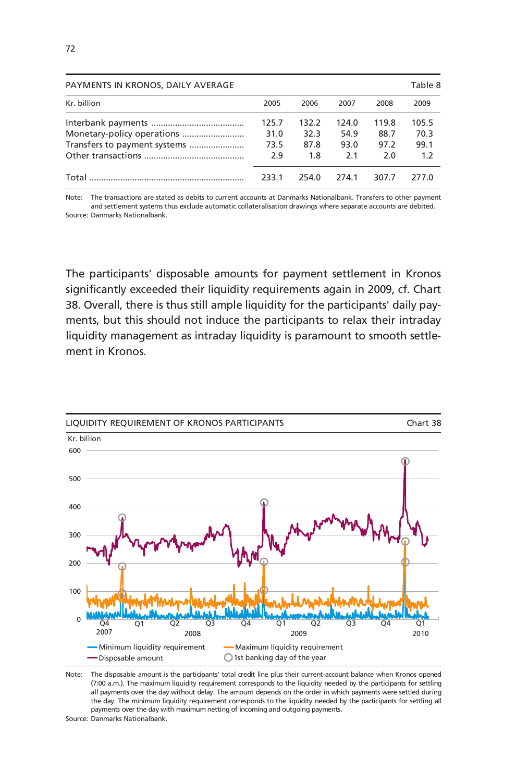| PAYMENTS IN KRONOS, DAILY AVERAGE |                              |                              |                              |                              | Table 8                      |
|-----------------------------------|------------------------------|------------------------------|------------------------------|------------------------------|------------------------------|
| Kr. billion                       | 2005                         | 2006                         | 2007                         | 2008                         | 2009                         |
| Transfers to payment systems      | 125.7<br>31.0<br>73.5<br>2.9 | 132.2<br>32.3<br>87.8<br>1.8 | 124.0<br>54.9<br>93.0<br>2.1 | 119.8<br>88.7<br>97.2<br>2.0 | 105.5<br>70.3<br>99.1<br>1.2 |
| Total                             | 233.1                        | 254.0                        | 2741                         | 307.7                        | 277.0                        |

Note: The transactions are stated as debits to current accounts at Danmarks Nationalbank. Transfers to other payment and settlement systems thus exclude automatic collateralisation drawings where separate accounts are debited. Source: Danmarks Nationalbank.

The participants' disposable amounts for payment settlement in Kronos significantly exceeded their liquidity requirements again in 2009, cf. Chart 38. Overall, there is thus still ample liquidity for the participants' daily payments, but this should not induce the participants to relax their intraday liquidity management as intraday liquidity is paramount to smooth settlement in Kronos.



Note: The disposable amount is the participants' total credit line plus their current-account balance when Kronos opened (7:00 a.m.). The maximum liquidity requirement corresponds to the liquidity needed by the participants for settling all payments over the day without delay. The amount depends on the order in which payments were settled during the day. The minimum liquidity requirement corresponds to the liquidity needed by the participants for settling all payments over the day with maximum netting of incoming and outgoing payments.

Source: Danmarks Nationalbank.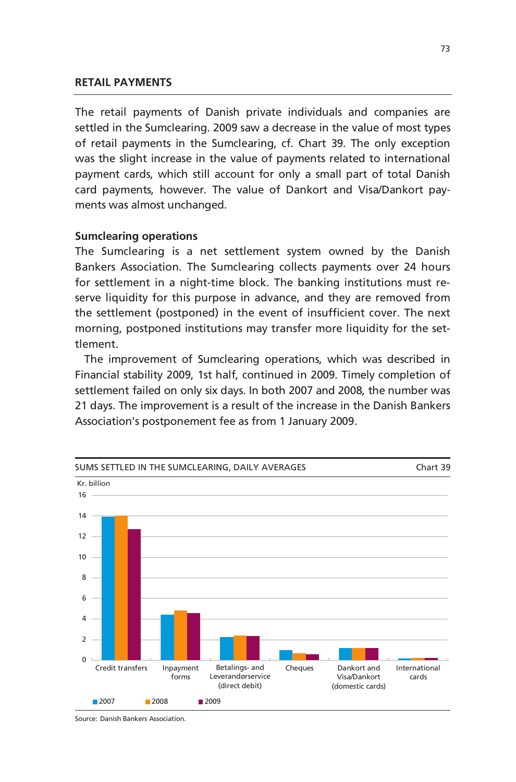#### **RETAIL PAYMENTS**

The retail payments of Danish private individuals and companies are settled in the Sumclearing. 2009 saw a decrease in the value of most types of retail payments in the Sumclearing, cf. Chart 39. The only exception was the slight increase in the value of payments related to international payment cards, which still account for only a small part of total Danish card payments, however. The value of Dankort and Visa/Dankort payments was almost unchanged.

#### **Sumclearing operations**

The Sumclearing is a net settlement system owned by the Danish Bankers Association. The Sumclearing collects payments over 24 hours for settlement in a night-time block. The banking institutions must reserve liquidity for this purpose in advance, and they are removed from the settlement (postponed) in the event of insufficient cover. The next morning, postponed institutions may transfer more liquidity for the settlement.

The improvement of Sumclearing operations, which was described in Financial stability 2009, 1st half, continued in 2009. Timely completion of settlement failed on only six days. In both 2007 and 2008, the number was 21 days. The improvement is a result of the increase in the Danish Bankers Association's postponement fee as from 1 January 2009.



Source: Danish Bankers Association.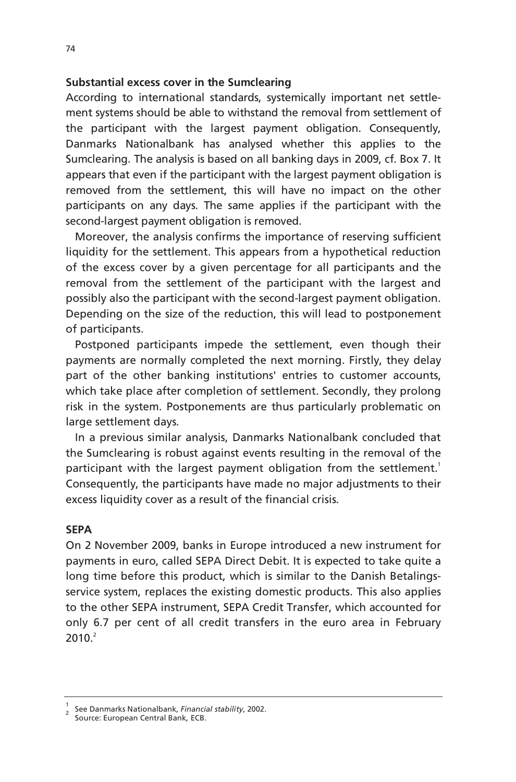#### **Substantial excess cover in the Sumclearing**

According to international standards, systemically important net settlement systems should be able to withstand the removal from settlement of the participant with the largest payment obligation. Consequently, Danmarks Nationalbank has analysed whether this applies to the Sumclearing. The analysis is based on all banking days in 2009, cf. Box 7. It appears that even if the participant with the largest payment obligation is removed from the settlement, this will have no impact on the other participants on any days. The same applies if the participant with the second-largest payment obligation is removed.

Moreover, the analysis confirms the importance of reserving sufficient liquidity for the settlement. This appears from a hypothetical reduction of the excess cover by a given percentage for all participants and the removal from the settlement of the participant with the largest and possibly also the participant with the second-largest payment obligation. Depending on the size of the reduction, this will lead to postponement of participants.

Postponed participants impede the settlement, even though their payments are normally completed the next morning. Firstly, they delay part of the other banking institutions' entries to customer accounts, which take place after completion of settlement. Secondly, they prolong risk in the system. Postponements are thus particularly problematic on large settlement days.

In a previous similar analysis, Danmarks Nationalbank concluded that the Sumclearing is robust against events resulting in the removal of the participant with the largest payment obligation from the settlement.<sup>1</sup> Consequently, the participants have made no major adjustments to their excess liquidity cover as a result of the financial crisis.

#### **SEPA**

On 2 November 2009, banks in Europe introduced a new instrument for payments in euro, called SEPA Direct Debit. It is expected to take quite a long time before this product, which is similar to the Danish Betalingsservice system, replaces the existing domestic products. This also applies to the other SEPA instrument, SEPA Credit Transfer, which accounted for only 6.7 per cent of all credit transfers in the euro area in February  $2010.<sup>2</sup>$ 

<sup>1</sup> See Danmarks Nationalbank, *Financial stability*, 2002.

Source: European Central Bank, ECB.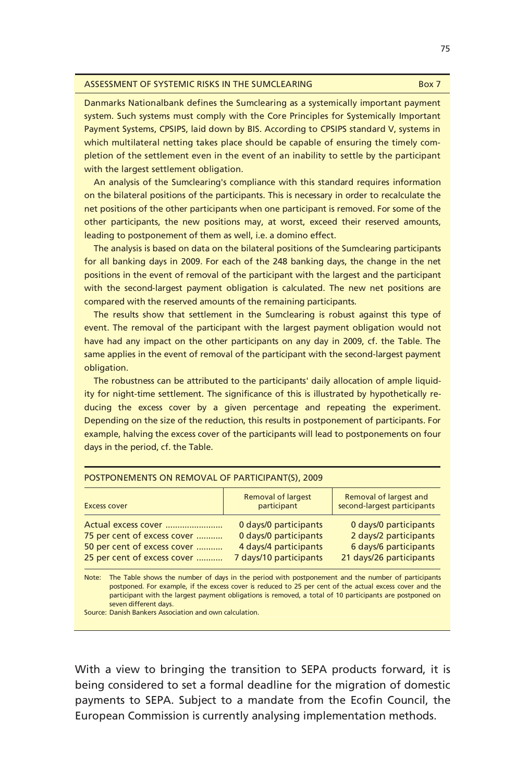| ASSESSMENT OF SYSTEMIC RISKS IN THE SUMCLEARING | Box 7 |
|-------------------------------------------------|-------|
|                                                 |       |

Danmarks Nationalbank defines the Sumclearing as a systemically important payment system. Such systems must comply with the Core Principles for Systemically Important Payment Systems, CPSIPS, laid down by BIS. According to CPSIPS standard V, systems in which multilateral netting takes place should be capable of ensuring the timely completion of the settlement even in the event of an inability to settle by the participant with the largest settlement obligation.

An analysis of the Sumclearing's compliance with this standard requires information on the bilateral positions of the participants. This is necessary in order to recalculate the net positions of the other participants when one participant is removed. For some of the other participants, the new positions may, at worst, exceed their reserved amounts, leading to postponement of them as well, i.e. a domino effect.

The analysis is based on data on the bilateral positions of the Sumclearing participants for all banking days in 2009. For each of the 248 banking days, the change in the net positions in the event of removal of the participant with the largest and the participant with the second-largest payment obligation is calculated. The new net positions are compared with the reserved amounts of the remaining participants.

The results show that settlement in the Sumclearing is robust against this type of event. The removal of the participant with the largest payment obligation would not have had any impact on the other participants on any day in 2009, cf. the Table. The same applies in the event of removal of the participant with the second-largest payment obligation.

The robustness can be attributed to the participants' daily allocation of ample liquidity for night-time settlement. The significance of this is illustrated by hypothetically reducing the excess cover by a given percentage and repeating the experiment. Depending on the size of the reduction, this results in postponement of participants. For example, halving the excess cover of the participants will lead to postponements on four days in the period, cf. the Table.

| POSTPONEMENTS ON REMOVAL OF PARTICIPANT(S), 2009                                                                 |                                                                                                   |                                                                                                    |
|------------------------------------------------------------------------------------------------------------------|---------------------------------------------------------------------------------------------------|----------------------------------------------------------------------------------------------------|
| <b>Excess cover</b>                                                                                              | <b>Removal of largest</b><br>participant                                                          | Removal of largest and<br>second-largest participants                                              |
| Actual excess cover<br>75 per cent of excess cover<br>50 per cent of excess cover<br>25 per cent of excess cover | 0 days/0 participants<br>0 days/0 participants<br>4 days/4 participants<br>7 days/10 participants | 0 days/0 participants<br>2 days/2 participants<br>6 days/6 participants<br>21 days/26 participants |
| Note: The Iable shows the number of days in the period with pertappement and the number of participants          |                                                                                                   |                                                                                                    |

#### Note: The Table shows the number of days in the period with postponement and the number of participants postponed. For example, if the excess cover is reduced to 25 per cent of the actual excess cover and the participant with the largest payment obligations is removed, a total of 10 participants are postponed on seven different days.

Source: Danish Bankers Association and own calculation.

With a view to bringing the transition to SEPA products forward, it is being considered to set a formal deadline for the migration of domestic payments to SEPA. Subject to a mandate from the Ecofin Council, the European Commission is currently analysing implementation methods.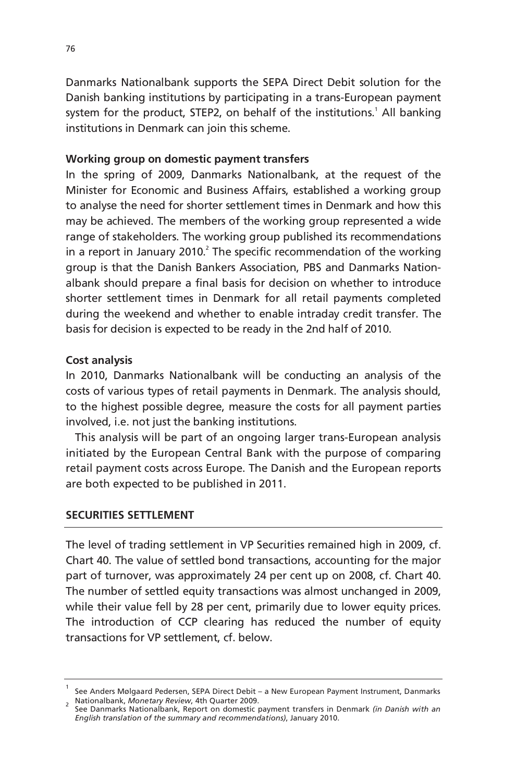Danmarks Nationalbank supports the SEPA Direct Debit solution for the Danish banking institutions by participating in a trans-European payment system for the product, STEP2, on behalf of the institutions.<sup>1</sup> All banking institutions in Denmark can join this scheme.

# **Working group on domestic payment transfers**

In the spring of 2009, Danmarks Nationalbank, at the request of the Minister for Economic and Business Affairs, established a working group to analyse the need for shorter settlement times in Denmark and how this may be achieved. The members of the working group represented a wide range of stakeholders. The working group published its recommendations in a report in January 2010. $^2$  The specific recommendation of the working group is that the Danish Bankers Association, PBS and Danmarks Nationalbank should prepare a final basis for decision on whether to introduce shorter settlement times in Denmark for all retail payments completed during the weekend and whether to enable intraday credit transfer. The basis for decision is expected to be ready in the 2nd half of 2010.

# **Cost analysis**

In 2010, Danmarks Nationalbank will be conducting an analysis of the costs of various types of retail payments in Denmark. The analysis should, to the highest possible degree, measure the costs for all payment parties involved, i.e. not just the banking institutions.

This analysis will be part of an ongoing larger trans-European analysis initiated by the European Central Bank with the purpose of comparing retail payment costs across Europe. The Danish and the European reports are both expected to be published in 2011.

# **SECURITIES SETTLEMENT**

The level of trading settlement in VP Securities remained high in 2009, cf. Chart 40. The value of settled bond transactions, accounting for the major part of turnover, was approximately 24 per cent up on 2008, cf. Chart 40. The number of settled equity transactions was almost unchanged in 2009, while their value fell by 28 per cent, primarily due to lower equity prices. The introduction of CCP clearing has reduced the number of equity transactions for VP settlement, cf. below.

<sup>1</sup> See Anders Mølgaard Pedersen, SEPA Direct Debit – a New European Payment Instrument, Danmarks Nationalbank, *Monetary Review*, 4th Quarter 2009. 2

See Danmarks Nationalbank, Report on domestic payment transfers in Denmark *(in Danish with an English translation of the summary and recommendations)*, January 2010.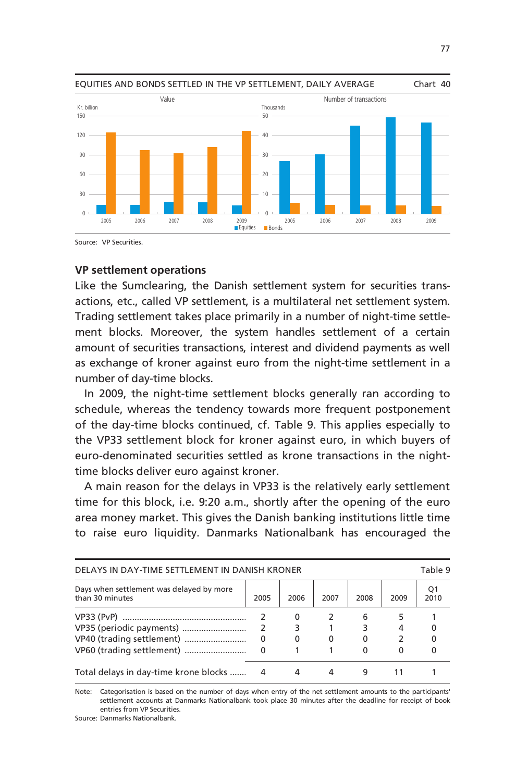

Source: VP Securities.

#### **VP settlement operations**

Like the Sumclearing, the Danish settlement system for securities transactions, etc., called VP settlement, is a multilateral net settlement system. Trading settlement takes place primarily in a number of night-time settlement blocks. Moreover, the system handles settlement of a certain amount of securities transactions, interest and dividend payments as well as exchange of kroner against euro from the night-time settlement in a number of day-time blocks.

In 2009, the night-time settlement blocks generally ran according to schedule, whereas the tendency towards more frequent postponement of the day-time blocks continued, cf. Table 9. This applies especially to the VP33 settlement block for kroner against euro, in which buyers of euro-denominated securities settled as krone transactions in the nighttime blocks deliver euro against kroner.

A main reason for the delays in VP33 is the relatively early settlement time for this block, i.e. 9:20 a.m., shortly after the opening of the euro area money market. This gives the Danish banking institutions little time to raise euro liquidity. Danmarks Nationalbank has encouraged the

| DELAYS IN DAY-TIME SETTLEMENT IN DANISH KRONER              |      |      |          |              |      | Table 9    |
|-------------------------------------------------------------|------|------|----------|--------------|------|------------|
| Days when settlement was delayed by more<br>than 30 minutes | 2005 | 2006 | 2007     | 2008         | 2009 | O'<br>2010 |
|                                                             |      | 0    |          | 6            |      |            |
| VP35 (periodic payments)                                    |      |      |          |              | 4    |            |
| VP40 (trading settlement)                                   | 0    | 0    | $\Omega$ | 0            |      |            |
| VP60 (trading settlement)                                   | 0    |      |          | <sup>0</sup> | 0    |            |
| Total delays in day-time krone blocks                       | 4    | 4    |          | 9            |      |            |

Note: Categorisation is based on the number of days when entry of the net settlement amounts to the participants' settlement accounts at Danmarks Nationalbank took place 30 minutes after the deadline for receipt of book entries from VP Securities.

Source: Danmarks Nationalbank.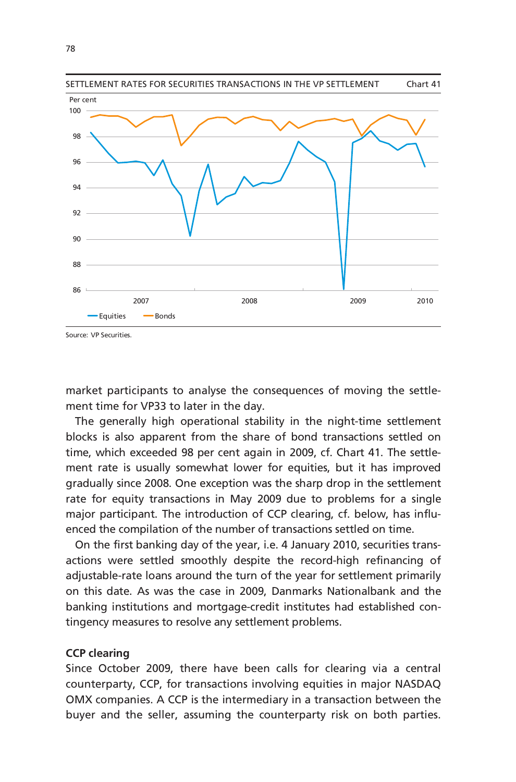

Source: VP Securities.

market participants to analyse the consequences of moving the settlement time for VP33 to later in the day.

The generally high operational stability in the night-time settlement blocks is also apparent from the share of bond transactions settled on time, which exceeded 98 per cent again in 2009, cf. Chart 41. The settlement rate is usually somewhat lower for equities, but it has improved gradually since 2008. One exception was the sharp drop in the settlement rate for equity transactions in May 2009 due to problems for a single major participant. The introduction of CCP clearing, cf. below, has influenced the compilation of the number of transactions settled on time.

On the first banking day of the year, i.e. 4 January 2010, securities transactions were settled smoothly despite the record-high refinancing of adjustable-rate loans around the turn of the year for settlement primarily on this date. As was the case in 2009, Danmarks Nationalbank and the banking institutions and mortgage-credit institutes had established contingency measures to resolve any settlement problems.

#### **CCP clearing**

Since October 2009, there have been calls for clearing via a central counterparty, CCP, for transactions involving equities in major NASDAQ OMX companies. A CCP is the intermediary in a transaction between the buyer and the seller, assuming the counterparty risk on both parties.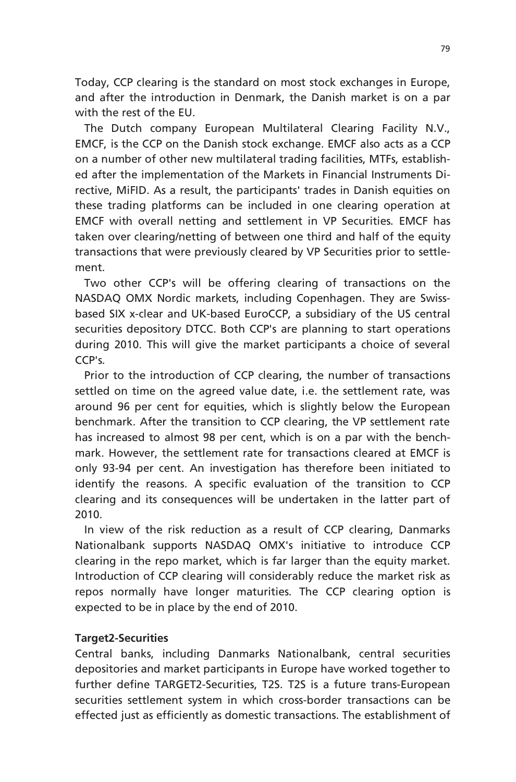Today, CCP clearing is the standard on most stock exchanges in Europe, and after the introduction in Denmark, the Danish market is on a par with the rest of the EU.

The Dutch company European Multilateral Clearing Facility N.V., EMCF, is the CCP on the Danish stock exchange. EMCF also acts as a CCP on a number of other new multilateral trading facilities, MTFs, established after the implementation of the Markets in Financial Instruments Directive, MiFID. As a result, the participants' trades in Danish equities on these trading platforms can be included in one clearing operation at EMCF with overall netting and settlement in VP Securities. EMCF has taken over clearing/netting of between one third and half of the equity transactions that were previously cleared by VP Securities prior to settlement.

Two other CCP's will be offering clearing of transactions on the NASDAQ OMX Nordic markets, including Copenhagen. They are Swissbased SIX x-clear and UK-based EuroCCP, a subsidiary of the US central securities depository DTCC. Both CCP's are planning to start operations during 2010. This will give the market participants a choice of several  $CCP's$ 

Prior to the introduction of CCP clearing, the number of transactions settled on time on the agreed value date, i.e. the settlement rate, was around 96 per cent for equities, which is slightly below the European benchmark. After the transition to CCP clearing, the VP settlement rate has increased to almost 98 per cent, which is on a par with the benchmark. However, the settlement rate for transactions cleared at EMCF is only 93-94 per cent. An investigation has therefore been initiated to identify the reasons. A specific evaluation of the transition to CCP clearing and its consequences will be undertaken in the latter part of 2010.

In view of the risk reduction as a result of CCP clearing, Danmarks Nationalbank supports NASDAQ OMX's initiative to introduce CCP clearing in the repo market, which is far larger than the equity market. Introduction of CCP clearing will considerably reduce the market risk as repos normally have longer maturities. The CCP clearing option is expected to be in place by the end of 2010.

### **Target2-Securities**

Central banks, including Danmarks Nationalbank, central securities depositories and market participants in Europe have worked together to further define TARGET2-Securities, T2S. T2S is a future trans-European securities settlement system in which cross-border transactions can be effected just as efficiently as domestic transactions. The establishment of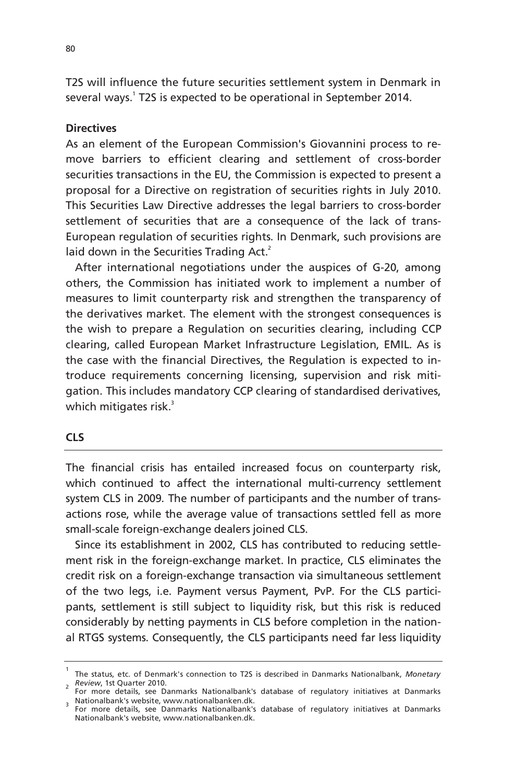T2S will influence the future securities settlement system in Denmark in several ways.<sup>1</sup> T2S is expected to be operational in September 2014.

### **Directives**

As an element of the European Commission's Giovannini process to remove barriers to efficient clearing and settlement of cross-border securities transactions in the EU, the Commission is expected to present a proposal for a Directive on registration of securities rights in July 2010. This Securities Law Directive addresses the legal barriers to cross-border settlement of securities that are a consequence of the lack of trans-European regulation of securities rights. In Denmark, such provisions are laid down in the Securities Trading Act.<sup>2</sup>

After international negotiations under the auspices of G-20, among others, the Commission has initiated work to implement a number of measures to limit counterparty risk and strengthen the transparency of the derivatives market. The element with the strongest consequences is the wish to prepare a Regulation on securities clearing, including CCP clearing, called European Market Infrastructure Legislation, EMIL. As is the case with the financial Directives, the Regulation is expected to introduce requirements concerning licensing, supervision and risk mitigation. This includes mandatory CCP clearing of standardised derivatives, which mitigates risk.<sup>3</sup>

#### **CLS**

The financial crisis has entailed increased focus on counterparty risk, which continued to affect the international multi-currency settlement system CLS in 2009. The number of participants and the number of transactions rose, while the average value of transactions settled fell as more small-scale foreign-exchange dealers joined CLS.

Since its establishment in 2002, CLS has contributed to reducing settlement risk in the foreign-exchange market. In practice, CLS eliminates the credit risk on a foreign-exchange transaction via simultaneous settlement of the two legs, i.e. Payment versus Payment, PvP. For the CLS participants, settlement is still subject to liquidity risk, but this risk is reduced considerably by netting payments in CLS before completion in the national RTGS systems. Consequently, the CLS participants need far less liquidity

<sup>1</sup> The status, etc. of Denmark's connection to T2S is described in Danmarks Nationalbank, *Monetary*  <sup>2</sup> Review, 1st Quarter 2010.

For more details, see Danmarks Nationalbank's database of regulatory initiatives at Danmarks Nationalbank's website, www.nationalbanken.dk. 3

For more details, see Danmarks Nationalbank's database of regulatory initiatives at Danmarks Nationalbank's website, www.nationalbanken.dk.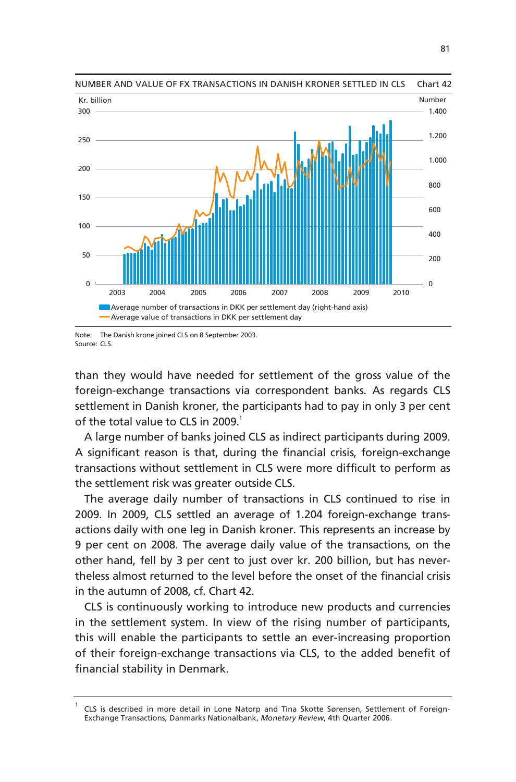

NUMBER AND VALUE OF FX TRANSACTIONS IN DANISH KRONER SETTLED IN CLS Chart 42

Note: The Danish krone joined CLS on 8 September 2003. Source: CLS.

than they would have needed for settlement of the gross value of the foreign-exchange transactions via correspondent banks. As regards CLS settlement in Danish kroner, the participants had to pay in only 3 per cent of the total value to CLS in 2009.<sup>1</sup>

A large number of banks joined CLS as indirect participants during 2009. A significant reason is that, during the financial crisis, foreign-exchange transactions without settlement in CLS were more difficult to perform as the settlement risk was greater outside CLS.

The average daily number of transactions in CLS continued to rise in 2009. In 2009, CLS settled an average of 1.204 foreign-exchange transactions daily with one leg in Danish kroner. This represents an increase by 9 per cent on 2008. The average daily value of the transactions, on the other hand, fell by 3 per cent to just over kr. 200 billion, but has nevertheless almost returned to the level before the onset of the financial crisis in the autumn of 2008, cf. Chart 42.

CLS is continuously working to introduce new products and currencies in the settlement system. In view of the rising number of participants, this will enable the participants to settle an ever-increasing proportion of their foreign-exchange transactions via CLS, to the added benefit of financial stability in Denmark.

<sup>1</sup> CLS is described in more detail in Lone Natorp and Tina Skotte Sørensen, Settlement of Foreign-Exchange Transactions, Danmarks Nationalbank, *Monetary Review*, 4th Quarter 2006.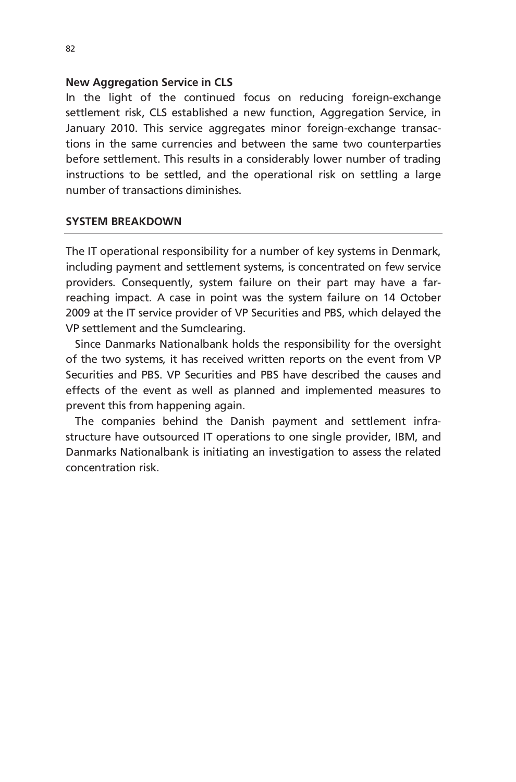## **New Aggregation Service in CLS**

In the light of the continued focus on reducing foreign-exchange settlement risk, CLS established a new function, Aggregation Service, in January 2010. This service aggregates minor foreign-exchange transactions in the same currencies and between the same two counterparties before settlement. This results in a considerably lower number of trading instructions to be settled, and the operational risk on settling a large number of transactions diminishes.

# **SYSTEM BREAKDOWN**

The IT operational responsibility for a number of key systems in Denmark, including payment and settlement systems, is concentrated on few service providers. Consequently, system failure on their part may have a farreaching impact. A case in point was the system failure on 14 October 2009 at the IT service provider of VP Securities and PBS, which delayed the VP settlement and the Sumclearing.

Since Danmarks Nationalbank holds the responsibility for the oversight of the two systems, it has received written reports on the event from VP Securities and PBS. VP Securities and PBS have described the causes and effects of the event as well as planned and implemented measures to prevent this from happening again.

The companies behind the Danish payment and settlement infrastructure have outsourced IT operations to one single provider, IBM, and Danmarks Nationalbank is initiating an investigation to assess the related concentration risk.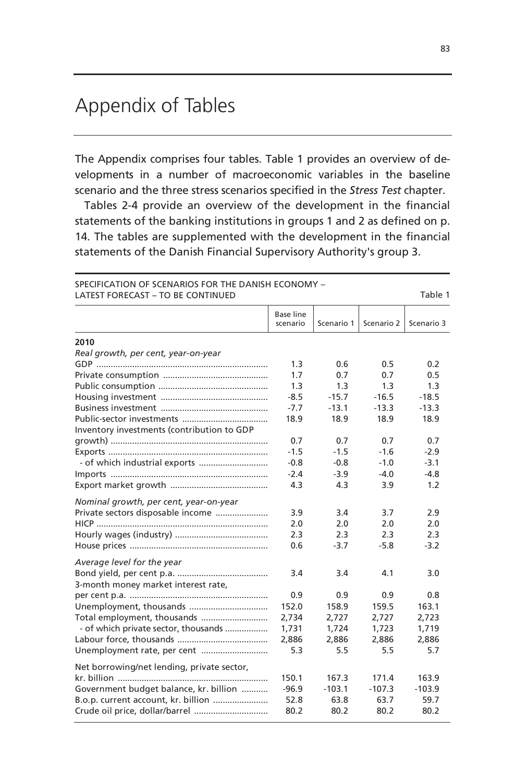# Appendix of Tables

The Appendix comprises four tables. Table 1 provides an overview of developments in a number of macroeconomic variables in the baseline scenario and the three stress scenarios specified in the *Stress Test* chapter.

Tables 2-4 provide an overview of the development in the financial statements of the banking institutions in groups 1 and 2 as defined on p. 14. The tables are supplemented with the development in the financial statements of the Danish Financial Supervisory Authority's group 3.

| <b>LATEST FORECAST - TO BE CONTINUED</b>   |                              |            |            | Table 1    |
|--------------------------------------------|------------------------------|------------|------------|------------|
|                                            | <b>Base line</b><br>scenario | Scenario 1 | Scenario 2 | Scenario 3 |
| 2010                                       |                              |            |            |            |
| Real growth, per cent, year-on-year        |                              |            |            |            |
|                                            | 1.3                          | 0.6        | 0.5        | 0.2        |
|                                            | 1.7                          | 0.7        | 0.7        | 0.5        |
|                                            | 1.3                          | 1.3        | 1.3        | 1.3        |
|                                            | $-8.5$                       | $-15.7$    | $-16.5$    | $-18.5$    |
|                                            | $-7.7$                       | $-13.1$    | $-13.3$    | $-13.3$    |
|                                            | 18.9                         | 18.9       | 18.9       | 18.9       |
| Inventory investments (contribution to GDP |                              |            |            |            |
|                                            | 0.7                          | 0.7        | 0.7        | 0.7        |
|                                            | $-1.5$                       | $-1.5$     | $-1.6$     | $-2.9$     |
|                                            | $-0.8$                       | $-0.8$     | $-1.0$     | $-3.1$     |
|                                            | $-2.4$                       | $-3.9$     | $-4.0$     | $-4.8$     |
|                                            | 4.3                          | 4.3        | 3.9        | 1.2        |
| Nominal growth, per cent, year-on-year     |                              |            |            |            |
| Private sectors disposable income          | 3.9                          | 3.4        | 3.7        | 2.9        |
|                                            | 2.0                          | 2.0        | 2.0        | 2.0        |
|                                            | 2.3                          | 2.3        | 2.3        | 2.3        |
|                                            | 0.6                          | $-3.7$     | $-5.8$     | $-3.2$     |
| Average level for the year                 |                              |            |            |            |
|                                            | 3.4                          | 3.4        | 4.1        | 3.0        |
| 3-month money market interest rate,        |                              |            |            |            |
|                                            | 0.9                          | 0.9        | 0.9        | 0.8        |
| Unemployment, thousands                    | 152.0                        | 158.9      | 159.5      | 163.1      |
| Total employment, thousands                | 2,734                        | 2,727      | 2,727      | 2,723      |
| - of which private sector, thousands       | 1,731                        | 1,724      | 1,723      | 1,719      |
|                                            | 2,886                        | 2,886      | 2,886      | 2,886      |
| Unemployment rate, per cent                | 5.3                          | 5.5        | 5.5        | 5.7        |
| Net borrowing/net lending, private sector, |                              |            |            |            |
|                                            | 150.1                        | 167.3      | 171.4      | 163.9      |
| Government budget balance, kr. billion     | $-96.9$                      | $-103.1$   | $-107.3$   | $-103.9$   |
| B.o.p. current account, kr. billion        | 52.8                         | 63.8       | 63.7       | 59.7       |
| Crude oil price, dollar/barrel             | 80.2                         | 80.2       | 80.2       | 80.2       |

SPECIFICATION OF SCENARIOS FOR THE DANISH ECONOMY –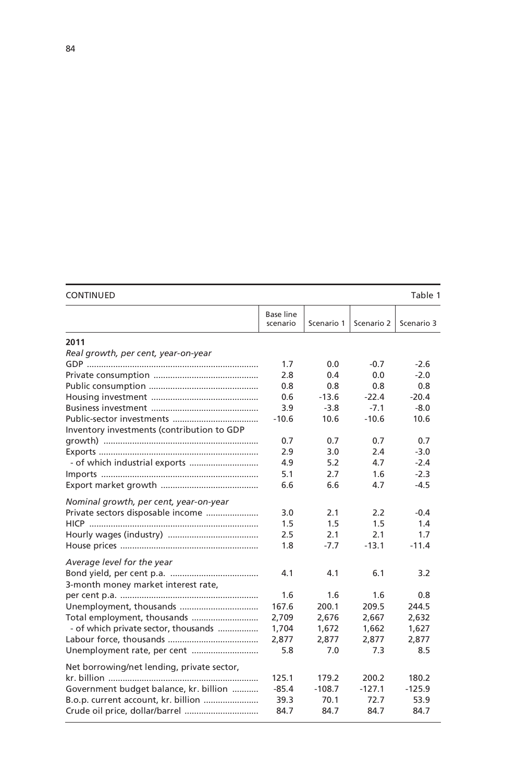| <b>CONTINUED</b>                           |                       |            |            | Table 1    |
|--------------------------------------------|-----------------------|------------|------------|------------|
|                                            | Base line<br>scenario | Scenario 1 | Scenario 2 | Scenario 3 |
| 2011                                       |                       |            |            |            |
| Real growth, per cent, year-on-year        |                       |            |            |            |
|                                            | 1.7                   | 0.0        | -0.7       | $-2.6$     |
|                                            | 2.8                   | 0.4        | 0.0        | $-2.0$     |
|                                            | 0.8                   | 0.8        | 0.8        | 0.8        |
|                                            | 0.6                   | $-13.6$    | $-22.4$    | $-20.4$    |
|                                            | 3.9                   | $-3.8$     | $-7.1$     | $-8.0$     |
|                                            | $-10.6$               | 10.6       | $-10.6$    | 10.6       |
| Inventory investments (contribution to GDP |                       |            |            |            |
|                                            | 0.7                   | 0.7        | 0.7        | 0.7        |
|                                            | 2.9                   | 3.0        | 2.4        | $-3.0$     |
| - of which industrial exports              | 4.9                   | 5.2        | 4.7        | $-2.4$     |
|                                            | 5.1                   | 2.7        | 1.6        | $-2.3$     |
|                                            | 6.6                   | 6.6        | 4.7        | $-4.5$     |
|                                            |                       |            |            |            |
| Nominal growth, per cent, year-on-year     | 3.0                   | 2.1        | 2.2        | $-0.4$     |
| Private sectors disposable income          | 1.5                   | 1.5        | 1.5        | 1.4        |
|                                            | 2.5                   | 2.1        | 2.1        | 1.7        |
|                                            | 1.8                   | $-7.7$     | $-13.1$    | $-11.4$    |
|                                            |                       |            |            |            |
| Average level for the year                 |                       |            |            |            |
|                                            | 4.1                   | 4.1        | 6.1        | 3.2        |
| 3-month money market interest rate,        |                       |            |            |            |
|                                            | 1.6                   | 1.6        | 1.6        | 0.8        |
| Unemployment, thousands                    | 167.6                 | 200.1      | 209.5      | 244.5      |
| Total employment, thousands                | 2,709                 | 2,676      | 2,667      | 2,632      |
| - of which private sector, thousands       | 1,704                 | 1,672      | 1,662      | 1,627      |
|                                            | 2.877                 | 2.877      | 2.877      | 2.877      |
| Unemployment rate, per cent                | 5.8                   | 7.0        | 7.3        | 8.5        |
| Net borrowing/net lending, private sector, |                       |            |            |            |
|                                            | 125.1                 | 179.2      | 200.2      | 180.2      |
| Government budget balance, kr. billion     | $-85.4$               | $-108.7$   | $-127.1$   | $-125.9$   |
| B.o.p. current account, kr. billion        | 39.3                  | 70.1       | 72.7       | 53.9       |
|                                            | 84.7                  | 84.7       | 84.7       | 84.7       |

| <b>CONTINUED</b> |  |  |
|------------------|--|--|
|------------------|--|--|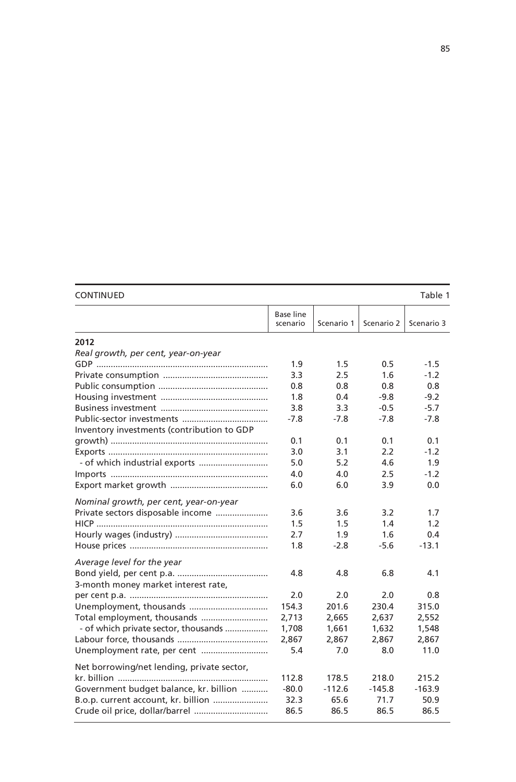| <b>CONTINUED</b>                           |                              |            |            | Table 1    |
|--------------------------------------------|------------------------------|------------|------------|------------|
|                                            | <b>Base line</b><br>scenario | Scenario 1 | Scenario 2 | Scenario 3 |
| 2012                                       |                              |            |            |            |
| Real growth, per cent, year-on-year        |                              |            |            |            |
|                                            | 1.9                          | 1.5        | 0.5        | $-1.5$     |
|                                            | 3.3                          | 2.5        | 1.6        | $-1.2$     |
|                                            | 0.8                          | 0.8        | 0.8        | 0.8        |
|                                            | 1.8                          | 0.4        | $-9.8$     | $-9.2$     |
|                                            | 3.8                          | 3.3        | $-0.5$     | $-5.7$     |
|                                            | $-7.8$                       | $-7.8$     | $-7.8$     | $-7.8$     |
| Inventory investments (contribution to GDP |                              |            |            |            |
|                                            | 0.1                          | 0.1        | 0.1        | 0.1        |
|                                            | 3.0                          | 3.1        | 2.2        | $-1.2$     |
| - of which industrial exports              | 5.0                          | 5.2        | 4.6        | 1.9        |
|                                            | 4.0                          | 4.0        | 2.5        | $-1.2$     |
|                                            | 6.0                          | 6.0        | 3.9        | 0.0        |
| Nominal growth, per cent, year-on-year     |                              |            |            |            |
| Private sectors disposable income          | 3.6                          | 3.6        | 3.2        | 1.7        |
|                                            | 1.5                          | 1.5        | 1.4        | 1.2        |
|                                            | 2.7                          | 1.9        | 1.6        | 0.4        |
|                                            | 1.8                          | $-2.8$     | $-5.6$     | $-13.1$    |
| Average level for the year                 |                              |            |            |            |
|                                            | 4.8                          | 4.8        | 6.8        | 4.1        |
| 3-month money market interest rate,        |                              |            |            |            |
|                                            | 2.0                          | 2.0        | 2.0        | 0.8        |
| Unemployment, thousands                    | 154.3                        | 201.6      | 230.4      | 315.0      |
| Total employment, thousands                | 2,713                        | 2,665      | 2,637      | 2,552      |
| - of which private sector, thousands       | 1,708                        | 1,661      | 1,632      | 1,548      |
|                                            | 2,867                        | 2,867      | 2,867      | 2,867      |
| Unemployment rate, per cent                | 5.4                          | 7.0        | 8.0        | 11.0       |
| Net borrowing/net lending, private sector, |                              |            |            |            |
|                                            | 112.8                        | 178.5      | 218.0      | 215.2      |
| Government budget balance, kr. billion     | $-80.0$                      | $-112.6$   | $-145.8$   | $-163.9$   |
| B.o.p. current account, kr. billion        | 32.3                         | 65.6       | 71.7       | 50.9       |
| Crude oil price, dollar/barrel             | 86.5                         | 86.5       | 86.5       | 86.5       |
|                                            |                              |            |            |            |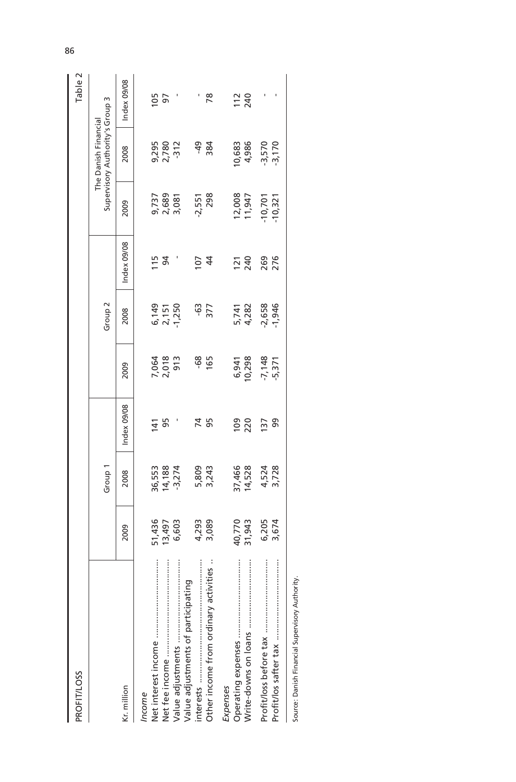| <b>PROFIT/LOSS</b>                    |                           |                               |                |                       |                          |                 |                         |                                                         | Table 2           |
|---------------------------------------|---------------------------|-------------------------------|----------------|-----------------------|--------------------------|-----------------|-------------------------|---------------------------------------------------------|-------------------|
|                                       |                           | Group 1                       |                |                       | Group <sub>2</sub>       |                 |                         | Supervisory Authority's Group 3<br>The Danish Financial |                   |
| Kr. million                           | 2009                      | 2008                          | Index 09/08    | 2009                  | 2008                     | Index 09/08     | 2009                    | 2008                                                    | Index 09/08       |
| ncome                                 |                           |                               |                |                       |                          |                 |                         |                                                         |                   |
|                                       |                           |                               |                |                       |                          |                 |                         |                                                         | 5 p               |
|                                       | 51,436<br>13,497<br>6,603 | 36, 553<br>14, 188<br>-3, 274 | $141$<br>95    | 7,064<br>2,018<br>913 | 6,149<br>2,151<br>-1,250 | $15$ 94         | 9,737<br>2,689<br>3,081 | 9,295<br>2,780<br>-312                                  |                   |
| ÷                                     |                           |                               |                |                       |                          |                 |                         |                                                         |                   |
| Value adjustments of participating    |                           |                               |                |                       |                          |                 |                         |                                                         |                   |
| ÷                                     |                           |                               | 74<br>95       | $-68$<br>165          | -63<br>377               | $\frac{1}{2}$ 4 | 2,551                   | $49$<br>384                                             |                   |
| Other income from ordinary activities | 4,293<br>3,089            | 5,809<br>3,243                |                |                       |                          |                 | 298                     |                                                         | $\overline{78}$   |
| Expenses                              |                           |                               |                |                       |                          |                 |                         |                                                         |                   |
|                                       | 40,770                    | 37,466<br>14,528              | $\overline{0}$ |                       |                          | $\frac{240}{2}$ |                         |                                                         | $\frac{240}{240}$ |
|                                       | 31,943                    |                               | 220            | 6,941<br>10,298       | 5,741<br>4,282           |                 | 12,008<br>11,947        | 10,683<br>4,986                                         |                   |
|                                       | 6,205<br>3,674            | 4,524<br>3,728                | $\frac{2}{3}$  | $-7,148$<br>$-5,371$  | 2,658<br>1,946           | 269<br>276      |                         | $-3,570$<br>$-3,170$                                    |                   |
|                                       |                           |                               |                |                       |                          |                 | 10,701<br>10,321        |                                                         |                   |
|                                       |                           |                               |                |                       |                          |                 |                         |                                                         |                   |

Source: Danish Financial Supervisory Authority. Source: Danish Financial Supervisory Authority.

86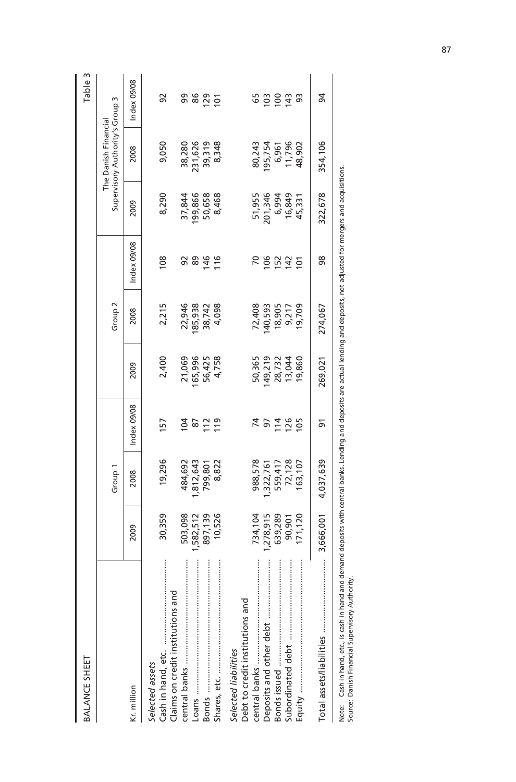| BALANCE SHEET                                                                                                                                                   |                    |                      |                     |                  |                    |                |                   |                                                         | m<br>Table     |
|-----------------------------------------------------------------------------------------------------------------------------------------------------------------|--------------------|----------------------|---------------------|------------------|--------------------|----------------|-------------------|---------------------------------------------------------|----------------|
|                                                                                                                                                                 |                    | Group 1              |                     |                  | Group <sub>2</sub> |                |                   | Supervisory Authority's Group 3<br>The Danish Financial |                |
| Kr. million                                                                                                                                                     | 2009               | 2008                 | Index 09/08         | 2009             | 2008               | Index 09/08    | 2009              | 2008                                                    | Index 09/08    |
| Claims on credit institutions and<br>Selected assets                                                                                                            | 30,359             | 19,296               | 157                 | 2,400            | 2,215              | $\frac{80}{2}$ | 8,290             | 9,050                                                   | 92             |
|                                                                                                                                                                 | 503,098<br>582,512 | 1,812,643<br>484,692 | $\overline{5}$<br>2 | 21,069<br>65,996 | 22,946<br>185,938  | 89<br>95       | 37,844<br>199,866 | 231,626<br>38,280                                       | 98<br>86       |
|                                                                                                                                                                 | 897,139            | 799,801              | 112                 | 56,425           | 38,742             | 146            | 50,658            | 39,319                                                  | 129            |
|                                                                                                                                                                 | 10,526             | 8,822                | 119                 | 4,758            | 4,098              | 116            | 8,468             | 8,348                                                   | $\overline{5}$ |
| Debt to credit institutions and<br>Selected liabilities                                                                                                         | 734,104            | 988,578              |                     | 50,365           | 72,408             | 2              | 51,955            | 80,243                                                  | 65             |
|                                                                                                                                                                 | 278,915            | , 322, 761           | 57                  | 49,219           | 40,593             | 106            | 201,346           | 195,754                                                 | 103            |
|                                                                                                                                                                 | 639,289            | 559,417              | 114                 | 28,732           | 18,905             | 152            | 6,994             | 6,961                                                   | 100            |
|                                                                                                                                                                 | 90,901             | 72,128               | $126$<br>105        | 13,044           | 9,217              | 142            | 16,849            | 11,796                                                  | 143            |
| Equity ……………………………………………                                                                                                                                        | 171,120            | 63,107               |                     | 19,860           | 19,709             | $\overline{0}$ | 45,331            | 48,902                                                  | 93             |
|                                                                                                                                                                 | 3,666,001          | 4,037,639            | 51                  | 269,021          | 274,067            | 88             | 322,678           | 354,106                                                 | 54             |
| Note: Cash in hand, etc., is cash in hand and demand deposits with central banks. Lending and deposits and deposits, not adjusted for mergers and acquisitions. |                    |                      |                     |                  |                    |                |                   |                                                         |                |

87